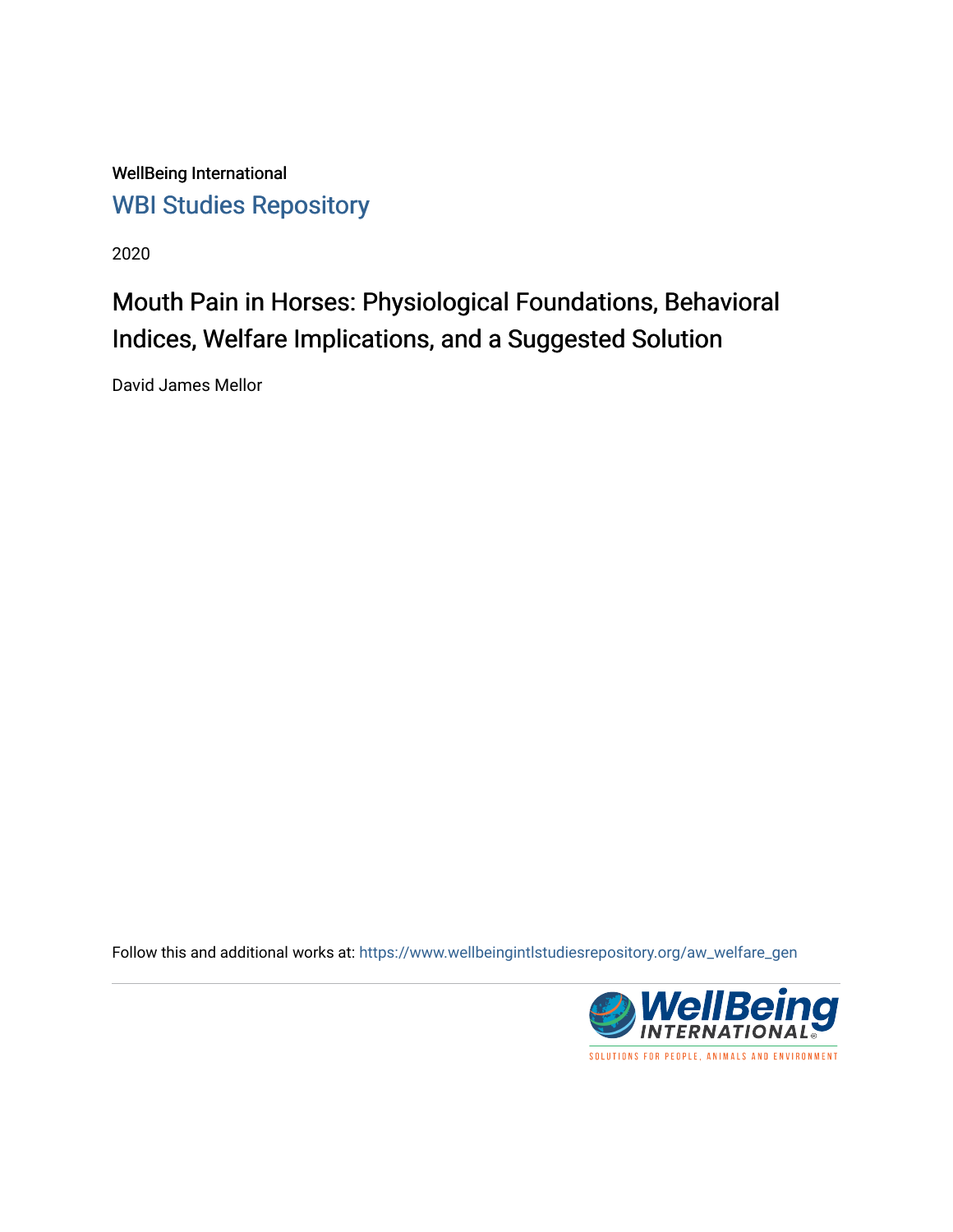WellBeing International [WBI Studies Repository](https://www.wellbeingintlstudiesrepository.org/)

2020

# Mouth Pain in Horses: Physiological Foundations, Behavioral Indices, Welfare Implications, and a Suggested Solution

David James Mellor

Follow this and additional works at: [https://www.wellbeingintlstudiesrepository.org/aw\\_welfare\\_gen](https://www.wellbeingintlstudiesrepository.org/aw_welfare_gen?utm_source=www.wellbeingintlstudiesrepository.org%2Faw_welfare_gen%2F18&utm_medium=PDF&utm_campaign=PDFCoverPages) 

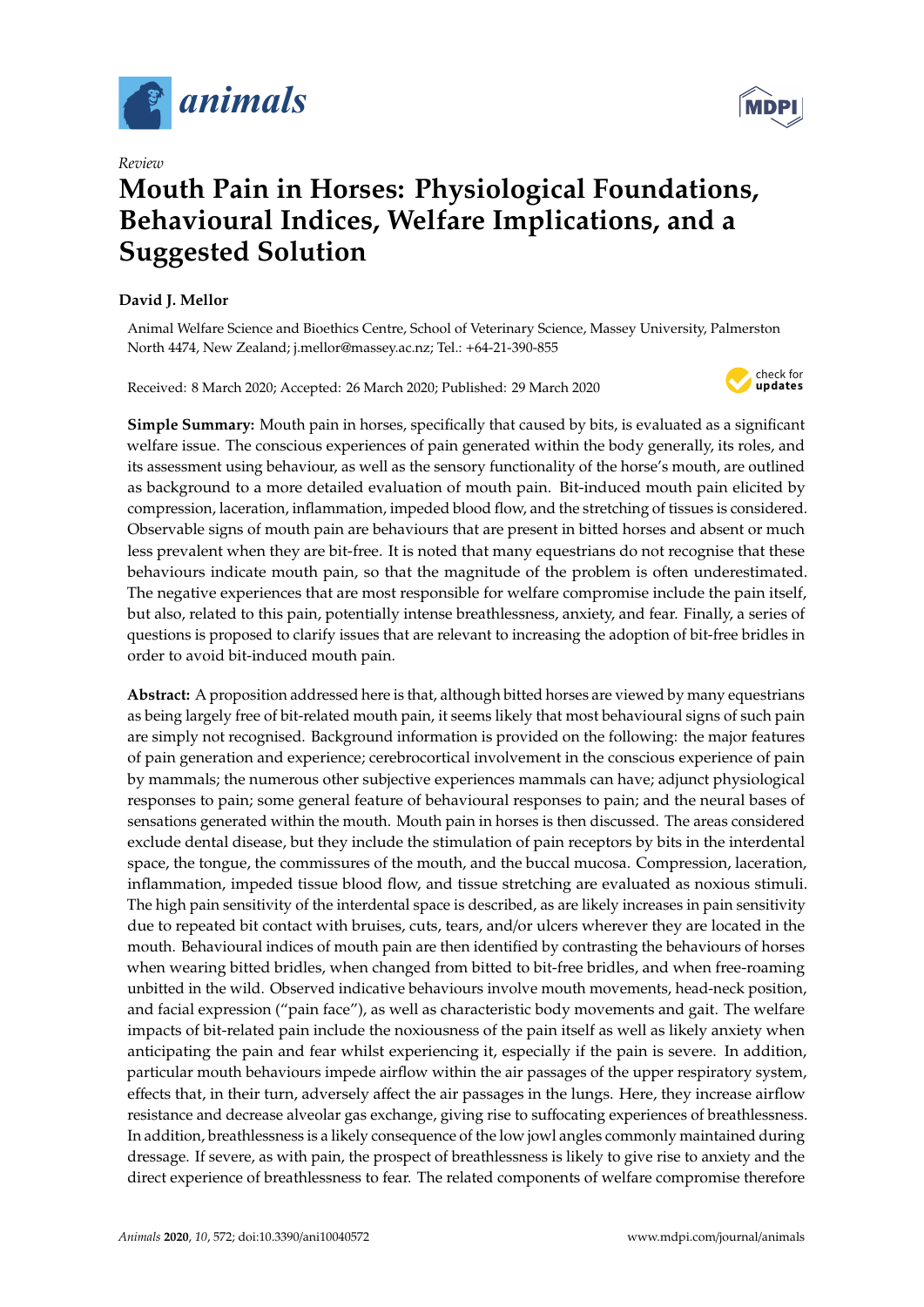

*Review*

# **Mouth Pain in Horses: Physiological Foundations, Behavioural Indices, Welfare Implications, and a Suggested Solution**

## **David J. Mellor**

Animal Welfare Science and Bioethics Centre, School of Veterinary Science, Massey University, Palmerston North 4474, New Zealand; j.mellor@massey.ac.nz; Tel.: +64-21-390-855

Received: 8 March 2020; Accepted: 26 March 2020; Published: 29 March 2020



**Simple Summary:** Mouth pain in horses, specifically that caused by bits, is evaluated as a significant welfare issue. The conscious experiences of pain generated within the body generally, its roles, and its assessment using behaviour, as well as the sensory functionality of the horse's mouth, are outlined as background to a more detailed evaluation of mouth pain. Bit-induced mouth pain elicited by compression, laceration, inflammation, impeded blood flow, and the stretching of tissues is considered. Observable signs of mouth pain are behaviours that are present in bitted horses and absent or much less prevalent when they are bit-free. It is noted that many equestrians do not recognise that these behaviours indicate mouth pain, so that the magnitude of the problem is often underestimated. The negative experiences that are most responsible for welfare compromise include the pain itself, but also, related to this pain, potentially intense breathlessness, anxiety, and fear. Finally, a series of questions is proposed to clarify issues that are relevant to increasing the adoption of bit-free bridles in order to avoid bit-induced mouth pain.

**Abstract:** A proposition addressed here is that, although bitted horses are viewed by many equestrians as being largely free of bit-related mouth pain, it seems likely that most behavioural signs of such pain are simply not recognised. Background information is provided on the following: the major features of pain generation and experience; cerebrocortical involvement in the conscious experience of pain by mammals; the numerous other subjective experiences mammals can have; adjunct physiological responses to pain; some general feature of behavioural responses to pain; and the neural bases of sensations generated within the mouth. Mouth pain in horses is then discussed. The areas considered exclude dental disease, but they include the stimulation of pain receptors by bits in the interdental space, the tongue, the commissures of the mouth, and the buccal mucosa. Compression, laceration, inflammation, impeded tissue blood flow, and tissue stretching are evaluated as noxious stimuli. The high pain sensitivity of the interdental space is described, as are likely increases in pain sensitivity due to repeated bit contact with bruises, cuts, tears, and/or ulcers wherever they are located in the mouth. Behavioural indices of mouth pain are then identified by contrasting the behaviours of horses when wearing bitted bridles, when changed from bitted to bit-free bridles, and when free-roaming unbitted in the wild. Observed indicative behaviours involve mouth movements, head-neck position, and facial expression ("pain face"), as well as characteristic body movements and gait. The welfare impacts of bit-related pain include the noxiousness of the pain itself as well as likely anxiety when anticipating the pain and fear whilst experiencing it, especially if the pain is severe. In addition, particular mouth behaviours impede airflow within the air passages of the upper respiratory system, effects that, in their turn, adversely affect the air passages in the lungs. Here, they increase airflow resistance and decrease alveolar gas exchange, giving rise to suffocating experiences of breathlessness. In addition, breathlessness is a likely consequence of the low jowl angles commonly maintained during dressage. If severe, as with pain, the prospect of breathlessness is likely to give rise to anxiety and the direct experience of breathlessness to fear. The related components of welfare compromise therefore

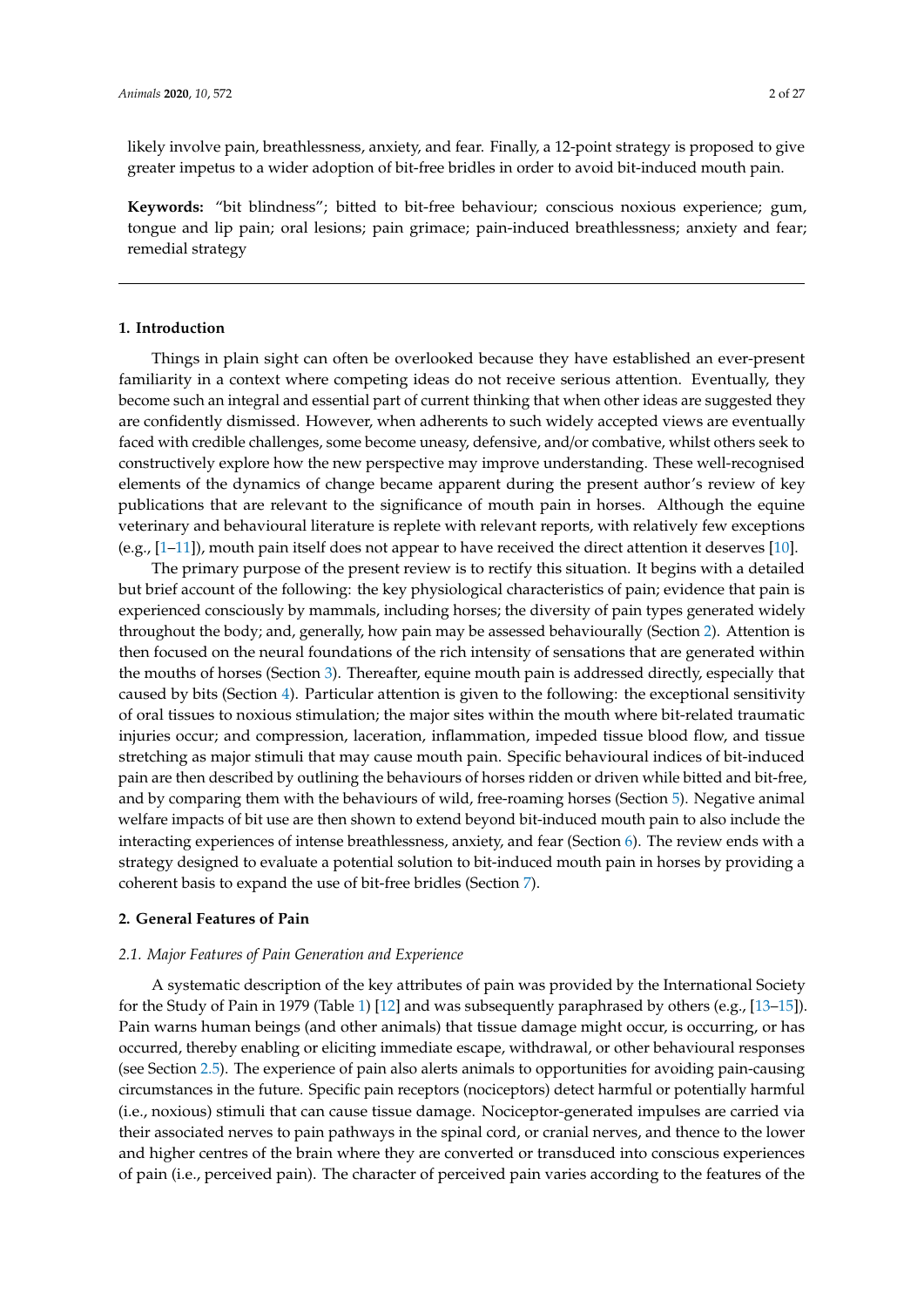likely involve pain, breathlessness, anxiety, and fear. Finally, a 12-point strategy is proposed to give greater impetus to a wider adoption of bit-free bridles in order to avoid bit-induced mouth pain.

**Keywords:** "bit blindness"; bitted to bit-free behaviour; conscious noxious experience; gum, tongue and lip pain; oral lesions; pain grimace; pain-induced breathlessness; anxiety and fear; remedial strategy

#### **1. Introduction**

Things in plain sight can often be overlooked because they have established an ever-present familiarity in a context where competing ideas do not receive serious attention. Eventually, they become such an integral and essential part of current thinking that when other ideas are suggested they are confidently dismissed. However, when adherents to such widely accepted views are eventually faced with credible challenges, some become uneasy, defensive, and/or combative, whilst others seek to constructively explore how the new perspective may improve understanding. These well-recognised elements of the dynamics of change became apparent during the present author's review of key publications that are relevant to the significance of mouth pain in horses. Although the equine veterinary and behavioural literature is replete with relevant reports, with relatively few exceptions (e.g., [\[1](#page-18-0)[–11\]](#page-19-0)), mouth pain itself does not appear to have received the direct attention it deserves [\[10\]](#page-19-1).

The primary purpose of the present review is to rectify this situation. It begins with a detailed but brief account of the following: the key physiological characteristics of pain; evidence that pain is experienced consciously by mammals, including horses; the diversity of pain types generated widely throughout the body; and, generally, how pain may be assessed behaviourally (Section [2\)](#page-2-0). Attention is then focused on the neural foundations of the rich intensity of sensations that are generated within the mouths of horses (Section [3\)](#page-6-0). Thereafter, equine mouth pain is addressed directly, especially that caused by bits (Section [4\)](#page-7-0). Particular attention is given to the following: the exceptional sensitivity of oral tissues to noxious stimulation; the major sites within the mouth where bit-related traumatic injuries occur; and compression, laceration, inflammation, impeded tissue blood flow, and tissue stretching as major stimuli that may cause mouth pain. Specific behavioural indices of bit-induced pain are then described by outlining the behaviours of horses ridden or driven while bitted and bit-free, and by comparing them with the behaviours of wild, free-roaming horses (Section [5\)](#page-12-0). Negative animal welfare impacts of bit use are then shown to extend beyond bit-induced mouth pain to also include the interacting experiences of intense breathlessness, anxiety, and fear (Section [6\)](#page-14-0). The review ends with a strategy designed to evaluate a potential solution to bit-induced mouth pain in horses by providing a coherent basis to expand the use of bit-free bridles (Section [7\)](#page-16-0).

#### <span id="page-2-0"></span>**2. General Features of Pain**

#### *2.1. Major Features of Pain Generation and Experience*

A systematic description of the key attributes of pain was provided by the International Society for the Study of Pain in 1979 (Table [1\)](#page-3-0) [\[12\]](#page-19-2) and was subsequently paraphrased by others (e.g., [\[13–](#page-19-3)[15\]](#page-19-4)). Pain warns human beings (and other animals) that tissue damage might occur, is occurring, or has occurred, thereby enabling or eliciting immediate escape, withdrawal, or other behavioural responses (see Section [2.5\)](#page-5-0). The experience of pain also alerts animals to opportunities for avoiding pain-causing circumstances in the future. Specific pain receptors (nociceptors) detect harmful or potentially harmful (i.e., noxious) stimuli that can cause tissue damage. Nociceptor-generated impulses are carried via their associated nerves to pain pathways in the spinal cord, or cranial nerves, and thence to the lower and higher centres of the brain where they are converted or transduced into conscious experiences of pain (i.e., perceived pain). The character of perceived pain varies according to the features of the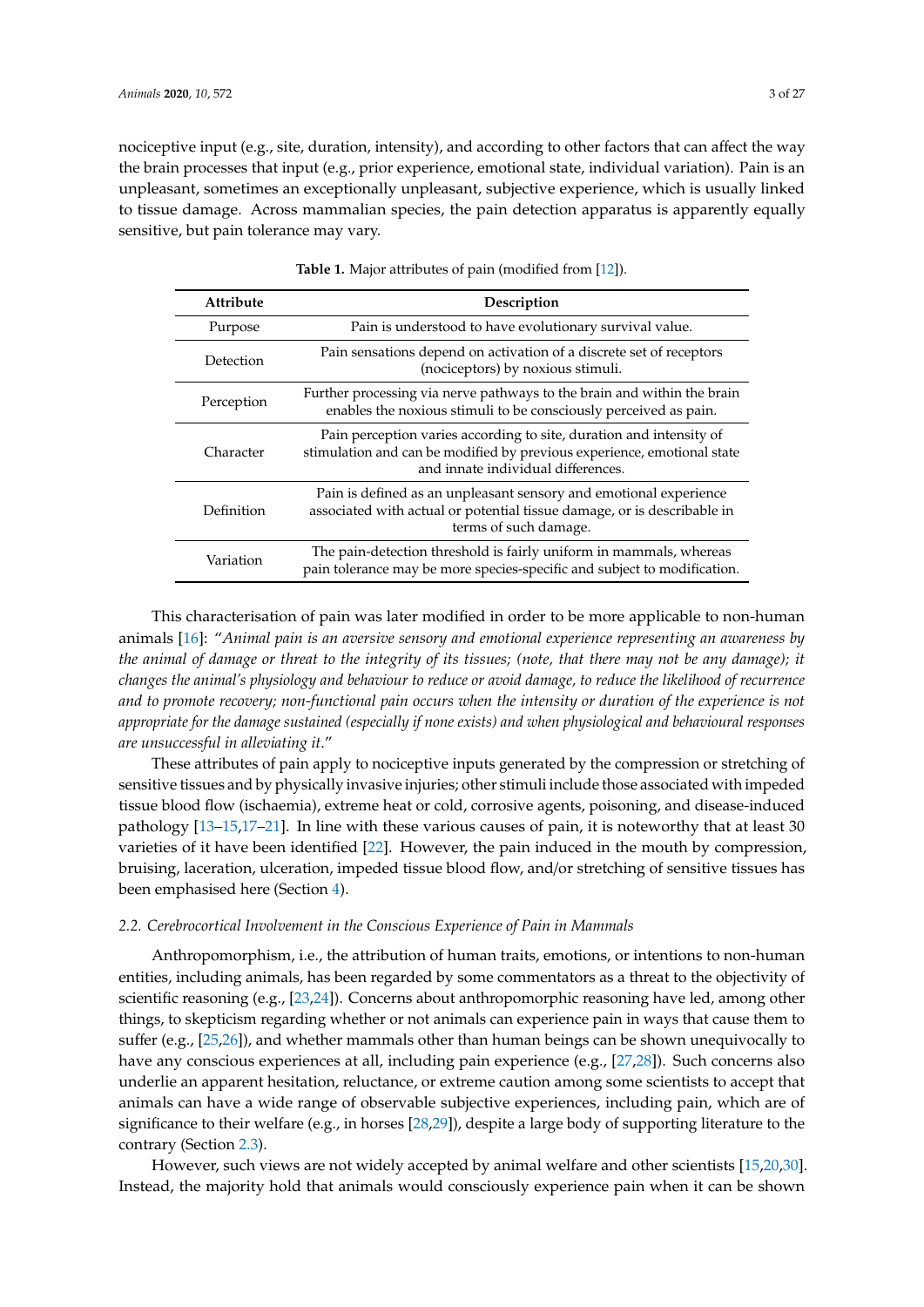nociceptive input (e.g., site, duration, intensity), and according to other factors that can affect the way the brain processes that input (e.g., prior experience, emotional state, individual variation). Pain is an unpleasant, sometimes an exceptionally unpleasant, subjective experience, which is usually linked to tissue damage. Across mammalian species, the pain detection apparatus is apparently equally sensitive, but pain tolerance may vary.

<span id="page-3-0"></span>

| <b>Attribute</b> | Description                                                                                                                                                                          |
|------------------|--------------------------------------------------------------------------------------------------------------------------------------------------------------------------------------|
| Purpose          | Pain is understood to have evolutionary survival value.                                                                                                                              |
| Detection        | Pain sensations depend on activation of a discrete set of receptors<br>(nociceptors) by noxious stimuli.                                                                             |
| Perception       | Further processing via nerve pathways to the brain and within the brain<br>enables the noxious stimuli to be consciously perceived as pain.                                          |
| Character        | Pain perception varies according to site, duration and intensity of<br>stimulation and can be modified by previous experience, emotional state<br>and innate individual differences. |
| Definition       | Pain is defined as an unpleasant sensory and emotional experience<br>associated with actual or potential tissue damage, or is describable in<br>terms of such damage.                |
| Variation        | The pain-detection threshold is fairly uniform in mammals, whereas<br>pain tolerance may be more species-specific and subject to modification.                                       |

|  |  |  | <b>Table 1.</b> Major attributes of pain (modified from [12]). |  |  |  |  |  |  |  |  |
|--|--|--|----------------------------------------------------------------|--|--|--|--|--|--|--|--|
|--|--|--|----------------------------------------------------------------|--|--|--|--|--|--|--|--|

This characterisation of pain was later modified in order to be more applicable to non-human animals [\[16\]](#page-19-5): "*Animal pain is an aversive sensory and emotional experience representing an awareness by the animal of damage or threat to the integrity of its tissues; (note, that there may not be any damage); it changes the animal's physiology and behaviour to reduce or avoid damage, to reduce the likelihood of recurrence and to promote recovery; non-functional pain occurs when the intensity or duration of the experience is not appropriate for the damage sustained (especially if none exists) and when physiological and behavioural responses are unsuccessful in alleviating it*."

These attributes of pain apply to nociceptive inputs generated by the compression or stretching of sensitive tissues and by physically invasive injuries; other stimuli include those associated with impeded tissue blood flow (ischaemia), extreme heat or cold, corrosive agents, poisoning, and disease-induced pathology [\[13](#page-19-3)[–15](#page-19-4)[,17–](#page-19-6)[21\]](#page-19-7). In line with these various causes of pain, it is noteworthy that at least 30 varieties of it have been identified [\[22\]](#page-19-8). However, the pain induced in the mouth by compression, bruising, laceration, ulceration, impeded tissue blood flow, and/or stretching of sensitive tissues has been emphasised here (Section [4\)](#page-7-0).

#### *2.2. Cerebrocortical Involvement in the Conscious Experience of Pain in Mammals*

Anthropomorphism, i.e., the attribution of human traits, emotions, or intentions to non-human entities, including animals, has been regarded by some commentators as a threat to the objectivity of scientific reasoning (e.g., [\[23,](#page-19-9)[24\]](#page-19-10)). Concerns about anthropomorphic reasoning have led, among other things, to skepticism regarding whether or not animals can experience pain in ways that cause them to suffer (e.g., [\[25](#page-19-11)[,26\]](#page-19-12)), and whether mammals other than human beings can be shown unequivocally to have any conscious experiences at all, including pain experience (e.g., [\[27](#page-19-13)[,28\]](#page-19-14)). Such concerns also underlie an apparent hesitation, reluctance, or extreme caution among some scientists to accept that animals can have a wide range of observable subjective experiences, including pain, which are of significance to their welfare (e.g., in horses [\[28,](#page-19-14)[29\]](#page-20-0)), despite a large body of supporting literature to the contrary (Section [2.3\)](#page-4-0).

However, such views are not widely accepted by animal welfare and other scientists [\[15,](#page-19-4)[20,](#page-19-15)[30\]](#page-20-1). Instead, the majority hold that animals would consciously experience pain when it can be shown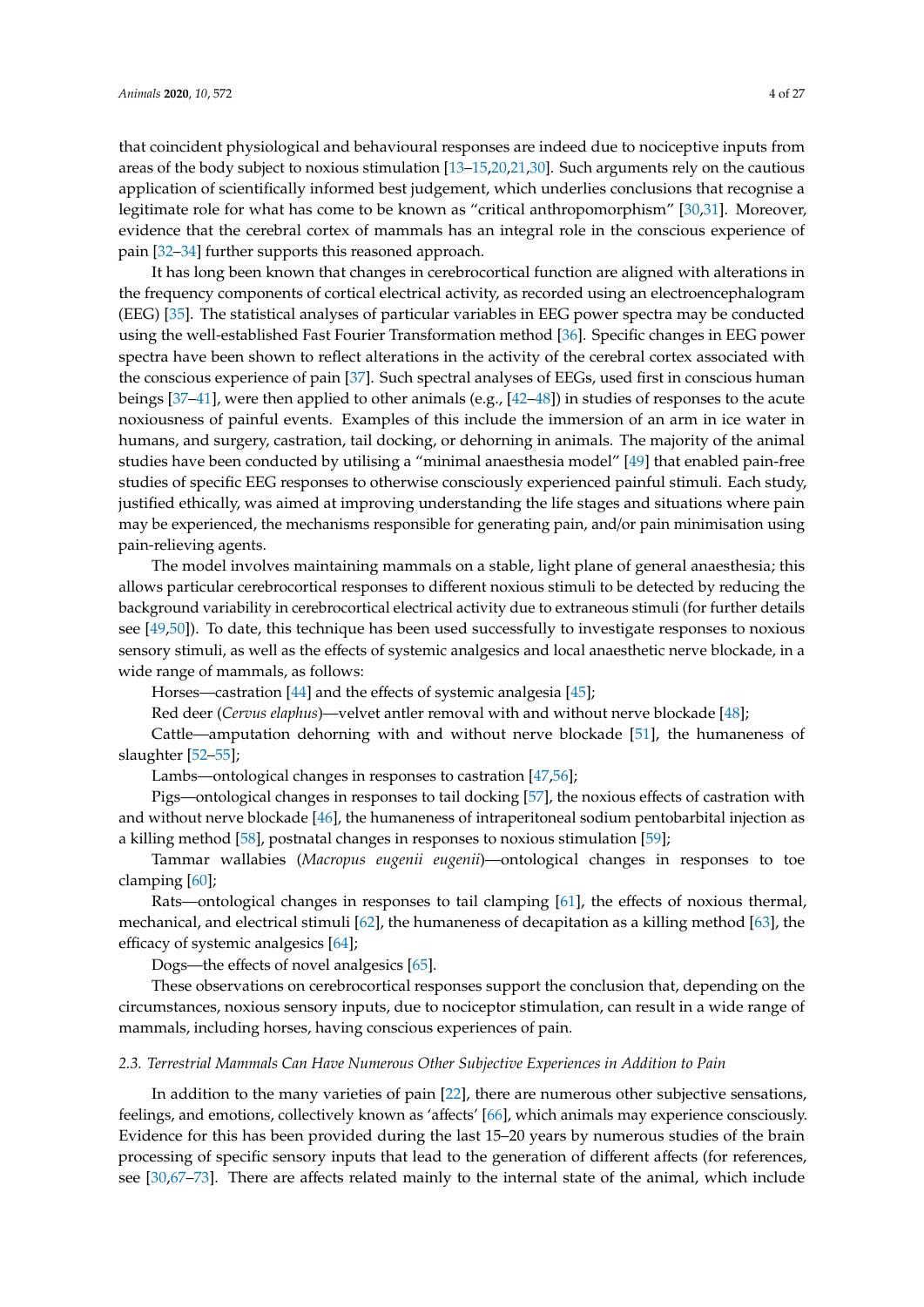that coincident physiological and behavioural responses are indeed due to nociceptive inputs from areas of the body subject to noxious stimulation [\[13](#page-19-3)[–15,](#page-19-4)[20,](#page-19-15)[21](#page-19-7)[,30\]](#page-20-1). Such arguments rely on the cautious application of scientifically informed best judgement, which underlies conclusions that recognise a legitimate role for what has come to be known as "critical anthropomorphism" [\[30](#page-20-1)[,31\]](#page-20-2). Moreover, evidence that the cerebral cortex of mammals has an integral role in the conscious experience of pain [\[32–](#page-20-3)[34\]](#page-20-4) further supports this reasoned approach.

It has long been known that changes in cerebrocortical function are aligned with alterations in the frequency components of cortical electrical activity, as recorded using an electroencephalogram (EEG) [\[35\]](#page-20-5). The statistical analyses of particular variables in EEG power spectra may be conducted using the well-established Fast Fourier Transformation method [\[36\]](#page-20-6). Specific changes in EEG power spectra have been shown to reflect alterations in the activity of the cerebral cortex associated with the conscious experience of pain [\[37\]](#page-20-7). Such spectral analyses of EEGs, used first in conscious human beings [\[37](#page-20-7)[–41\]](#page-20-8), were then applied to other animals (e.g., [\[42–](#page-20-9)[48\]](#page-20-10)) in studies of responses to the acute noxiousness of painful events. Examples of this include the immersion of an arm in ice water in humans, and surgery, castration, tail docking, or dehorning in animals. The majority of the animal studies have been conducted by utilising a "minimal anaesthesia model" [\[49\]](#page-20-11) that enabled pain-free studies of specific EEG responses to otherwise consciously experienced painful stimuli. Each study, justified ethically, was aimed at improving understanding the life stages and situations where pain may be experienced, the mechanisms responsible for generating pain, and/or pain minimisation using pain-relieving agents.

The model involves maintaining mammals on a stable, light plane of general anaesthesia; this allows particular cerebrocortical responses to different noxious stimuli to be detected by reducing the background variability in cerebrocortical electrical activity due to extraneous stimuli (for further details see [\[49](#page-20-11)[,50\]](#page-20-12)). To date, this technique has been used successfully to investigate responses to noxious sensory stimuli, as well as the effects of systemic analgesics and local anaesthetic nerve blockade, in a wide range of mammals, as follows:

Horses—castration [\[44\]](#page-20-13) and the effects of systemic analgesia [\[45\]](#page-20-14);

Red deer (*Cervus elaphus*)—velvet antler removal with and without nerve blockade [\[48\]](#page-20-10);

Cattle—amputation dehorning with and without nerve blockade [\[51\]](#page-20-15), the humaneness of slaughter [\[52–](#page-21-0)[55\]](#page-21-1);

Lambs—ontological changes in responses to castration [\[47](#page-20-16)[,56\]](#page-21-2);

Pigs—ontological changes in responses to tail docking [\[57\]](#page-21-3), the noxious effects of castration with and without nerve blockade [\[46\]](#page-20-17), the humaneness of intraperitoneal sodium pentobarbital injection as a killing method [\[58\]](#page-21-4), postnatal changes in responses to noxious stimulation [\[59\]](#page-21-5);

Tammar wallabies (*Macropus eugenii eugenii*)—ontological changes in responses to toe clamping [\[60\]](#page-21-6);

Rats—ontological changes in responses to tail clamping [\[61\]](#page-21-7), the effects of noxious thermal, mechanical, and electrical stimuli [\[62\]](#page-21-8), the humaneness of decapitation as a killing method [\[63\]](#page-21-9), the efficacy of systemic analgesics [\[64\]](#page-21-10);

Dogs—the effects of novel analgesics [\[65\]](#page-21-11).

These observations on cerebrocortical responses support the conclusion that, depending on the circumstances, noxious sensory inputs, due to nociceptor stimulation, can result in a wide range of mammals, including horses, having conscious experiences of pain.

#### <span id="page-4-0"></span>*2.3. Terrestrial Mammals Can Have Numerous Other Subjective Experiences in Addition to Pain*

In addition to the many varieties of pain [\[22\]](#page-19-8), there are numerous other subjective sensations, feelings, and emotions, collectively known as 'affects' [\[66\]](#page-21-12), which animals may experience consciously. Evidence for this has been provided during the last 15–20 years by numerous studies of the brain processing of specific sensory inputs that lead to the generation of different affects (for references, see [\[30](#page-20-1)[,67–](#page-21-13)[73\]](#page-22-0). There are affects related mainly to the internal state of the animal, which include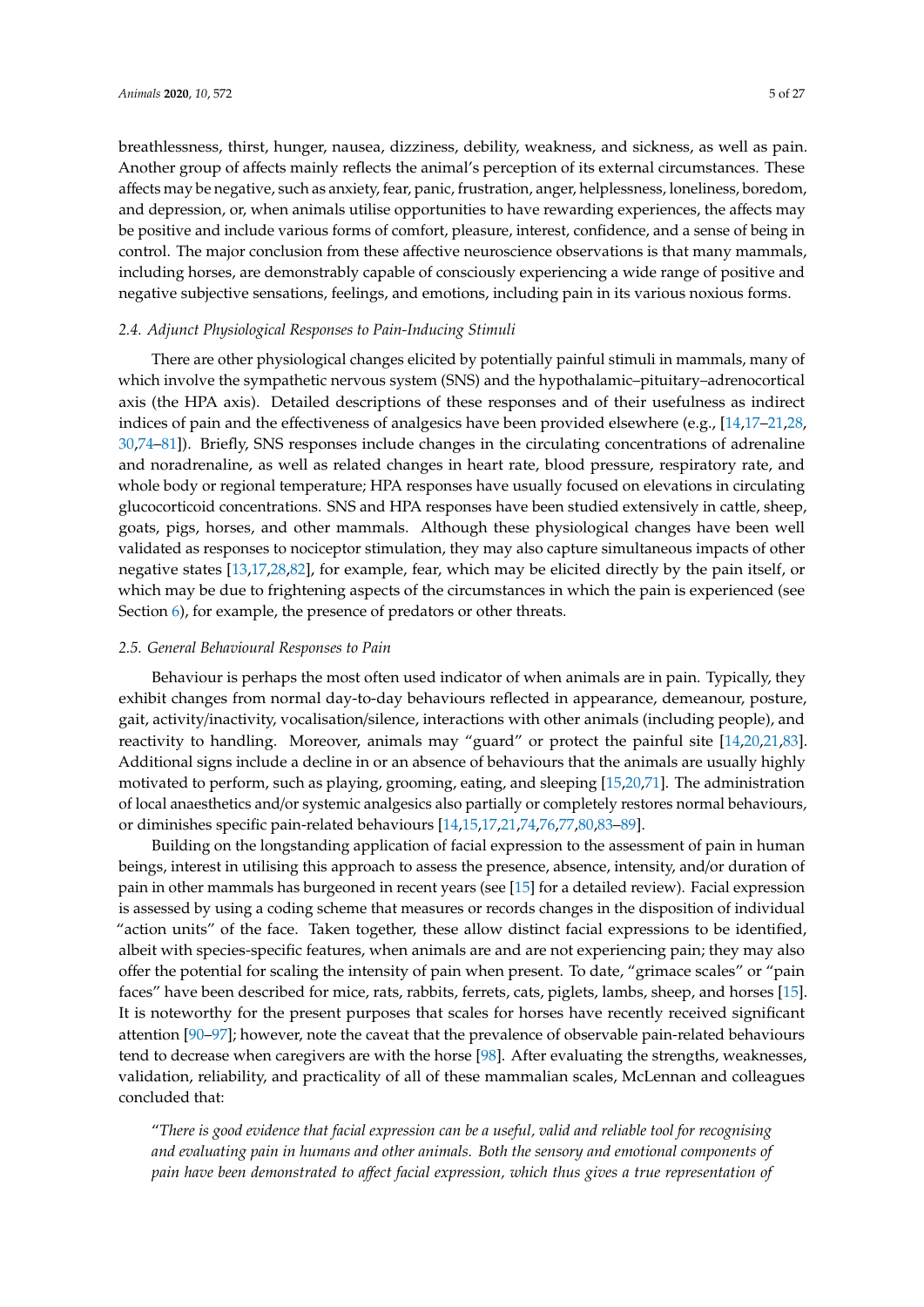breathlessness, thirst, hunger, nausea, dizziness, debility, weakness, and sickness, as well as pain. Another group of affects mainly reflects the animal's perception of its external circumstances. These affects may be negative, such as anxiety, fear, panic, frustration, anger, helplessness, loneliness, boredom, and depression, or, when animals utilise opportunities to have rewarding experiences, the affects may be positive and include various forms of comfort, pleasure, interest, confidence, and a sense of being in control. The major conclusion from these affective neuroscience observations is that many mammals, including horses, are demonstrably capable of consciously experiencing a wide range of positive and negative subjective sensations, feelings, and emotions, including pain in its various noxious forms.

#### *2.4. Adjunct Physiological Responses to Pain-Inducing Stimuli*

There are other physiological changes elicited by potentially painful stimuli in mammals, many of which involve the sympathetic nervous system (SNS) and the hypothalamic–pituitary–adrenocortical axis (the HPA axis). Detailed descriptions of these responses and of their usefulness as indirect indices of pain and the effectiveness of analgesics have been provided elsewhere (e.g., [\[14](#page-19-16)[,17–](#page-19-6)[21](#page-19-7)[,28,](#page-19-14) [30](#page-20-1)[,74](#page-22-1)[–81\]](#page-22-2)). Briefly, SNS responses include changes in the circulating concentrations of adrenaline and noradrenaline, as well as related changes in heart rate, blood pressure, respiratory rate, and whole body or regional temperature; HPA responses have usually focused on elevations in circulating glucocorticoid concentrations. SNS and HPA responses have been studied extensively in cattle, sheep, goats, pigs, horses, and other mammals. Although these physiological changes have been well validated as responses to nociceptor stimulation, they may also capture simultaneous impacts of other negative states [\[13](#page-19-3)[,17](#page-19-6)[,28](#page-19-14)[,82\]](#page-22-3), for example, fear, which may be elicited directly by the pain itself, or which may be due to frightening aspects of the circumstances in which the pain is experienced (see Section [6\)](#page-14-0), for example, the presence of predators or other threats.

#### <span id="page-5-0"></span>*2.5. General Behavioural Responses to Pain*

Behaviour is perhaps the most often used indicator of when animals are in pain. Typically, they exhibit changes from normal day-to-day behaviours reflected in appearance, demeanour, posture, gait, activity/inactivity, vocalisation/silence, interactions with other animals (including people), and reactivity to handling. Moreover, animals may "guard" or protect the painful site [\[14,](#page-19-16)[20,](#page-19-15)[21,](#page-19-7)[83\]](#page-22-4). Additional signs include a decline in or an absence of behaviours that the animals are usually highly motivated to perform, such as playing, grooming, eating, and sleeping [\[15,](#page-19-4)[20,](#page-19-15)[71\]](#page-21-14). The administration of local anaesthetics and/or systemic analgesics also partially or completely restores normal behaviours, or diminishes specific pain-related behaviours [\[14](#page-19-16)[,15](#page-19-4)[,17](#page-19-6)[,21](#page-19-7)[,74](#page-22-1)[,76](#page-22-5)[,77,](#page-22-6)[80,](#page-22-7)[83](#page-22-4)[–89\]](#page-22-8).

Building on the longstanding application of facial expression to the assessment of pain in human beings, interest in utilising this approach to assess the presence, absence, intensity, and/or duration of pain in other mammals has burgeoned in recent years (see [\[15\]](#page-19-4) for a detailed review). Facial expression is assessed by using a coding scheme that measures or records changes in the disposition of individual "action units" of the face. Taken together, these allow distinct facial expressions to be identified, albeit with species-specific features, when animals are and are not experiencing pain; they may also offer the potential for scaling the intensity of pain when present. To date, "grimace scales" or "pain faces" have been described for mice, rats, rabbits, ferrets, cats, piglets, lambs, sheep, and horses [\[15\]](#page-19-4). It is noteworthy for the present purposes that scales for horses have recently received significant attention [\[90–](#page-22-9)[97\]](#page-23-0); however, note the caveat that the prevalence of observable pain-related behaviours tend to decrease when caregivers are with the horse [\[98\]](#page-23-1). After evaluating the strengths, weaknesses, validation, reliability, and practicality of all of these mammalian scales, McLennan and colleagues concluded that:

"*There is good evidence that facial expression can be a useful, valid and reliable tool for recognising and evaluating pain in humans and other animals. Both the sensory and emotional components of pain have been demonstrated to a*ff*ect facial expression, which thus gives a true representation of*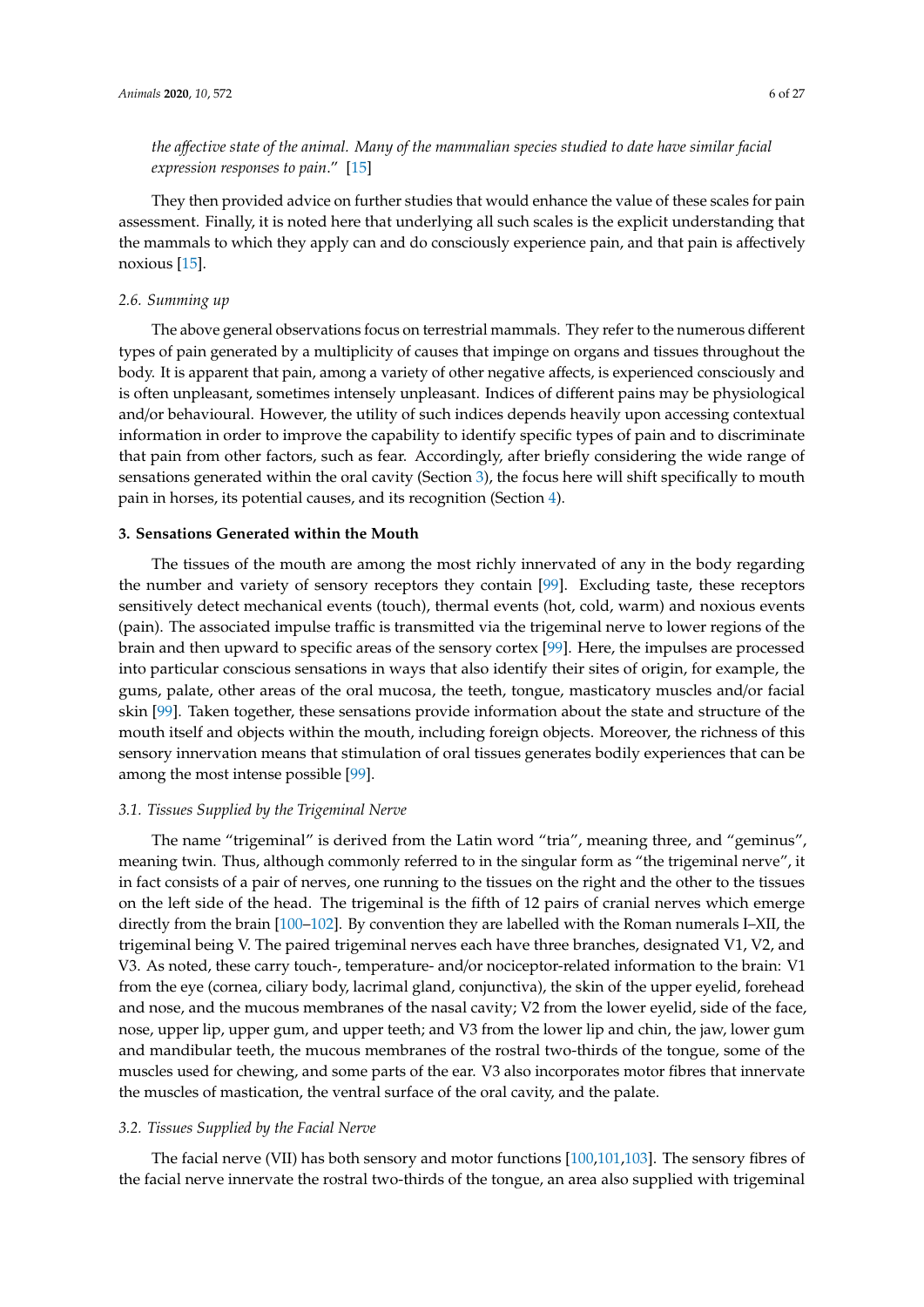## *the a*ff*ective state of the animal. Many of the mammalian species studied to date have similar facial expression responses to pain*." [\[15\]](#page-19-4)

They then provided advice on further studies that would enhance the value of these scales for pain assessment. Finally, it is noted here that underlying all such scales is the explicit understanding that the mammals to which they apply can and do consciously experience pain, and that pain is affectively noxious [\[15\]](#page-19-4).

#### *2.6. Summing up*

The above general observations focus on terrestrial mammals. They refer to the numerous different types of pain generated by a multiplicity of causes that impinge on organs and tissues throughout the body. It is apparent that pain, among a variety of other negative affects, is experienced consciously and is often unpleasant, sometimes intensely unpleasant. Indices of different pains may be physiological and/or behavioural. However, the utility of such indices depends heavily upon accessing contextual information in order to improve the capability to identify specific types of pain and to discriminate that pain from other factors, such as fear. Accordingly, after briefly considering the wide range of sensations generated within the oral cavity (Section [3\)](#page-6-0), the focus here will shift specifically to mouth pain in horses, its potential causes, and its recognition (Section [4\)](#page-7-0).

#### <span id="page-6-0"></span>**3. Sensations Generated within the Mouth**

The tissues of the mouth are among the most richly innervated of any in the body regarding the number and variety of sensory receptors they contain [\[99\]](#page-23-2). Excluding taste, these receptors sensitively detect mechanical events (touch), thermal events (hot, cold, warm) and noxious events (pain). The associated impulse traffic is transmitted via the trigeminal nerve to lower regions of the brain and then upward to specific areas of the sensory cortex [\[99\]](#page-23-2). Here, the impulses are processed into particular conscious sensations in ways that also identify their sites of origin, for example, the gums, palate, other areas of the oral mucosa, the teeth, tongue, masticatory muscles and/or facial skin [\[99\]](#page-23-2). Taken together, these sensations provide information about the state and structure of the mouth itself and objects within the mouth, including foreign objects. Moreover, the richness of this sensory innervation means that stimulation of oral tissues generates bodily experiences that can be among the most intense possible [\[99\]](#page-23-2).

#### *3.1. Tissues Supplied by the Trigeminal Nerve*

The name "trigeminal" is derived from the Latin word "tria", meaning three, and "geminus", meaning twin. Thus, although commonly referred to in the singular form as "the trigeminal nerve", it in fact consists of a pair of nerves, one running to the tissues on the right and the other to the tissues on the left side of the head. The trigeminal is the fifth of 12 pairs of cranial nerves which emerge directly from the brain [\[100](#page-23-3)[–102\]](#page-23-4). By convention they are labelled with the Roman numerals I–XII, the trigeminal being V. The paired trigeminal nerves each have three branches, designated V1, V2, and V3. As noted, these carry touch-, temperature- and/or nociceptor-related information to the brain: V1 from the eye (cornea, ciliary body, lacrimal gland, conjunctiva), the skin of the upper eyelid, forehead and nose, and the mucous membranes of the nasal cavity; V2 from the lower eyelid, side of the face, nose, upper lip, upper gum, and upper teeth; and V3 from the lower lip and chin, the jaw, lower gum and mandibular teeth, the mucous membranes of the rostral two-thirds of the tongue, some of the muscles used for chewing, and some parts of the ear. V3 also incorporates motor fibres that innervate the muscles of mastication, the ventral surface of the oral cavity, and the palate.

#### *3.2. Tissues Supplied by the Facial Nerve*

The facial nerve (VII) has both sensory and motor functions [\[100,](#page-23-3)[101,](#page-23-5)[103\]](#page-23-6). The sensory fibres of the facial nerve innervate the rostral two-thirds of the tongue, an area also supplied with trigeminal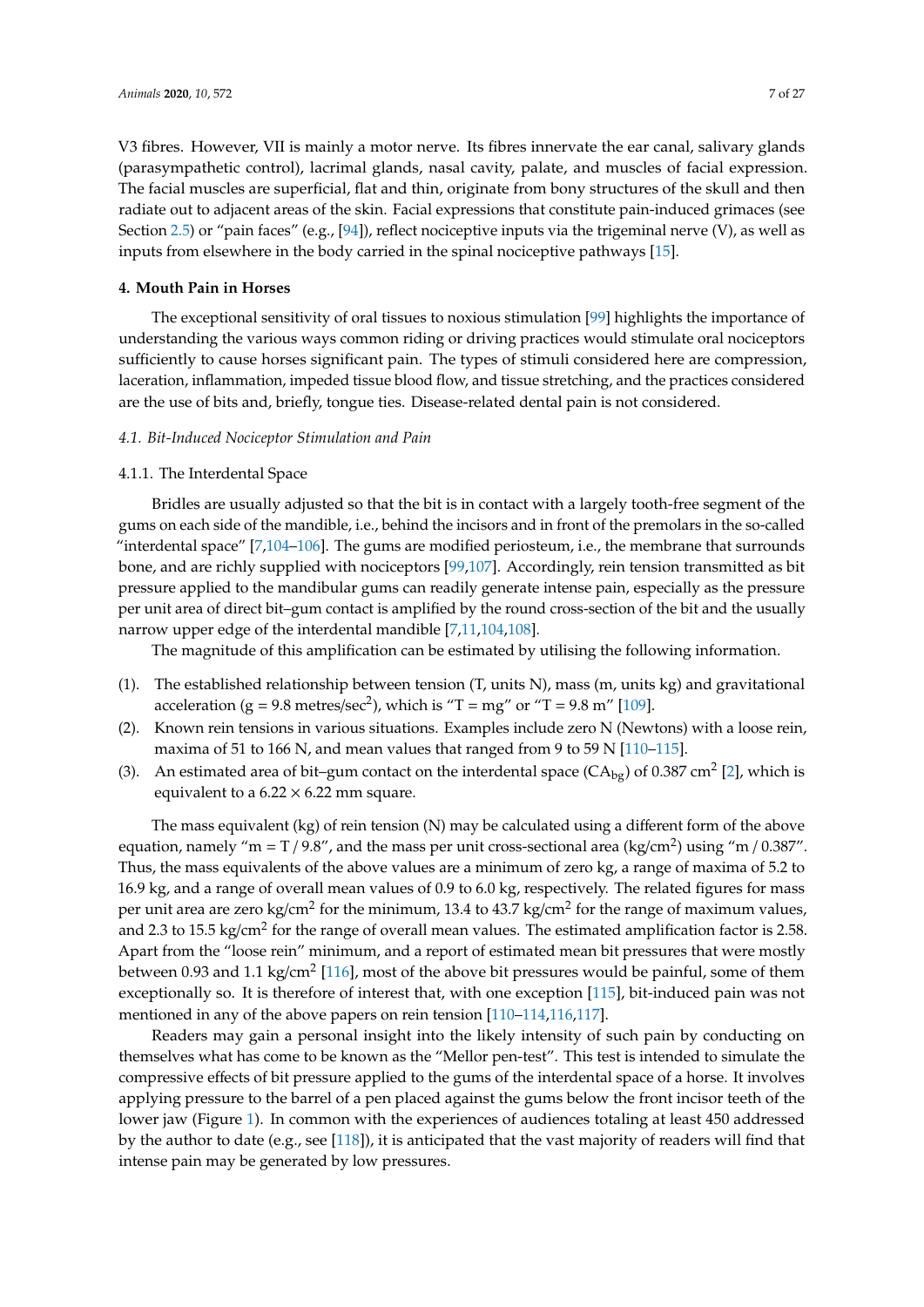V3 fibres. However, VII is mainly a motor nerve. Its fibres innervate the ear canal, salivary glands (parasympathetic control), lacrimal glands, nasal cavity, palate, and muscles of facial expression. The facial muscles are superficial, flat and thin, originate from bony structures of the skull and then radiate out to adjacent areas of the skin. Facial expressions that constitute pain-induced grimaces (see Section [2.5\)](#page-5-0) or "pain faces" (e.g., [\[94\]](#page-22-10)), reflect nociceptive inputs via the trigeminal nerve (V), as well as inputs from elsewhere in the body carried in the spinal nociceptive pathways [\[15\]](#page-19-4).

#### <span id="page-7-0"></span>**4. Mouth Pain in Horses**

The exceptional sensitivity of oral tissues to noxious stimulation [\[99\]](#page-23-2) highlights the importance of understanding the various ways common riding or driving practices would stimulate oral nociceptors sufficiently to cause horses significant pain. The types of stimuli considered here are compression, laceration, inflammation, impeded tissue blood flow, and tissue stretching, and the practices considered are the use of bits and, briefly, tongue ties. Disease-related dental pain is not considered.

#### *4.1. Bit-Induced Nociceptor Stimulation and Pain*

#### <span id="page-7-1"></span>4.1.1. The Interdental Space

Bridles are usually adjusted so that the bit is in contact with a largely tooth-free segment of the gums on each side of the mandible, i.e., behind the incisors and in front of the premolars in the so-called "interdental space"  $[7,104-106]$  $[7,104-106]$  $[7,104-106]$ . The gums are modified periosteum, i.e., the membrane that surrounds bone, and are richly supplied with nociceptors [\[99,](#page-23-2)[107\]](#page-23-9). Accordingly, rein tension transmitted as bit pressure applied to the mandibular gums can readily generate intense pain, especially as the pressure per unit area of direct bit–gum contact is amplified by the round cross-section of the bit and the usually narrow upper edge of the interdental mandible [\[7](#page-19-17)[,11](#page-19-0)[,104](#page-23-7)[,108\]](#page-23-10).

The magnitude of this amplification can be estimated by utilising the following information.

- (1). The established relationship between tension (T, units N), mass (m, units kg) and gravitational acceleration (g = 9.8 metres/sec<sup>2</sup>), which is "T = mg" or "T = 9.8 m" [\[109\]](#page-23-11).
- (2). Known rein tensions in various situations. Examples include zero N (Newtons) with a loose rein, maxima of 51 to 166 N, and mean values that ranged from 9 to 59 N [\[110–](#page-23-12)[115\]](#page-23-13).
- (3). An estimated area of bit–gum contact on the interdental space ( $CA_{bg}$ ) of 0.387 cm<sup>2</sup> [\[2\]](#page-19-18), which is equivalent to a  $6.22 \times 6.22$  mm square.

The mass equivalent (kg) of rein tension (N) may be calculated using a different form of the above equation, namely "m = T / 9.8", and the mass per unit cross-sectional area (kg/cm<sup>2</sup>) using "m / 0.387". Thus, the mass equivalents of the above values are a minimum of zero kg, a range of maxima of 5.2 to 16.9 kg, and a range of overall mean values of 0.9 to 6.0 kg, respectively. The related figures for mass per unit area are zero kg/cm $^2$  for the minimum, 13.4 to 43.7 kg/cm $^2$  for the range of maximum values, and 2.3 to 15.5 kg/cm<sup>2</sup> for the range of overall mean values. The estimated amplification factor is 2.58. Apart from the "loose rein" minimum, and a report of estimated mean bit pressures that were mostly between 0.93 and 1.1 kg/cm<sup>2</sup> [\[116\]](#page-23-14), most of the above bit pressures would be painful, some of them exceptionally so. It is therefore of interest that, with one exception [\[115\]](#page-23-13), bit-induced pain was not mentioned in any of the above papers on rein tension [\[110–](#page-23-12)[114,](#page-23-15)[116,](#page-23-14)[117\]](#page-23-16).

Readers may gain a personal insight into the likely intensity of such pain by conducting on themselves what has come to be known as the "Mellor pen-test". This test is intended to simulate the compressive effects of bit pressure applied to the gums of the interdental space of a horse. It involves applying pressure to the barrel of a pen placed against the gums below the front incisor teeth of the lower jaw (Figure [1\)](#page-8-0). In common with the experiences of audiences totaling at least 450 addressed by the author to date (e.g., see [\[118\]](#page-23-17)), it is anticipated that the vast majority of readers will find that intense pain may be generated by low pressures.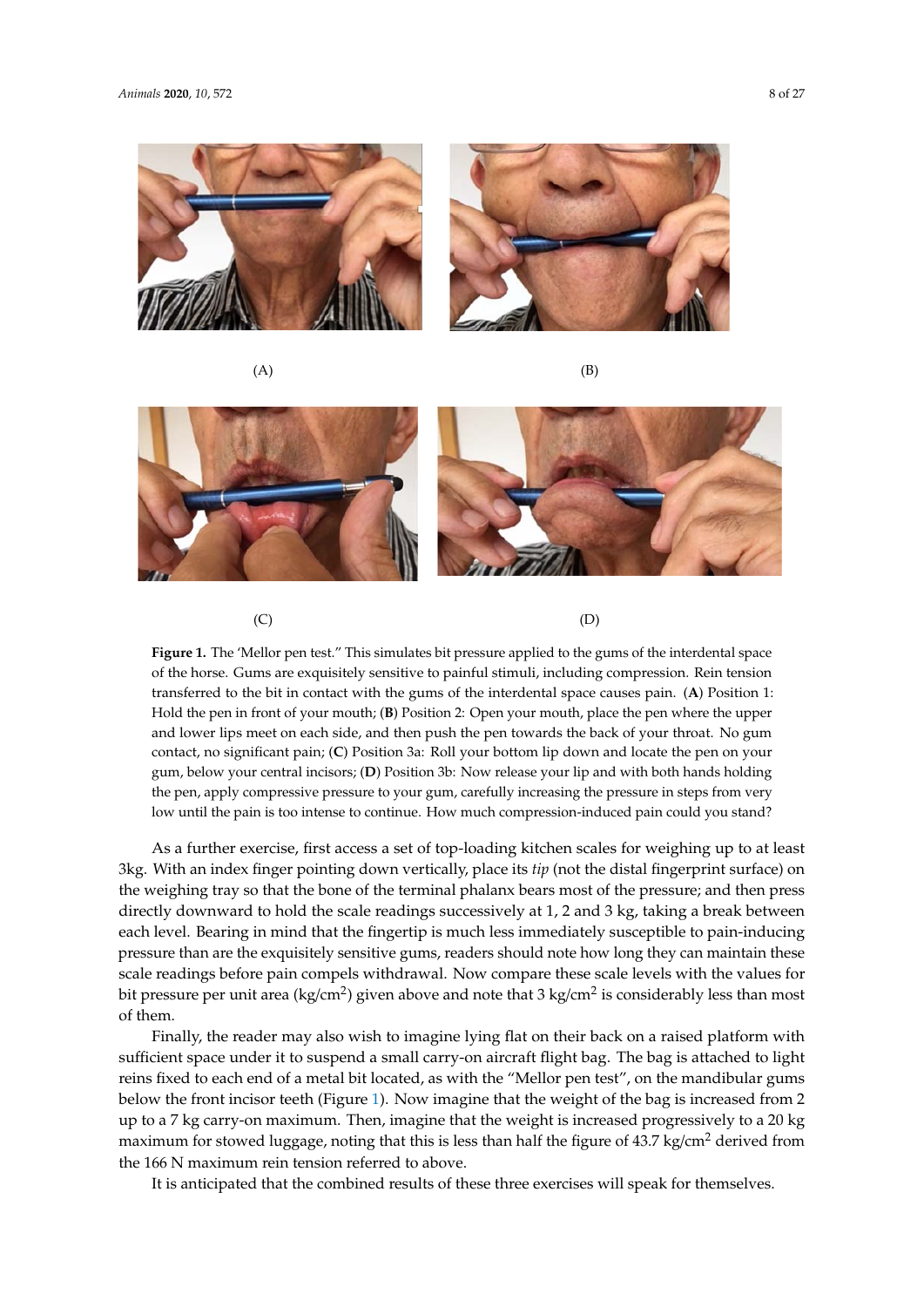*Animals* **2020**, *10*, 572 8 of 27

<span id="page-8-0"></span>







 $(C)$  (D)

of the horse. Gums are exquisitely sensitive to painful stimuli, including compression. Rein tension transferred to the bit in contact with the gums of the interdental space causes pain. (A) Position 1: Hold the pen in front of your mouth; (B) Position 2: Open your mouth, place the pen where the upper and lower lips meet on each side, and then push the pen towards the back of your throat. No gum contact, no significant pain; (C) Position 3a: Roll your bottom lip down and locate the pen on your gum, below your central incisors; (D) Position 3b: Now release your lip and with both hands holding the pen, apply compressive pressure to your gum, carefully increasing the pressure in steps from very low until the pain is too intense to continue. How much compression-induced pain could you stand? **Figure 1.** The 'Mellor pen test." This simulates bit pressure applied to the gums of the interdental space

As a further exercise, first access a set of top-loading kitchen scales for weighing up to at least the weighing tray so that the bone of the terminal phalanx bears most of the pressure; and then press directly downward to hold the scale readings successively at 1, 2 and 3 kg, taking a break between each level. Bearing in mind that the fingertip is much less immediately susceptible to pain-inducing pressure than are the exquisitely sensitive gums, readers should note how long they can maintain these scale readings before pain compels withdrawal. Now compare these scale levels with the values for bit pressure per unit area (kg/cm<sup>2</sup>) given above and note that 3 kg/cm<sup>2</sup> is considerably less than most  $\sigma$  scale reading before pair compare the values with the values  $\sigma$ 3kg. With an index finger pointing down vertically, place its *tip* (not the distal fingerprint surface) on of them.

Finally, the reader may also wish to imagine lying flat on their back on a raised platform with sufficient space under it to suspend a small carry-on aircraft flight bag. The bag is attached to light reins fixed to each end of a metal bit located, as with the "Mellor pen test", on the mandibular gums below the front incisor teeth (Figure 1). Now i[ma](#page-8-0)gine that the weight of the bag is increased from 2 up to a 7 kg carry-on maximum. Then, imagine that the weight is increased progressively to a 20 kg maximum for stowed luggage, noting that this is less than half the figure of  $43.7 \text{ kg/cm}^2$  derived from the 166 N maximum rein tension referred to above.

It is anticipated that the combined results of these three exercises will speak for themselves.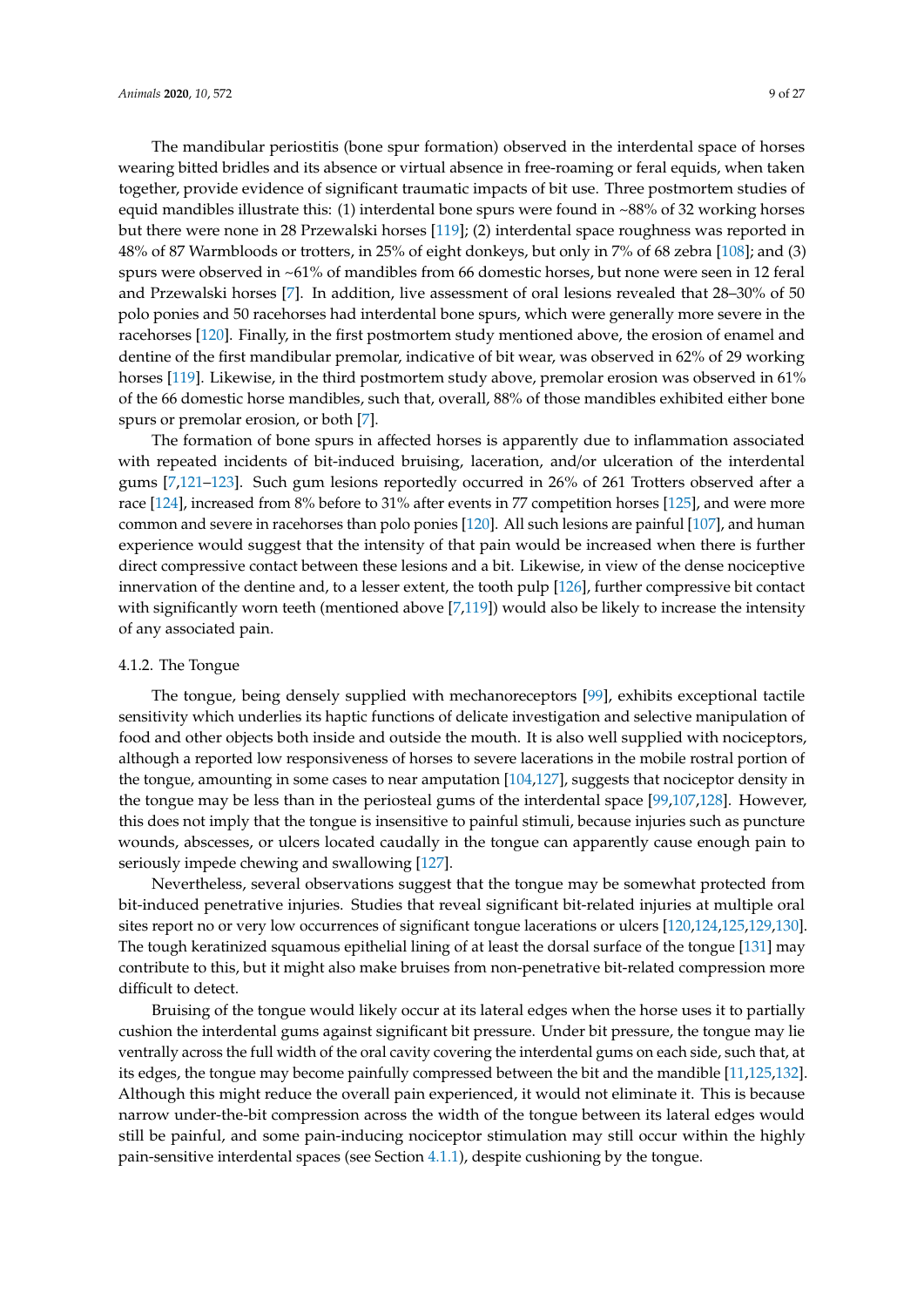The mandibular periostitis (bone spur formation) observed in the interdental space of horses wearing bitted bridles and its absence or virtual absence in free-roaming or feral equids, when taken together, provide evidence of significant traumatic impacts of bit use. Three postmortem studies of equid mandibles illustrate this: (1) interdental bone spurs were found in ~88% of 32 working horses but there were none in 28 Przewalski horses [\[119\]](#page-24-0); (2) interdental space roughness was reported in 48% of 87 Warmbloods or trotters, in 25% of eight donkeys, but only in 7% of 68 zebra [\[108\]](#page-23-10); and (3) spurs were observed in ~61% of mandibles from 66 domestic horses, but none were seen in 12 feral and Przewalski horses [\[7\]](#page-19-17). In addition, live assessment of oral lesions revealed that 28–30% of 50 polo ponies and 50 racehorses had interdental bone spurs, which were generally more severe in the racehorses [\[120\]](#page-24-1). Finally, in the first postmortem study mentioned above, the erosion of enamel and dentine of the first mandibular premolar, indicative of bit wear, was observed in 62% of 29 working horses [\[119\]](#page-24-0). Likewise, in the third postmortem study above, premolar erosion was observed in 61% of the 66 domestic horse mandibles, such that, overall, 88% of those mandibles exhibited either bone spurs or premolar erosion, or both [\[7\]](#page-19-17).

The formation of bone spurs in affected horses is apparently due to inflammation associated with repeated incidents of bit-induced bruising, laceration, and/or ulceration of the interdental gums [\[7](#page-19-17)[,121–](#page-24-2)[123\]](#page-24-3). Such gum lesions reportedly occurred in 26% of 261 Trotters observed after a race [\[124\]](#page-24-4), increased from 8% before to 31% after events in 77 competition horses [\[125\]](#page-24-5), and were more common and severe in racehorses than polo ponies [\[120\]](#page-24-1). All such lesions are painful [\[107\]](#page-23-9), and human experience would suggest that the intensity of that pain would be increased when there is further direct compressive contact between these lesions and a bit. Likewise, in view of the dense nociceptive innervation of the dentine and, to a lesser extent, the tooth pulp [\[126\]](#page-24-6), further compressive bit contact with significantly worn teeth (mentioned above [\[7](#page-19-17)[,119\]](#page-24-0)) would also be likely to increase the intensity of any associated pain.

#### <span id="page-9-0"></span>4.1.2. The Tongue

The tongue, being densely supplied with mechanoreceptors [\[99\]](#page-23-2), exhibits exceptional tactile sensitivity which underlies its haptic functions of delicate investigation and selective manipulation of food and other objects both inside and outside the mouth. It is also well supplied with nociceptors, although a reported low responsiveness of horses to severe lacerations in the mobile rostral portion of the tongue, amounting in some cases to near amputation [\[104](#page-23-7)[,127\]](#page-24-7), suggests that nociceptor density in the tongue may be less than in the periosteal gums of the interdental space [\[99](#page-23-2)[,107](#page-23-9)[,128\]](#page-24-8). However, this does not imply that the tongue is insensitive to painful stimuli, because injuries such as puncture wounds, abscesses, or ulcers located caudally in the tongue can apparently cause enough pain to seriously impede chewing and swallowing [\[127\]](#page-24-7).

Nevertheless, several observations suggest that the tongue may be somewhat protected from bit-induced penetrative injuries. Studies that reveal significant bit-related injuries at multiple oral sites report no or very low occurrences of significant tongue lacerations or ulcers [\[120,](#page-24-1)[124,](#page-24-4)[125](#page-24-5)[,129](#page-24-9)[,130\]](#page-24-10). The tough keratinized squamous epithelial lining of at least the dorsal surface of the tongue [\[131\]](#page-24-11) may contribute to this, but it might also make bruises from non-penetrative bit-related compression more difficult to detect.

Bruising of the tongue would likely occur at its lateral edges when the horse uses it to partially cushion the interdental gums against significant bit pressure. Under bit pressure, the tongue may lie ventrally across the full width of the oral cavity covering the interdental gums on each side, such that, at its edges, the tongue may become painfully compressed between the bit and the mandible [\[11](#page-19-0)[,125](#page-24-5)[,132\]](#page-24-12). Although this might reduce the overall pain experienced, it would not eliminate it. This is because narrow under-the-bit compression across the width of the tongue between its lateral edges would still be painful, and some pain-inducing nociceptor stimulation may still occur within the highly pain-sensitive interdental spaces (see Section [4.1.1\)](#page-7-1), despite cushioning by the tongue.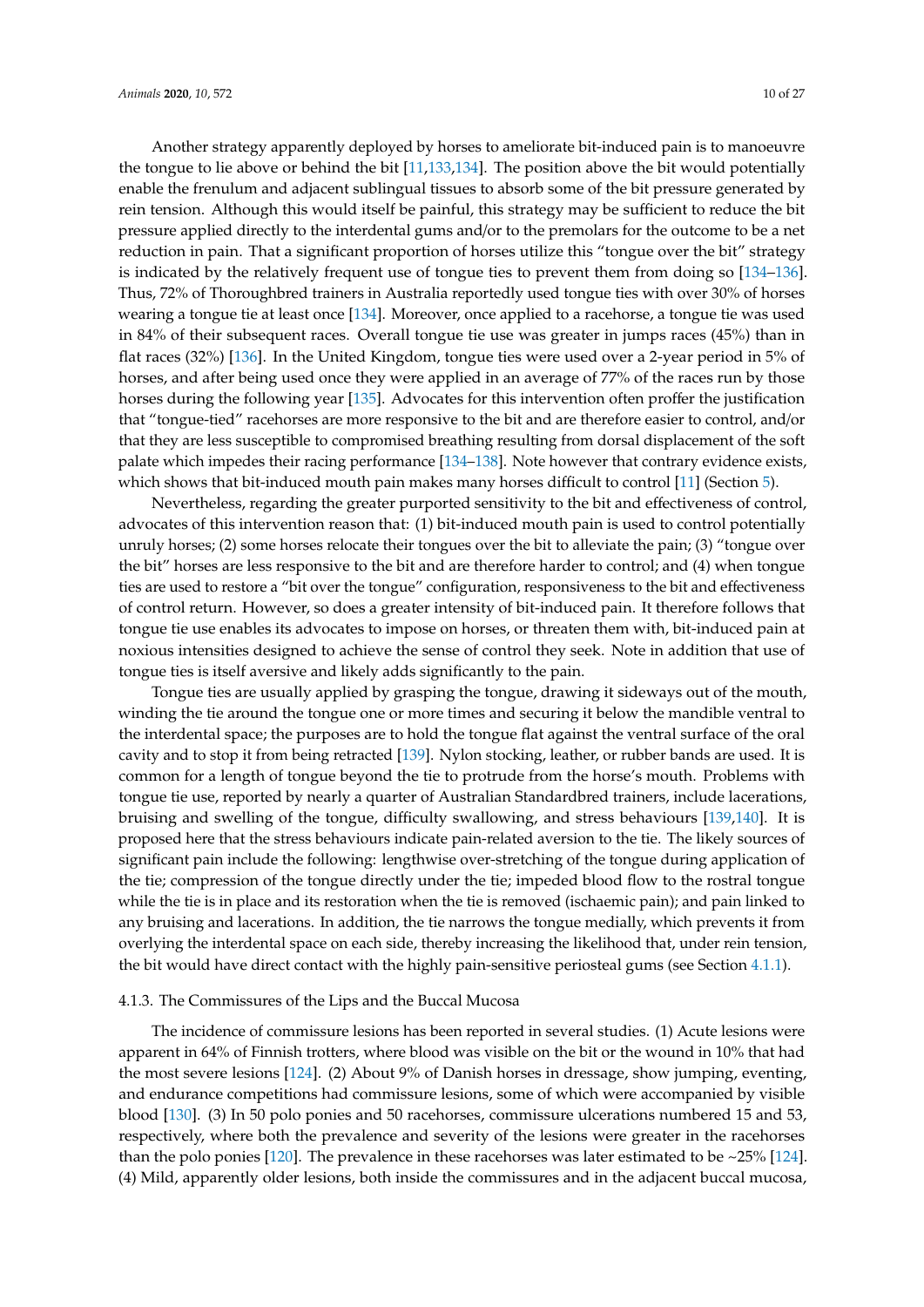Another strategy apparently deployed by horses to ameliorate bit-induced pain is to manoeuvre the tongue to lie above or behind the bit [\[11](#page-19-0)[,133](#page-24-13)[,134\]](#page-24-14). The position above the bit would potentially enable the frenulum and adjacent sublingual tissues to absorb some of the bit pressure generated by rein tension. Although this would itself be painful, this strategy may be sufficient to reduce the bit pressure applied directly to the interdental gums and/or to the premolars for the outcome to be a net reduction in pain. That a significant proportion of horses utilize this "tongue over the bit" strategy is indicated by the relatively frequent use of tongue ties to prevent them from doing so [\[134–](#page-24-14)[136\]](#page-24-15). Thus, 72% of Thoroughbred trainers in Australia reportedly used tongue ties with over 30% of horses wearing a tongue tie at least once [\[134\]](#page-24-14). Moreover, once applied to a racehorse, a tongue tie was used in 84% of their subsequent races. Overall tongue tie use was greater in jumps races (45%) than in flat races (32%) [\[136\]](#page-24-15). In the United Kingdom, tongue ties were used over a 2-year period in 5% of horses, and after being used once they were applied in an average of 77% of the races run by those horses during the following year [\[135\]](#page-24-16). Advocates for this intervention often proffer the justification that "tongue-tied" racehorses are more responsive to the bit and are therefore easier to control, and/or that they are less susceptible to compromised breathing resulting from dorsal displacement of the soft palate which impedes their racing performance [\[134](#page-24-14)[–138\]](#page-24-17). Note however that contrary evidence exists, which shows that bit-induced mouth pain makes many horses difficult to control [\[11\]](#page-19-0) (Section [5\)](#page-12-0).

Nevertheless, regarding the greater purported sensitivity to the bit and effectiveness of control, advocates of this intervention reason that: (1) bit-induced mouth pain is used to control potentially unruly horses; (2) some horses relocate their tongues over the bit to alleviate the pain; (3) "tongue over the bit" horses are less responsive to the bit and are therefore harder to control; and (4) when tongue ties are used to restore a "bit over the tongue" configuration, responsiveness to the bit and effectiveness of control return. However, so does a greater intensity of bit-induced pain. It therefore follows that tongue tie use enables its advocates to impose on horses, or threaten them with, bit-induced pain at noxious intensities designed to achieve the sense of control they seek. Note in addition that use of tongue ties is itself aversive and likely adds significantly to the pain.

Tongue ties are usually applied by grasping the tongue, drawing it sideways out of the mouth, winding the tie around the tongue one or more times and securing it below the mandible ventral to the interdental space; the purposes are to hold the tongue flat against the ventral surface of the oral cavity and to stop it from being retracted [\[139\]](#page-25-0). Nylon stocking, leather, or rubber bands are used. It is common for a length of tongue beyond the tie to protrude from the horse's mouth. Problems with tongue tie use, reported by nearly a quarter of Australian Standardbred trainers, include lacerations, bruising and swelling of the tongue, difficulty swallowing, and stress behaviours [\[139](#page-25-0)[,140\]](#page-25-1). It is proposed here that the stress behaviours indicate pain-related aversion to the tie. The likely sources of significant pain include the following: lengthwise over-stretching of the tongue during application of the tie; compression of the tongue directly under the tie; impeded blood flow to the rostral tongue while the tie is in place and its restoration when the tie is removed (ischaemic pain); and pain linked to any bruising and lacerations. In addition, the tie narrows the tongue medially, which prevents it from overlying the interdental space on each side, thereby increasing the likelihood that, under rein tension, the bit would have direct contact with the highly pain-sensitive periosteal gums (see Section [4.1.1\)](#page-7-1).

#### 4.1.3. The Commissures of the Lips and the Buccal Mucosa

The incidence of commissure lesions has been reported in several studies. (1) Acute lesions were apparent in 64% of Finnish trotters, where blood was visible on the bit or the wound in 10% that had the most severe lesions [\[124\]](#page-24-4). (2) About 9% of Danish horses in dressage, show jumping, eventing, and endurance competitions had commissure lesions, some of which were accompanied by visible blood [\[130\]](#page-24-10). (3) In 50 polo ponies and 50 racehorses, commissure ulcerations numbered 15 and 53, respectively, where both the prevalence and severity of the lesions were greater in the racehorses than the polo ponies [\[120\]](#page-24-1). The prevalence in these racehorses was later estimated to be ~25% [\[124\]](#page-24-4). (4) Mild, apparently older lesions, both inside the commissures and in the adjacent buccal mucosa,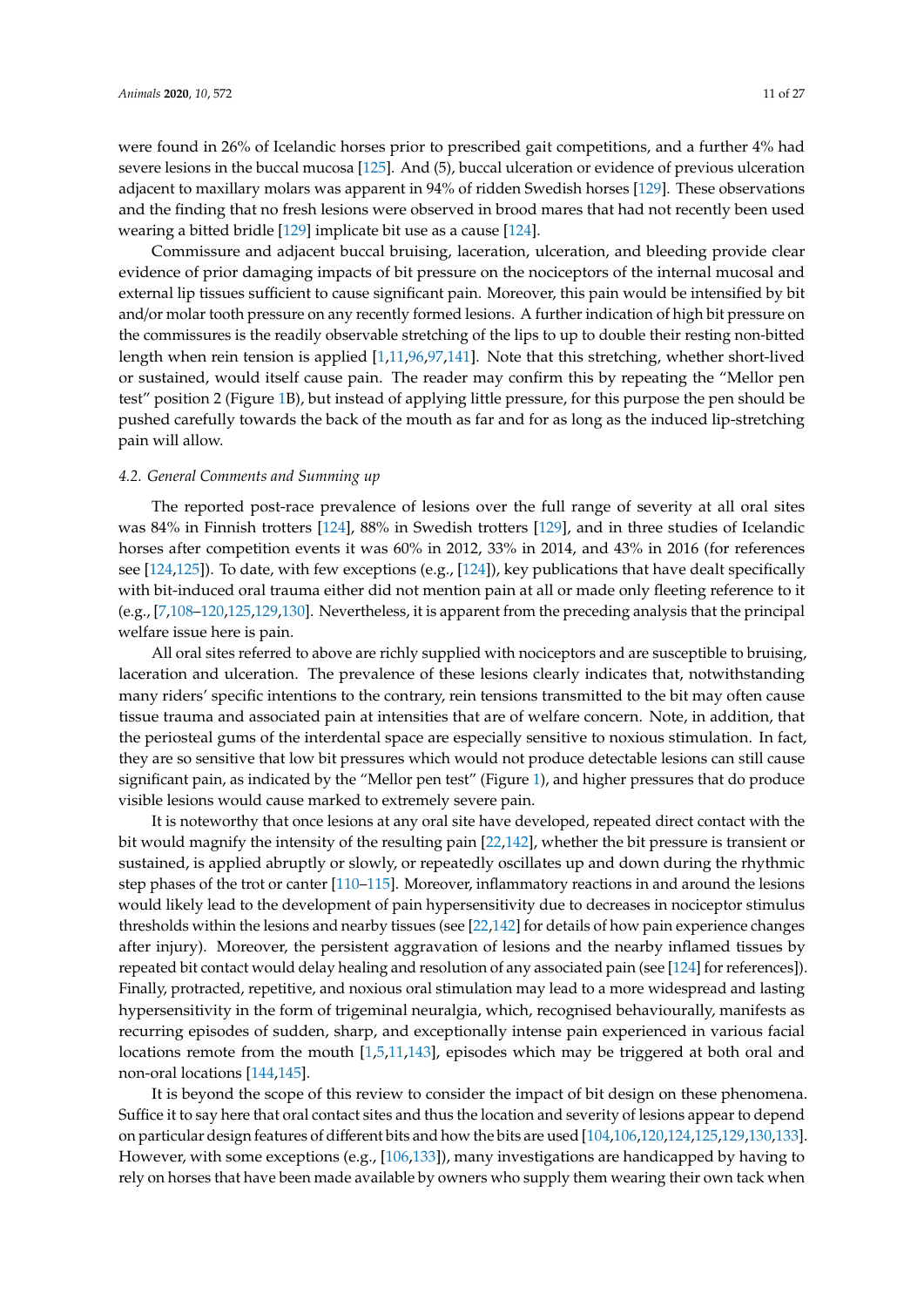were found in 26% of Icelandic horses prior to prescribed gait competitions, and a further 4% had severe lesions in the buccal mucosa [\[125\]](#page-24-5). And (5), buccal ulceration or evidence of previous ulceration adjacent to maxillary molars was apparent in 94% of ridden Swedish horses [\[129\]](#page-24-9). These observations and the finding that no fresh lesions were observed in brood mares that had not recently been used wearing a bitted bridle [\[129\]](#page-24-9) implicate bit use as a cause [\[124\]](#page-24-4).

Commissure and adjacent buccal bruising, laceration, ulceration, and bleeding provide clear evidence of prior damaging impacts of bit pressure on the nociceptors of the internal mucosal and external lip tissues sufficient to cause significant pain. Moreover, this pain would be intensified by bit and/or molar tooth pressure on any recently formed lesions. A further indication of high bit pressure on the commissures is the readily observable stretching of the lips to up to double their resting non-bitted length when rein tension is applied [\[1](#page-18-0)[,11](#page-19-0)[,96](#page-23-18)[,97](#page-23-0)[,141\]](#page-25-2). Note that this stretching, whether short-lived or sustained, would itself cause pain. The reader may confirm this by repeating the "Mellor pen test" position 2 (Figure [1B](#page-8-0)), but instead of applying little pressure, for this purpose the pen should be pushed carefully towards the back of the mouth as far and for as long as the induced lip-stretching pain will allow.

#### *4.2. General Comments and Summing up*

The reported post-race prevalence of lesions over the full range of severity at all oral sites was 84% in Finnish trotters [\[124\]](#page-24-4), 88% in Swedish trotters [\[129\]](#page-24-9), and in three studies of Icelandic horses after competition events it was 60% in 2012, 33% in 2014, and 43% in 2016 (for references see [\[124](#page-24-4)[,125\]](#page-24-5)). To date, with few exceptions (e.g., [\[124\]](#page-24-4)), key publications that have dealt specifically with bit-induced oral trauma either did not mention pain at all or made only fleeting reference to it (e.g., [\[7,](#page-19-17)[108](#page-23-10)[–120](#page-24-1)[,125](#page-24-5)[,129,](#page-24-9)[130\]](#page-24-10). Nevertheless, it is apparent from the preceding analysis that the principal welfare issue here is pain.

All oral sites referred to above are richly supplied with nociceptors and are susceptible to bruising, laceration and ulceration. The prevalence of these lesions clearly indicates that, notwithstanding many riders' specific intentions to the contrary, rein tensions transmitted to the bit may often cause tissue trauma and associated pain at intensities that are of welfare concern. Note, in addition, that the periosteal gums of the interdental space are especially sensitive to noxious stimulation. In fact, they are so sensitive that low bit pressures which would not produce detectable lesions can still cause significant pain, as indicated by the "Mellor pen test" (Figure [1\)](#page-8-0), and higher pressures that do produce visible lesions would cause marked to extremely severe pain.

It is noteworthy that once lesions at any oral site have developed, repeated direct contact with the bit would magnify the intensity of the resulting pain [\[22,](#page-19-8)[142\]](#page-25-3), whether the bit pressure is transient or sustained, is applied abruptly or slowly, or repeatedly oscillates up and down during the rhythmic step phases of the trot or canter [\[110–](#page-23-12)[115\]](#page-23-13). Moreover, inflammatory reactions in and around the lesions would likely lead to the development of pain hypersensitivity due to decreases in nociceptor stimulus thresholds within the lesions and nearby tissues (see [\[22](#page-19-8)[,142\]](#page-25-3) for details of how pain experience changes after injury). Moreover, the persistent aggravation of lesions and the nearby inflamed tissues by repeated bit contact would delay healing and resolution of any associated pain (see [\[124\]](#page-24-4) for references]). Finally, protracted, repetitive, and noxious oral stimulation may lead to a more widespread and lasting hypersensitivity in the form of trigeminal neuralgia, which, recognised behaviourally, manifests as recurring episodes of sudden, sharp, and exceptionally intense pain experienced in various facial locations remote from the mouth [\[1](#page-18-0)[,5](#page-19-19)[,11](#page-19-0)[,143\]](#page-25-4), episodes which may be triggered at both oral and non-oral locations [\[144,](#page-25-5)[145\]](#page-25-6).

It is beyond the scope of this review to consider the impact of bit design on these phenomena. Suffice it to say here that oral contact sites and thus the location and severity of lesions appear to depend on particular design features of different bits and how the bits are used [\[104,](#page-23-7)[106](#page-23-8)[,120](#page-24-1)[,124,](#page-24-4)[125,](#page-24-5)[129](#page-24-9)[,130](#page-24-10)[,133\]](#page-24-13). However, with some exceptions (e.g., [\[106](#page-23-8)[,133\]](#page-24-13)), many investigations are handicapped by having to rely on horses that have been made available by owners who supply them wearing their own tack when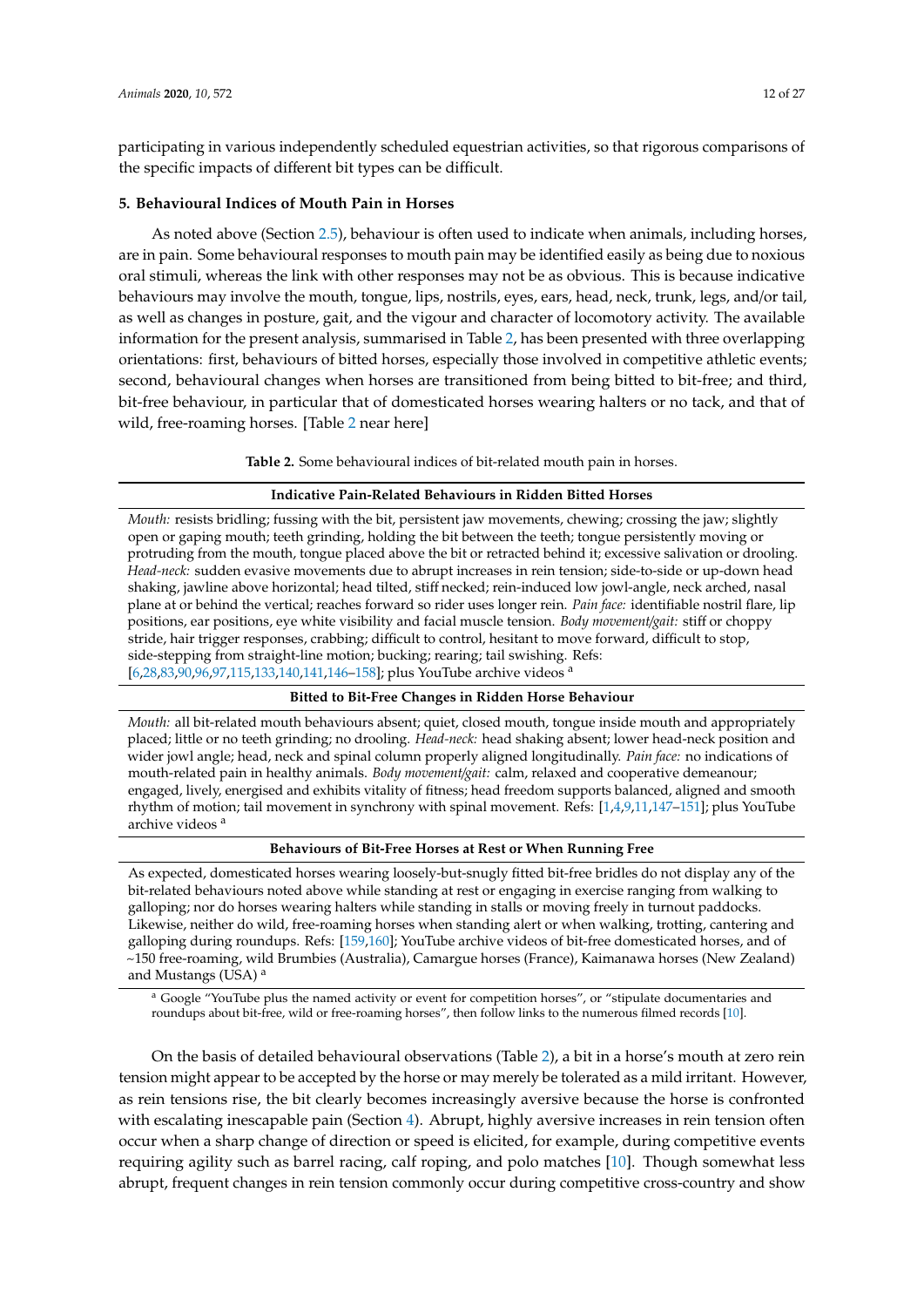participating in various independently scheduled equestrian activities, so that rigorous comparisons of the specific impacts of different bit types can be difficult.

#### <span id="page-12-0"></span>**5. Behavioural Indices of Mouth Pain in Horses**

As noted above (Section [2.5\)](#page-5-0), behaviour is often used to indicate when animals, including horses, are in pain. Some behavioural responses to mouth pain may be identified easily as being due to noxious oral stimuli, whereas the link with other responses may not be as obvious. This is because indicative behaviours may involve the mouth, tongue, lips, nostrils, eyes, ears, head, neck, trunk, legs, and/or tail, as well as changes in posture, gait, and the vigour and character of locomotory activity. The available information for the present analysis, summarised in Table [2,](#page-12-1) has been presented with three overlapping orientations: first, behaviours of bitted horses, especially those involved in competitive athletic events; second, behavioural changes when horses are transitioned from being bitted to bit-free; and third, bit-free behaviour, in particular that of domesticated horses wearing halters or no tack, and that of wild, free-roaming horses. [Table [2](#page-12-1) near here]

**Table 2.** Some behavioural indices of bit-related mouth pain in horses.

#### **Indicative Pain-Related Behaviours in Ridden Bitted Horses**

<span id="page-12-1"></span>*Mouth:* resists bridling; fussing with the bit, persistent jaw movements, chewing; crossing the jaw; slightly open or gaping mouth; teeth grinding, holding the bit between the teeth; tongue persistently moving or protruding from the mouth, tongue placed above the bit or retracted behind it; excessive salivation or drooling. *Head-neck:* sudden evasive movements due to abrupt increases in rein tension; side-to-side or up-down head shaking, jawline above horizontal; head tilted, stiff necked; rein-induced low jowl-angle, neck arched, nasal plane at or behind the vertical; reaches forward so rider uses longer rein. *Pain face:* identifiable nostril flare, lip positions, ear positions, eye white visibility and facial muscle tension. *Body movement*/*gait:* stiff or choppy stride, hair trigger responses, crabbing; difficult to control, hesitant to move forward, difficult to stop, side-stepping from straight-line motion; bucking; rearing; tail swishing. Refs: [\[6](#page-19-20)[,28](#page-19-14)[,83](#page-22-4)[,90,](#page-22-9)[96,](#page-23-18)[97](#page-23-0)[,115,](#page-23-13)[133](#page-24-13)[,140](#page-25-1)[,141,](#page-25-2)[146](#page-25-7)[–158\]](#page-25-8); plus YouTube archive videos <sup>a</sup>

#### **Bitted to Bit-Free Changes in Ridden Horse Behaviour**

*Mouth:* all bit-related mouth behaviours absent; quiet, closed mouth, tongue inside mouth and appropriately placed; little or no teeth grinding; no drooling. *Head-neck:* head shaking absent; lower head-neck position and wider jowl angle; head, neck and spinal column properly aligned longitudinally. *Pain face:* no indications of mouth-related pain in healthy animals. *Body movement*/*gait:* calm, relaxed and cooperative demeanour; engaged, lively, energised and exhibits vitality of fitness; head freedom supports balanced, aligned and smooth rhythm of motion; tail movement in synchrony with spinal movement. Refs: [\[1,](#page-18-0)[4](#page-19-21)[,9,](#page-19-22)[11](#page-19-0)[,147–](#page-25-9)[151\]](#page-25-10); plus YouTube archive videos<sup>a</sup>

#### **Behaviours of Bit-Free Horses at Rest or When Running Free**

As expected, domesticated horses wearing loosely-but-snugly fitted bit-free bridles do not display any of the bit-related behaviours noted above while standing at rest or engaging in exercise ranging from walking to galloping; nor do horses wearing halters while standing in stalls or moving freely in turnout paddocks. Likewise, neither do wild, free-roaming horses when standing alert or when walking, trotting, cantering and galloping during roundups. Refs: [\[159,](#page-25-11)[160\]](#page-26-0); YouTube archive videos of bit-free domesticated horses, and of ~150 free-roaming, wild Brumbies (Australia), Camargue horses (France), Kaimanawa horses (New Zealand) and Mustangs (USA) <sup>a</sup>

<sup>a</sup> Google "YouTube plus the named activity or event for competition horses", or "stipulate documentaries and roundups about bit-free, wild or free-roaming horses", then follow links to the numerous filmed records [\[10\]](#page-19-1).

On the basis of detailed behavioural observations (Table [2\)](#page-12-1), a bit in a horse's mouth at zero rein tension might appear to be accepted by the horse or may merely be tolerated as a mild irritant. However, as rein tensions rise, the bit clearly becomes increasingly aversive because the horse is confronted with escalating inescapable pain (Section [4\)](#page-7-0). Abrupt, highly aversive increases in rein tension often occur when a sharp change of direction or speed is elicited, for example, during competitive events requiring agility such as barrel racing, calf roping, and polo matches [\[10\]](#page-19-1). Though somewhat less abrupt, frequent changes in rein tension commonly occur during competitive cross-country and show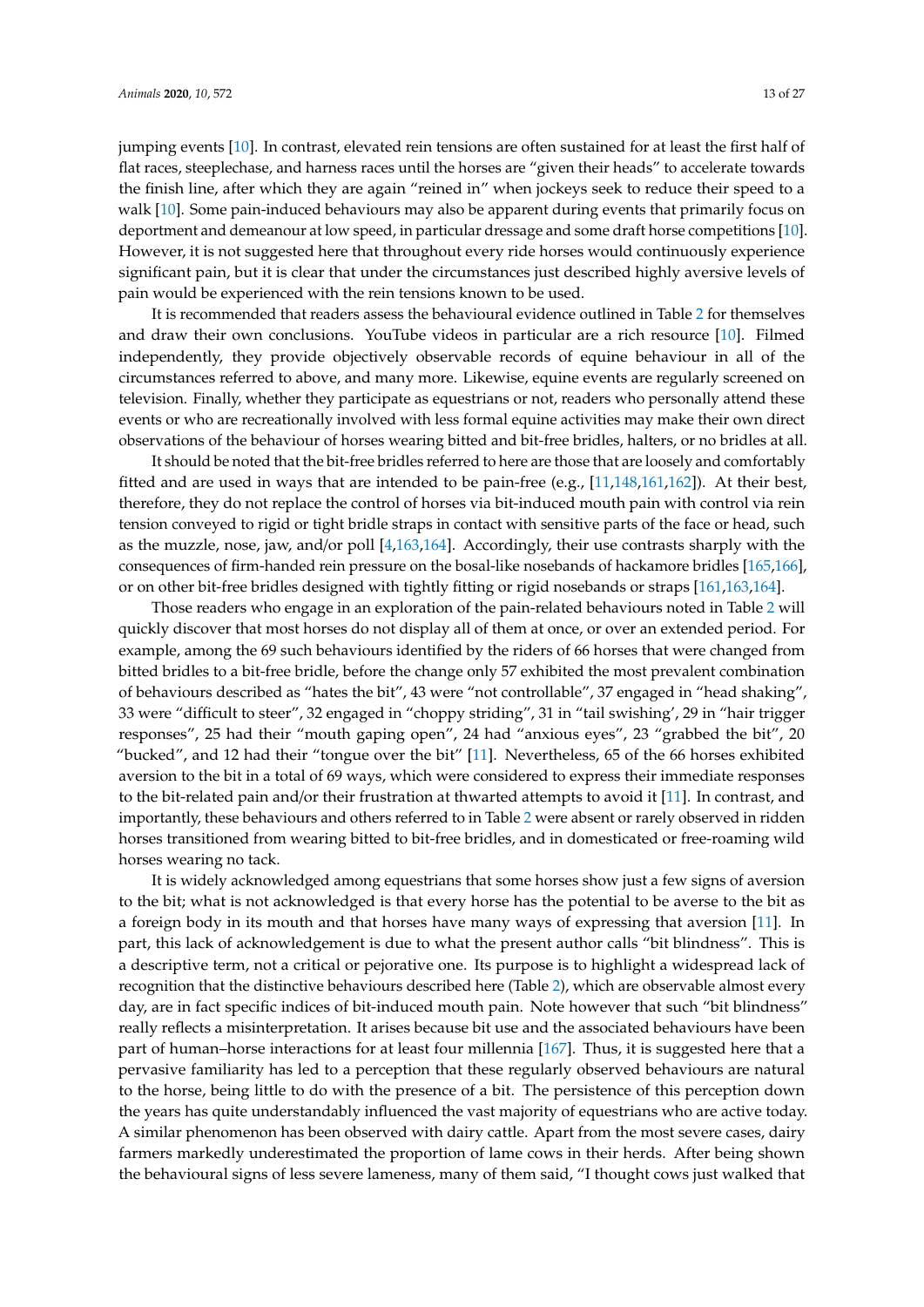jumping events [\[10\]](#page-19-1). In contrast, elevated rein tensions are often sustained for at least the first half of flat races, steeplechase, and harness races until the horses are "given their heads" to accelerate towards the finish line, after which they are again "reined in" when jockeys seek to reduce their speed to a walk [\[10\]](#page-19-1). Some pain-induced behaviours may also be apparent during events that primarily focus on deportment and demeanour at low speed, in particular dressage and some draft horse competitions [\[10\]](#page-19-1). However, it is not suggested here that throughout every ride horses would continuously experience significant pain, but it is clear that under the circumstances just described highly aversive levels of pain would be experienced with the rein tensions known to be used.

It is recommended that readers assess the behavioural evidence outlined in Table [2](#page-12-1) for themselves and draw their own conclusions. YouTube videos in particular are a rich resource [\[10\]](#page-19-1). Filmed independently, they provide objectively observable records of equine behaviour in all of the circumstances referred to above, and many more. Likewise, equine events are regularly screened on television. Finally, whether they participate as equestrians or not, readers who personally attend these events or who are recreationally involved with less formal equine activities may make their own direct observations of the behaviour of horses wearing bitted and bit-free bridles, halters, or no bridles at all.

It should be noted that the bit-free bridles referred to here are those that are loosely and comfortably fitted and are used in ways that are intended to be pain-free (e.g., [\[11](#page-19-0)[,148,](#page-25-12)[161,](#page-26-1)[162\]](#page-26-2)). At their best, therefore, they do not replace the control of horses via bit-induced mouth pain with control via rein tension conveyed to rigid or tight bridle straps in contact with sensitive parts of the face or head, such as the muzzle, nose, jaw, and/or poll [\[4](#page-19-21)[,163](#page-26-3)[,164\]](#page-26-4). Accordingly, their use contrasts sharply with the consequences of firm-handed rein pressure on the bosal-like nosebands of hackamore bridles [\[165](#page-26-5)[,166\]](#page-26-6), or on other bit-free bridles designed with tightly fitting or rigid nosebands or straps [\[161](#page-26-1)[,163,](#page-26-3)[164\]](#page-26-4).

Those readers who engage in an exploration of the pain-related behaviours noted in Table [2](#page-12-1) will quickly discover that most horses do not display all of them at once, or over an extended period. For example, among the 69 such behaviours identified by the riders of 66 horses that were changed from bitted bridles to a bit-free bridle, before the change only 57 exhibited the most prevalent combination of behaviours described as "hates the bit", 43 were "not controllable", 37 engaged in "head shaking", 33 were "difficult to steer", 32 engaged in "choppy striding", 31 in "tail swishing', 29 in "hair trigger responses", 25 had their "mouth gaping open", 24 had "anxious eyes", 23 "grabbed the bit", 20 "bucked", and 12 had their "tongue over the bit" [\[11\]](#page-19-0). Nevertheless, 65 of the 66 horses exhibited aversion to the bit in a total of 69 ways, which were considered to express their immediate responses to the bit-related pain and/or their frustration at thwarted attempts to avoid it [\[11\]](#page-19-0). In contrast, and importantly, these behaviours and others referred to in Table [2](#page-12-1) were absent or rarely observed in ridden horses transitioned from wearing bitted to bit-free bridles, and in domesticated or free-roaming wild horses wearing no tack.

It is widely acknowledged among equestrians that some horses show just a few signs of aversion to the bit; what is not acknowledged is that every horse has the potential to be averse to the bit as a foreign body in its mouth and that horses have many ways of expressing that aversion [\[11\]](#page-19-0). In part, this lack of acknowledgement is due to what the present author calls "bit blindness". This is a descriptive term, not a critical or pejorative one. Its purpose is to highlight a widespread lack of recognition that the distinctive behaviours described here (Table [2\)](#page-12-1), which are observable almost every day, are in fact specific indices of bit-induced mouth pain. Note however that such "bit blindness" really reflects a misinterpretation. It arises because bit use and the associated behaviours have been part of human–horse interactions for at least four millennia [\[167\]](#page-26-7). Thus, it is suggested here that a pervasive familiarity has led to a perception that these regularly observed behaviours are natural to the horse, being little to do with the presence of a bit. The persistence of this perception down the years has quite understandably influenced the vast majority of equestrians who are active today. A similar phenomenon has been observed with dairy cattle. Apart from the most severe cases, dairy farmers markedly underestimated the proportion of lame cows in their herds. After being shown the behavioural signs of less severe lameness, many of them said, "I thought cows just walked that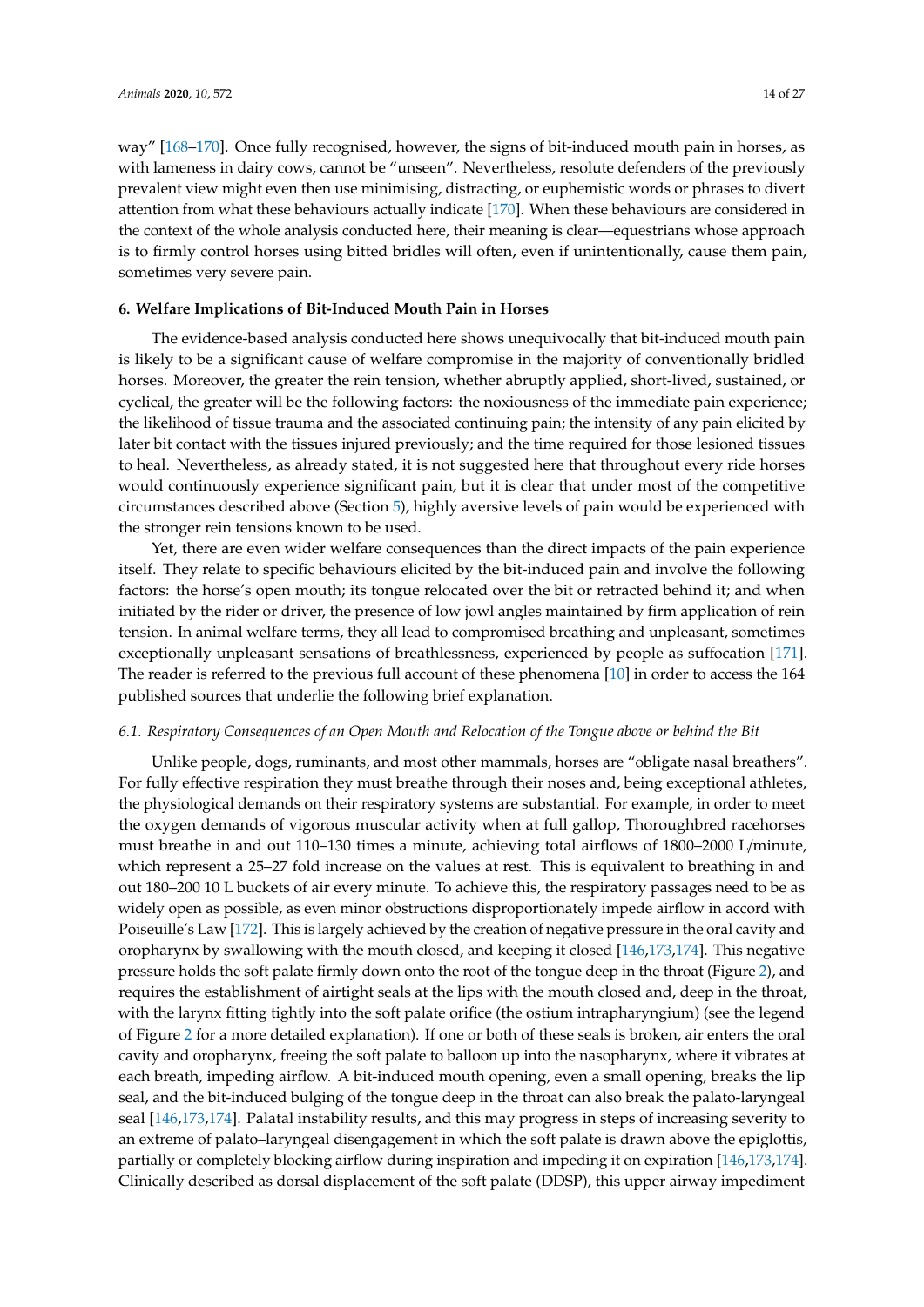way" [\[168–](#page-26-8)[170\]](#page-26-9). Once fully recognised, however, the signs of bit-induced mouth pain in horses, as with lameness in dairy cows, cannot be "unseen". Nevertheless, resolute defenders of the previously prevalent view might even then use minimising, distracting, or euphemistic words or phrases to divert attention from what these behaviours actually indicate [\[170\]](#page-26-9). When these behaviours are considered in the context of the whole analysis conducted here, their meaning is clear—equestrians whose approach is to firmly control horses using bitted bridles will often, even if unintentionally, cause them pain, sometimes very severe pain.

#### <span id="page-14-0"></span>**6. Welfare Implications of Bit-Induced Mouth Pain in Horses**

The evidence-based analysis conducted here shows unequivocally that bit-induced mouth pain is likely to be a significant cause of welfare compromise in the majority of conventionally bridled horses. Moreover, the greater the rein tension, whether abruptly applied, short-lived, sustained, or cyclical, the greater will be the following factors: the noxiousness of the immediate pain experience; the likelihood of tissue trauma and the associated continuing pain; the intensity of any pain elicited by later bit contact with the tissues injured previously; and the time required for those lesioned tissues to heal. Nevertheless, as already stated, it is not suggested here that throughout every ride horses would continuously experience significant pain, but it is clear that under most of the competitive circumstances described above (Section [5\)](#page-12-0), highly aversive levels of pain would be experienced with the stronger rein tensions known to be used.

Yet, there are even wider welfare consequences than the direct impacts of the pain experience itself. They relate to specific behaviours elicited by the bit-induced pain and involve the following factors: the horse's open mouth; its tongue relocated over the bit or retracted behind it; and when initiated by the rider or driver, the presence of low jowl angles maintained by firm application of rein tension. In animal welfare terms, they all lead to compromised breathing and unpleasant, sometimes exceptionally unpleasant sensations of breathlessness, experienced by people as suffocation [\[171\]](#page-26-10). The reader is referred to the previous full account of these phenomena [\[10\]](#page-19-1) in order to access the 164 published sources that underlie the following brief explanation.

### *6.1. Respiratory Consequences of an Open Mouth and Relocation of the Tongue above or behind the Bit*

Unlike people, dogs, ruminants, and most other mammals, horses are "obligate nasal breathers". For fully effective respiration they must breathe through their noses and, being exceptional athletes, the physiological demands on their respiratory systems are substantial. For example, in order to meet the oxygen demands of vigorous muscular activity when at full gallop, Thoroughbred racehorses must breathe in and out 110–130 times a minute, achieving total airflows of 1800–2000 L/minute, which represent a 25–27 fold increase on the values at rest. This is equivalent to breathing in and out 180–200 10 L buckets of air every minute. To achieve this, the respiratory passages need to be as widely open as possible, as even minor obstructions disproportionately impede airflow in accord with Poiseuille's Law [\[172\]](#page-26-11). This is largely achieved by the creation of negative pressure in the oral cavity and oropharynx by swallowing with the mouth closed, and keeping it closed [\[146,](#page-25-7)[173](#page-26-12)[,174\]](#page-26-13). This negative pressure holds the soft palate firmly down onto the root of the tongue deep in the throat (Figure [2\)](#page-15-0), and requires the establishment of airtight seals at the lips with the mouth closed and, deep in the throat, with the larynx fitting tightly into the soft palate orifice (the ostium intrapharyngium) (see the legend of Figure [2](#page-15-0) for a more detailed explanation). If one or both of these seals is broken, air enters the oral cavity and oropharynx, freeing the soft palate to balloon up into the nasopharynx, where it vibrates at each breath, impeding airflow. A bit-induced mouth opening, even a small opening, breaks the lip seal, and the bit-induced bulging of the tongue deep in the throat can also break the palato-laryngeal seal [\[146](#page-25-7)[,173,](#page-26-12)[174\]](#page-26-13). Palatal instability results, and this may progress in steps of increasing severity to an extreme of palato–laryngeal disengagement in which the soft palate is drawn above the epiglottis, partially or completely blocking airflow during inspiration and impeding it on expiration [\[146](#page-25-7)[,173](#page-26-12)[,174\]](#page-26-13). Clinically described as dorsal displacement of the soft palate (DDSP), this upper airway impediment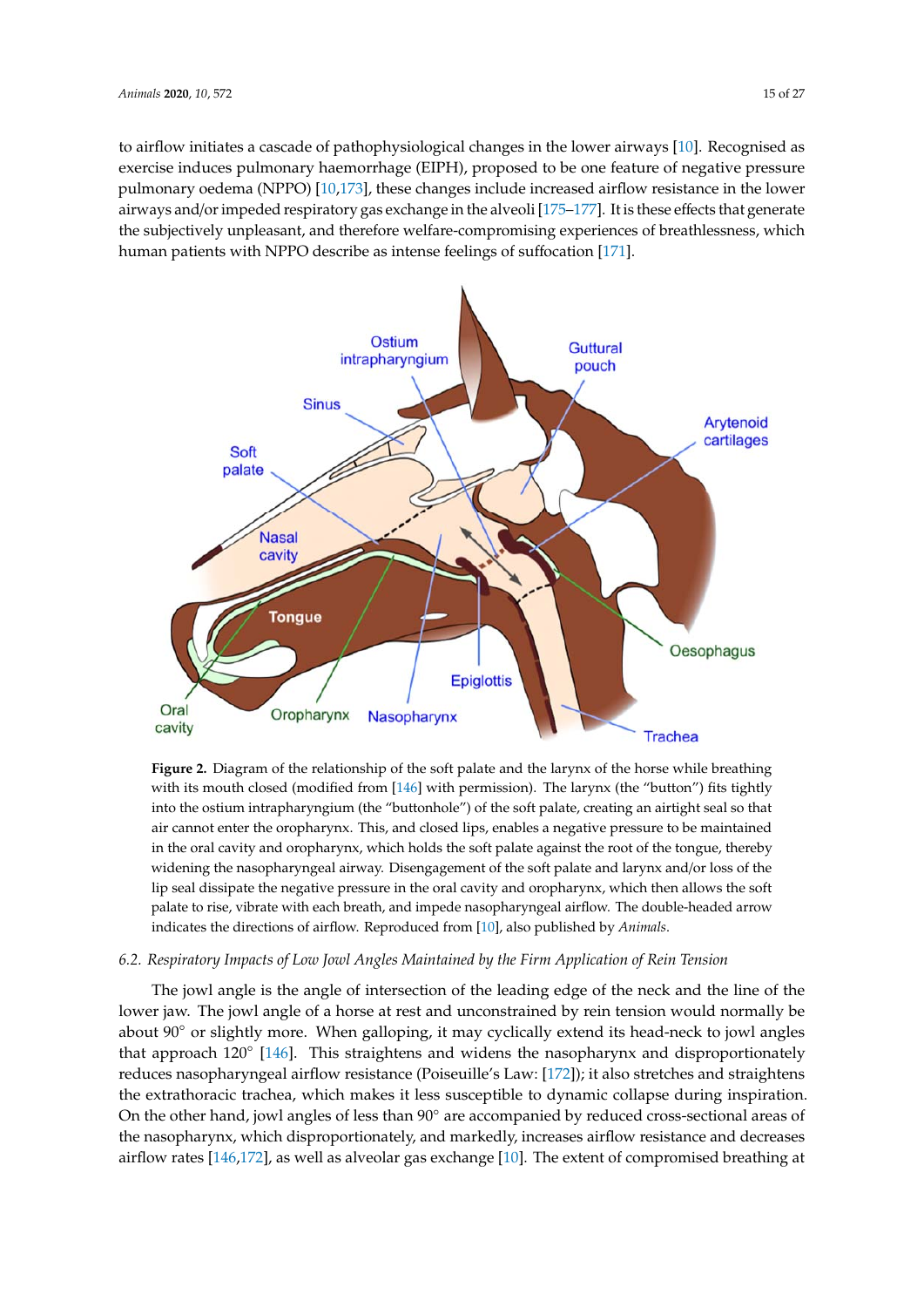to airflow initiates a cascade of pathophysiological changes in the lower airways [\[10\]](#page-19-1). Recognised as exercise induces pulmonary haemorrhage (EIPH), proposed to be one feature of negative pressure pulmonary oedema (NPPO) [\[10,](#page-19-1)[173\]](#page-26-12), these changes include increased airflow resistance in the lower airways and/or impeded respiratory gas exchange in the alveoli [\[175–](#page-26-14)177]. It is these effects that generate alveoli [175–177]. It is these effects that generate the subjectively [unple](#page-26-15)asant, and therefore welfare‐ the subjectively unpleasant, and therefore welfare-compromising experiences of breathlessness, which human patients with NPPO describe as intense feelings of suffocation [\[171\]](#page-26-10).

<span id="page-15-0"></span>

**Figure 2.** Diagram of the relationship of the soft palate and the larynx of the horse while breathing **Figure 2.** Diagram of the relationship of the soft palate and the larynx of the horse while breathing with its mouth closed (modified from [\[146\]](#page-25-7) with permission). The larynx (the "button") fits tightly with its mouth closed (modified from [146] with permission). The larynx (the "button") fits tightly into the ostium intrapharyngium (the "buttonhole") of the soft palate, creating an airtight seal so that into the ostium intrapharyngium (the "buttonhole") of the soft palate, creating an airtight seal so that air cannot enter the oropharynx. This, and closed lips, enables a negative pressure to be maintained air cannot enter the oropharynx. This, and closed lips, enables a negative pressure to be maintained in the oral cavity and oropharynx, which holds the soft palate against the root of the tongue, thereby in the oral cavity and oropharynx, which holds the soft palate against the root of the tongue, thereby widening the nasopharyngeal airway. Disengagement of the soft palate and larynx and/or loss of the widening the nasopharyngeal airway. Disengagement of the soft palate and larynx and/or loss of the lip seal dissipate the negative pressure in the oral cavity and oropharynx, which then allows the soft lip seal dissipate the negative pressure in the oral cavity and oropharynx, which then allows the soft palate to rise, vibrate with each breath, and impede nasopharyngeal airflow. The double‐headed palate to rise, vibrate with each breath, and impede nasopharyngeal airflow. The double-headed arrow arrow indicates the directions of airflow. Reproduced from [10], also published by *Animals*. indicates the directions of airflow. Reproduced from [\[10\]](#page-19-1), also published by *Animals*.

# 6.2. Respiratory Impacts of Low Jowl Angles Maintained by the Firm Application of Rein Tension

The jowl angle is the angle of intersection of the leading edge of the neck and the line of the The jowl angle is the angle of intersection of the leading edge of the neck and the line of the lower jaw. The jowl angle of a horse at rest and unconstrained by rein tension would normally be about 90◦ or slightly more. When galloping, it may cyclically extend its head-neck to jowl angles that approach 120° [\[146\]](#page-25-7). This straightens and widens the nasopharynx and disproportionately reduces nasopharyngeal airflow resistance (Poiseuille's Law: [\[172\]](#page-26-11)); it also stretches and straightens the extrathoracic trachea, which makes it less susceptible to dynamic collapse during inspiration. On the other hand, jowl angles of less than 90◦ are accompanied by reduced cross-sectional areas of the nasopharynx, which disproportionately, and markedly, increases airflow resistance and decreases airflow rates [\[146](#page-25-7)[,172\]](#page-26-11), as well as alveolar gas exchange [\[10\]](#page-19-1). The extent of compromised breathing at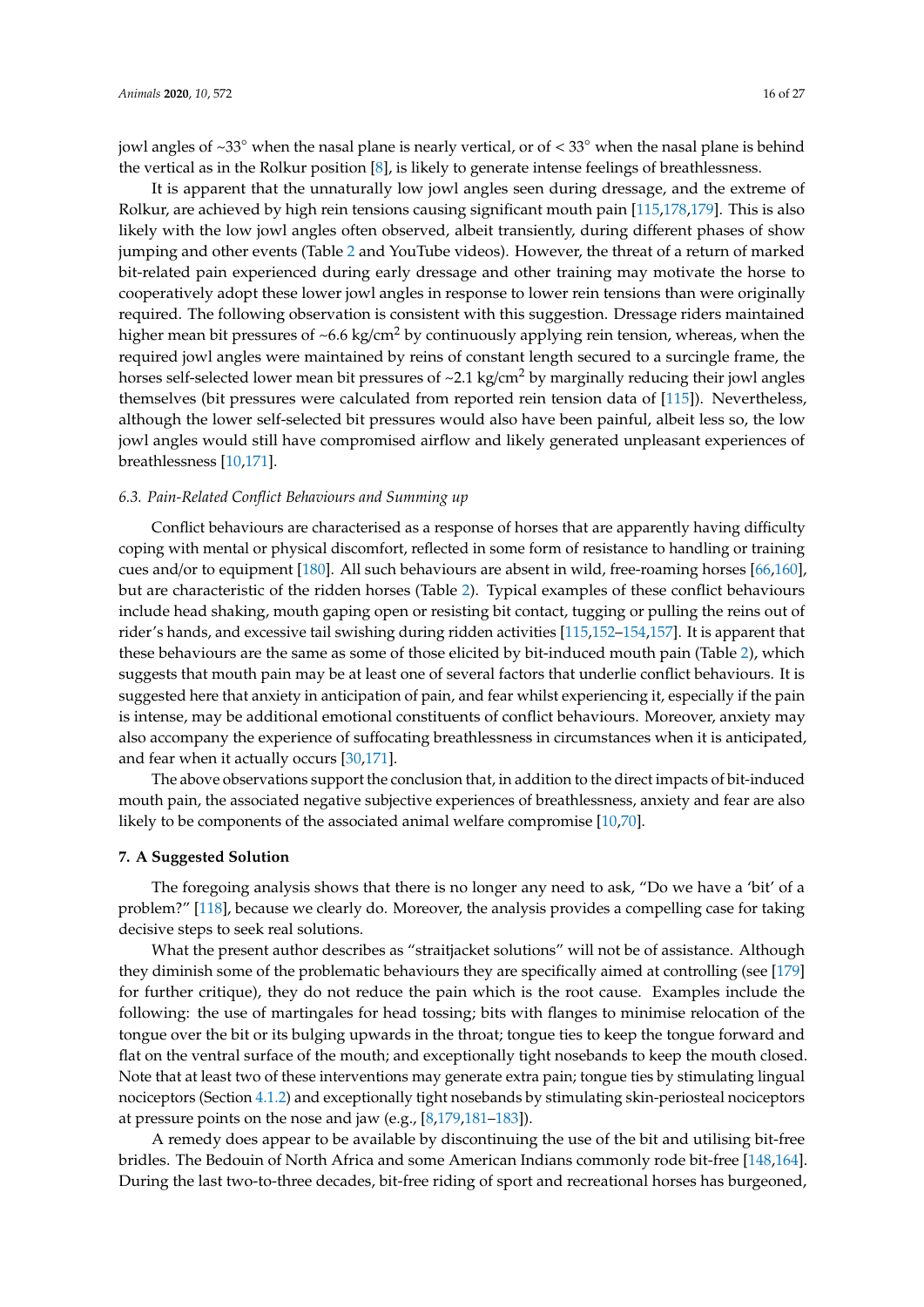jowl angles of  $\sim$ 33 $\degree$  when the nasal plane is nearly vertical, or of  $\lt$  33 $\degree$  when the nasal plane is behind the vertical as in the Rolkur position [\[8\]](#page-19-23), is likely to generate intense feelings of breathlessness.

It is apparent that the unnaturally low jowl angles seen during dressage, and the extreme of Rolkur, are achieved by high rein tensions causing significant mouth pain [\[115,](#page-23-13)[178,](#page-26-16)[179\]](#page-26-17). This is also likely with the low jowl angles often observed, albeit transiently, during different phases of show jumping and other events (Table [2](#page-12-1) and YouTube videos). However, the threat of a return of marked bit-related pain experienced during early dressage and other training may motivate the horse to cooperatively adopt these lower jowl angles in response to lower rein tensions than were originally required. The following observation is consistent with this suggestion. Dressage riders maintained higher mean bit pressures of  $\sim 6.6 \text{ kg/cm}^2$  by continuously applying rein tension, whereas, when the required jowl angles were maintained by reins of constant length secured to a surcingle frame, the horses self-selected lower mean bit pressures of  $\sim$ 2.1 kg/cm<sup>2</sup> by marginally reducing their jowl angles themselves (bit pressures were calculated from reported rein tension data of [\[115\]](#page-23-13)). Nevertheless, although the lower self-selected bit pressures would also have been painful, albeit less so, the low jowl angles would still have compromised airflow and likely generated unpleasant experiences of breathlessness [\[10,](#page-19-1)[171\]](#page-26-10).

#### *6.3. Pain-Related Conflict Behaviours and Summing up*

Conflict behaviours are characterised as a response of horses that are apparently having difficulty coping with mental or physical discomfort, reflected in some form of resistance to handling or training cues and/or to equipment [\[180\]](#page-26-18). All such behaviours are absent in wild, free-roaming horses [\[66,](#page-21-12)[160\]](#page-26-0), but are characteristic of the ridden horses (Table [2\)](#page-12-1). Typical examples of these conflict behaviours include head shaking, mouth gaping open or resisting bit contact, tugging or pulling the reins out of rider's hands, and excessive tail swishing during ridden activities [\[115,](#page-23-13)[152](#page-25-13)[–154](#page-25-14)[,157\]](#page-25-15). It is apparent that these behaviours are the same as some of those elicited by bit-induced mouth pain (Table [2\)](#page-12-1), which suggests that mouth pain may be at least one of several factors that underlie conflict behaviours. It is suggested here that anxiety in anticipation of pain, and fear whilst experiencing it, especially if the pain is intense, may be additional emotional constituents of conflict behaviours. Moreover, anxiety may also accompany the experience of suffocating breathlessness in circumstances when it is anticipated, and fear when it actually occurs [\[30](#page-20-1)[,171\]](#page-26-10).

The above observations support the conclusion that, in addition to the direct impacts of bit-induced mouth pain, the associated negative subjective experiences of breathlessness, anxiety and fear are also likely to be components of the associated animal welfare compromise [\[10,](#page-19-1)[70\]](#page-21-15).

#### <span id="page-16-0"></span>**7. A Suggested Solution**

The foregoing analysis shows that there is no longer any need to ask, "Do we have a 'bit' of a problem?" [\[118\]](#page-23-17), because we clearly do. Moreover, the analysis provides a compelling case for taking decisive steps to seek real solutions.

What the present author describes as "straitjacket solutions" will not be of assistance. Although they diminish some of the problematic behaviours they are specifically aimed at controlling (see [\[179\]](#page-26-17) for further critique), they do not reduce the pain which is the root cause. Examples include the following: the use of martingales for head tossing; bits with flanges to minimise relocation of the tongue over the bit or its bulging upwards in the throat; tongue ties to keep the tongue forward and flat on the ventral surface of the mouth; and exceptionally tight nosebands to keep the mouth closed. Note that at least two of these interventions may generate extra pain; tongue ties by stimulating lingual nociceptors (Section [4.1.2\)](#page-9-0) and exceptionally tight nosebands by stimulating skin-periosteal nociceptors at pressure points on the nose and jaw (e.g., [\[8](#page-19-23)[,179](#page-26-17)[,181](#page-26-19)[–183\]](#page-27-0)).

A remedy does appear to be available by discontinuing the use of the bit and utilising bit-free bridles. The Bedouin of North Africa and some American Indians commonly rode bit-free [\[148,](#page-25-12)[164\]](#page-26-4). During the last two-to-three decades, bit-free riding of sport and recreational horses has burgeoned,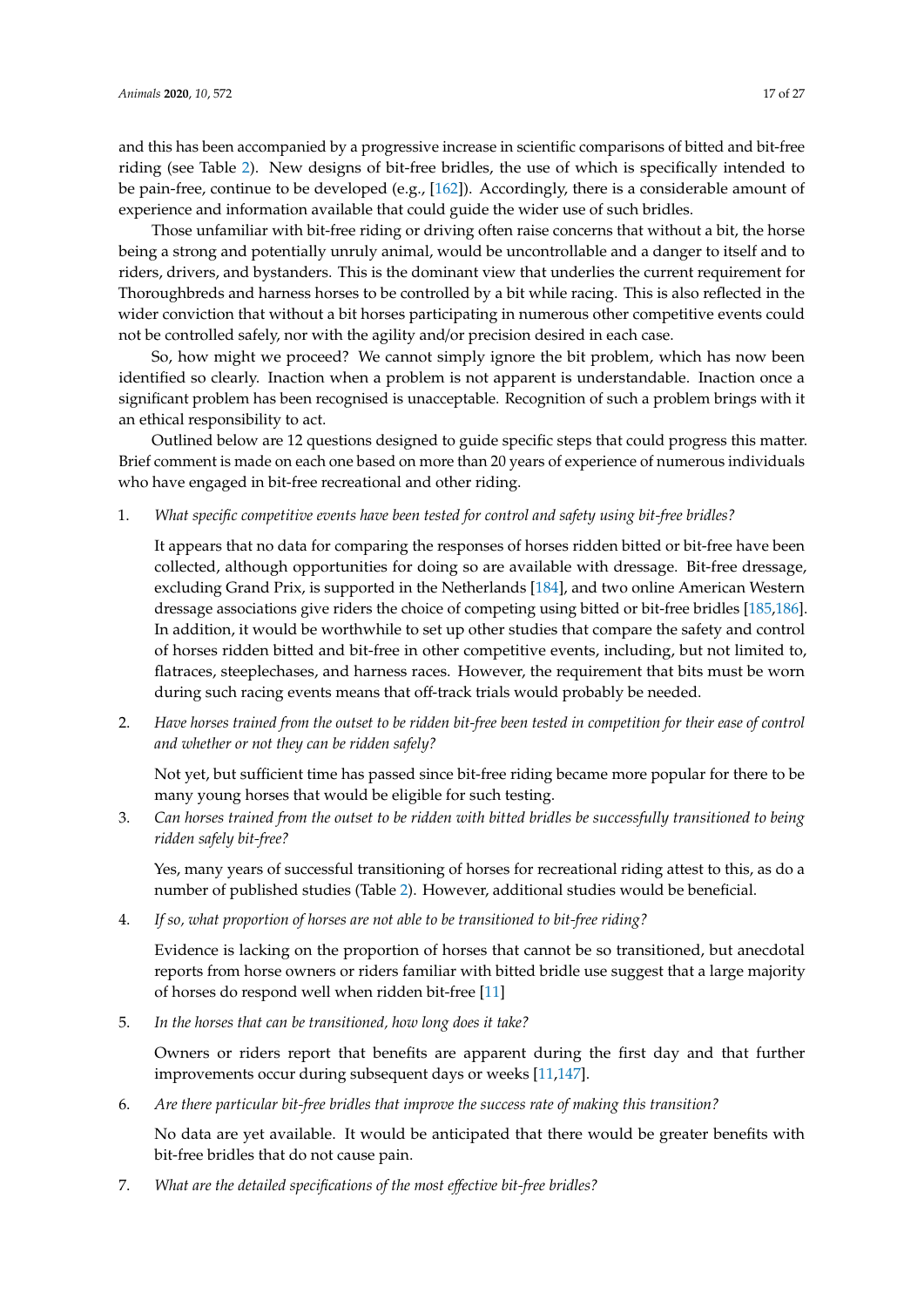and this has been accompanied by a progressive increase in scientific comparisons of bitted and bit-free riding (see Table [2\)](#page-12-1). New designs of bit-free bridles, the use of which is specifically intended to be pain-free, continue to be developed (e.g., [\[162\]](#page-26-2)). Accordingly, there is a considerable amount of experience and information available that could guide the wider use of such bridles.

Those unfamiliar with bit-free riding or driving often raise concerns that without a bit, the horse being a strong and potentially unruly animal, would be uncontrollable and a danger to itself and to riders, drivers, and bystanders. This is the dominant view that underlies the current requirement for Thoroughbreds and harness horses to be controlled by a bit while racing. This is also reflected in the wider conviction that without a bit horses participating in numerous other competitive events could not be controlled safely, nor with the agility and/or precision desired in each case.

So, how might we proceed? We cannot simply ignore the bit problem, which has now been identified so clearly. Inaction when a problem is not apparent is understandable. Inaction once a significant problem has been recognised is unacceptable. Recognition of such a problem brings with it an ethical responsibility to act.

Outlined below are 12 questions designed to guide specific steps that could progress this matter. Brief comment is made on each one based on more than 20 years of experience of numerous individuals who have engaged in bit-free recreational and other riding.

1. *What specific competitive events have been tested for control and safety using bit-free bridles?*

It appears that no data for comparing the responses of horses ridden bitted or bit-free have been collected, although opportunities for doing so are available with dressage. Bit-free dressage, excluding Grand Prix, is supported in the Netherlands [\[184\]](#page-27-1), and two online American Western dressage associations give riders the choice of competing using bitted or bit-free bridles [\[185](#page-27-2)[,186\]](#page-27-3). In addition, it would be worthwhile to set up other studies that compare the safety and control of horses ridden bitted and bit-free in other competitive events, including, but not limited to, flatraces, steeplechases, and harness races. However, the requirement that bits must be worn during such racing events means that off-track trials would probably be needed.

2. *Have horses trained from the outset to be ridden bit-free been tested in competition for their ease of control and whether or not they can be ridden safely?*

Not yet, but sufficient time has passed since bit-free riding became more popular for there to be many young horses that would be eligible for such testing.

3. *Can horses trained from the outset to be ridden with bitted bridles be successfully transitioned to being ridden safely bit-free?*

Yes, many years of successful transitioning of horses for recreational riding attest to this, as do a number of published studies (Table [2\)](#page-12-1). However, additional studies would be beneficial.

4. *If so, what proportion of horses are not able to be transitioned to bit-free riding?*

Evidence is lacking on the proportion of horses that cannot be so transitioned, but anecdotal reports from horse owners or riders familiar with bitted bridle use suggest that a large majority of horses do respond well when ridden bit-free [\[11\]](#page-19-0)

5. *In the horses that can be transitioned, how long does it take?*

Owners or riders report that benefits are apparent during the first day and that further improvements occur during subsequent days or weeks [\[11](#page-19-0)[,147\]](#page-25-9).

6. *Are there particular bit-free bridles that improve the success rate of making this transition?*

No data are yet available. It would be anticipated that there would be greater benefits with bit-free bridles that do not cause pain.

7. *What are the detailed specifications of the most e*ff*ective bit-free bridles?*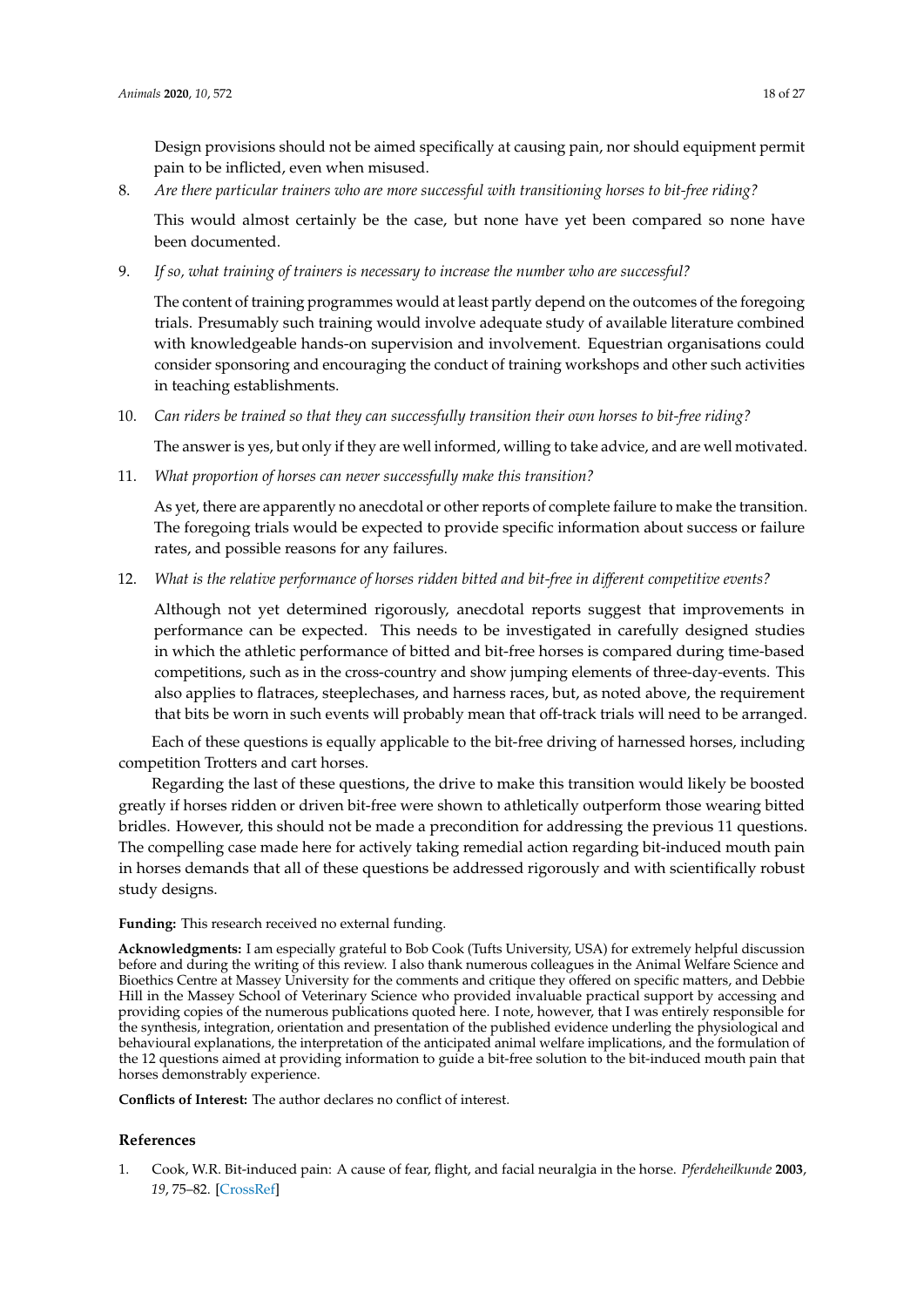Design provisions should not be aimed specifically at causing pain, nor should equipment permit pain to be inflicted, even when misused.

8. *Are there particular trainers who are more successful with transitioning horses to bit-free riding?*

This would almost certainly be the case, but none have yet been compared so none have been documented.

9. *If so, what training of trainers is necessary to increase the number who are successful?*

The content of training programmes would at least partly depend on the outcomes of the foregoing trials. Presumably such training would involve adequate study of available literature combined with knowledgeable hands-on supervision and involvement. Equestrian organisations could consider sponsoring and encouraging the conduct of training workshops and other such activities in teaching establishments.

10. *Can riders be trained so that they can successfully transition their own horses to bit-free riding?*

The answer is yes, but only if they are well informed, willing to take advice, and are well motivated.

11. *What proportion of horses can never successfully make this transition?*

As yet, there are apparently no anecdotal or other reports of complete failure to make the transition. The foregoing trials would be expected to provide specific information about success or failure rates, and possible reasons for any failures.

12. *What is the relative performance of horses ridden bitted and bit-free in di*ff*erent competitive events?*

Although not yet determined rigorously, anecdotal reports suggest that improvements in performance can be expected. This needs to be investigated in carefully designed studies in which the athletic performance of bitted and bit-free horses is compared during time-based competitions, such as in the cross-country and show jumping elements of three-day-events. This also applies to flatraces, steeplechases, and harness races, but, as noted above, the requirement that bits be worn in such events will probably mean that off-track trials will need to be arranged.

Each of these questions is equally applicable to the bit-free driving of harnessed horses, including competition Trotters and cart horses.

Regarding the last of these questions, the drive to make this transition would likely be boosted greatly if horses ridden or driven bit-free were shown to athletically outperform those wearing bitted bridles. However, this should not be made a precondition for addressing the previous 11 questions. The compelling case made here for actively taking remedial action regarding bit-induced mouth pain in horses demands that all of these questions be addressed rigorously and with scientifically robust study designs.

**Funding:** This research received no external funding.

**Acknowledgments:** I am especially grateful to Bob Cook (Tufts University, USA) for extremely helpful discussion before and during the writing of this review. I also thank numerous colleagues in the Animal Welfare Science and Bioethics Centre at Massey University for the comments and critique they offered on specific matters, and Debbie Hill in the Massey School of Veterinary Science who provided invaluable practical support by accessing and providing copies of the numerous publications quoted here. I note, however, that I was entirely responsible for the synthesis, integration, orientation and presentation of the published evidence underling the physiological and behavioural explanations, the interpretation of the anticipated animal welfare implications, and the formulation of the 12 questions aimed at providing information to guide a bit-free solution to the bit-induced mouth pain that horses demonstrably experience.

**Conflicts of Interest:** The author declares no conflict of interest.

#### **References**

<span id="page-18-0"></span>1. Cook, W.R. Bit-induced pain: A cause of fear, flight, and facial neuralgia in the horse. *Pferdeheilkunde* **2003**, *19*, 75–82. [\[CrossRef\]](http://dx.doi.org/10.21836/PEM20030111)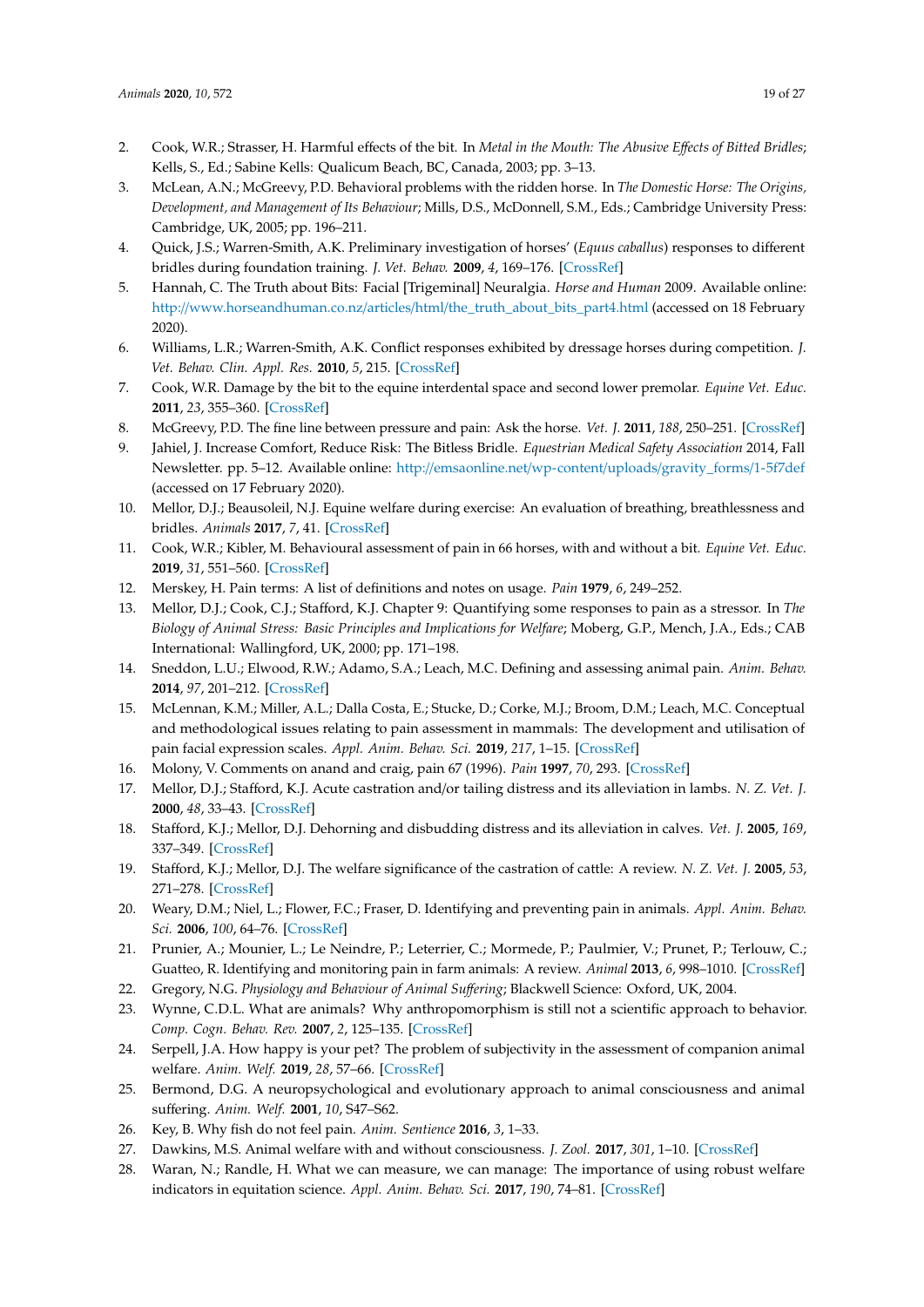- <span id="page-19-18"></span>2. Cook, W.R.; Strasser, H. Harmful effects of the bit. In *Metal in the Mouth: The Abusive E*ff*ects of Bitted Bridles*; Kells, S., Ed.; Sabine Kells: Qualicum Beach, BC, Canada, 2003; pp. 3–13.
- 3. McLean, A.N.; McGreevy, P.D. Behavioral problems with the ridden horse. In *The Domestic Horse: The Origins, Development, and Management of Its Behaviour*; Mills, D.S., McDonnell, S.M., Eds.; Cambridge University Press: Cambridge, UK, 2005; pp. 196–211.
- <span id="page-19-21"></span>4. Quick, J.S.; Warren-Smith, A.K. Preliminary investigation of horses' (*Equus caballus*) responses to different bridles during foundation training. *J. Vet. Behav.* **2009**, *4*, 169–176. [\[CrossRef\]](http://dx.doi.org/10.1016/j.jveb.2008.12.001)
- <span id="page-19-19"></span>5. Hannah, C. The Truth about Bits: Facial [Trigeminal] Neuralgia. *Horse and Human* 2009. Available online: http://www.horseandhuman.co.nz/articles/html/[the\\_truth\\_about\\_bits\\_part4.html](http://www.horseandhuman.co.nz/articles/html/the_truth_about_bits_part4.html) (accessed on 18 February 2020).
- <span id="page-19-20"></span>6. Williams, L.R.; Warren-Smith, A.K. Conflict responses exhibited by dressage horses during competition. *J. Vet. Behav. Clin. Appl. Res.* **2010**, *5*, 215. [\[CrossRef\]](http://dx.doi.org/10.1016/j.jveb.2009.11.002)
- <span id="page-19-17"></span>7. Cook, W.R. Damage by the bit to the equine interdental space and second lower premolar. *Equine Vet. Educ.* **2011**, *23*, 355–360. [\[CrossRef\]](http://dx.doi.org/10.1111/j.2042-3292.2010.00167.x)
- <span id="page-19-23"></span>8. McGreevy, P.D. The fine line between pressure and pain: Ask the horse. *Vet. J.* **2011**, *188*, 250–251. [\[CrossRef\]](http://dx.doi.org/10.1016/j.tvjl.2010.10.011)
- <span id="page-19-22"></span>9. Jahiel, J. Increase Comfort, Reduce Risk: The Bitless Bridle. *Equestrian Medical Safety Association* 2014, Fall Newsletter. pp. 5–12. Available online: http://[emsaonline.net](http://emsaonline.net/wp-content/uploads/gravity_forms/1-5f7def)/wp-content/uploads/gravity\_forms/1-5f7def (accessed on 17 February 2020).
- <span id="page-19-1"></span>10. Mellor, D.J.; Beausoleil, N.J. Equine welfare during exercise: An evaluation of breathing, breathlessness and bridles. *Animals* **2017**, *7*, 41. [\[CrossRef\]](http://dx.doi.org/10.3390/ani7060041)
- <span id="page-19-0"></span>11. Cook, W.R.; Kibler, M. Behavioural assessment of pain in 66 horses, with and without a bit. *Equine Vet. Educ.* **2019**, *31*, 551–560. [\[CrossRef\]](http://dx.doi.org/10.1111/eve.12916)
- <span id="page-19-2"></span>12. Merskey, H. Pain terms: A list of definitions and notes on usage. *Pain* **1979**, *6*, 249–252.
- <span id="page-19-3"></span>13. Mellor, D.J.; Cook, C.J.; Stafford, K.J. Chapter 9: Quantifying some responses to pain as a stressor. In *The Biology of Animal Stress: Basic Principles and Implications for Welfare*; Moberg, G.P., Mench, J.A., Eds.; CAB International: Wallingford, UK, 2000; pp. 171–198.
- <span id="page-19-16"></span>14. Sneddon, L.U.; Elwood, R.W.; Adamo, S.A.; Leach, M.C. Defining and assessing animal pain. *Anim. Behav.* **2014**, *97*, 201–212. [\[CrossRef\]](http://dx.doi.org/10.1016/j.anbehav.2014.09.007)
- <span id="page-19-4"></span>15. McLennan, K.M.; Miller, A.L.; Dalla Costa, E.; Stucke, D.; Corke, M.J.; Broom, D.M.; Leach, M.C. Conceptual and methodological issues relating to pain assessment in mammals: The development and utilisation of pain facial expression scales. *Appl. Anim. Behav. Sci.* **2019**, *217*, 1–15. [\[CrossRef\]](http://dx.doi.org/10.1016/j.applanim.2019.06.001)
- <span id="page-19-5"></span>16. Molony, V. Comments on anand and craig, pain 67 (1996). *Pain* **1997**, *70*, 293. [\[CrossRef\]](http://dx.doi.org/10.1097/00006396-199704000-00031)
- <span id="page-19-6"></span>17. Mellor, D.J.; Stafford, K.J. Acute castration and/or tailing distress and its alleviation in lambs. *N. Z. Vet. J.* **2000**, *48*, 33–43. [\[CrossRef\]](http://dx.doi.org/10.1080/00480169.2000.36156)
- 18. Stafford, K.J.; Mellor, D.J. Dehorning and disbudding distress and its alleviation in calves. *Vet. J.* **2005**, *169*, 337–349. [\[CrossRef\]](http://dx.doi.org/10.1016/j.tvjl.2004.02.005)
- 19. Stafford, K.J.; Mellor, D.J. The welfare significance of the castration of cattle: A review. *N. Z. Vet. J.* **2005**, *53*, 271–278. [\[CrossRef\]](http://dx.doi.org/10.1080/00480169.2005.36560)
- <span id="page-19-15"></span>20. Weary, D.M.; Niel, L.; Flower, F.C.; Fraser, D. Identifying and preventing pain in animals. *Appl. Anim. Behav. Sci.* **2006**, *100*, 64–76. [\[CrossRef\]](http://dx.doi.org/10.1016/j.applanim.2006.04.013)
- <span id="page-19-7"></span>21. Prunier, A.; Mounier, L.; Le Neindre, P.; Leterrier, C.; Mormede, P.; Paulmier, V.; Prunet, P.; Terlouw, C.; Guatteo, R. Identifying and monitoring pain in farm animals: A review. *Animal* **2013**, *6*, 998–1010. [\[CrossRef\]](http://dx.doi.org/10.1017/S1751731112002406)
- <span id="page-19-8"></span>22. Gregory, N.G. *Physiology and Behaviour of Animal Su*ff*ering*; Blackwell Science: Oxford, UK, 2004.
- <span id="page-19-9"></span>23. Wynne, C.D.L. What are animals? Why anthropomorphism is still not a scientific approach to behavior. *Comp. Cogn. Behav. Rev.* **2007**, *2*, 125–135. [\[CrossRef\]](http://dx.doi.org/10.3819/ccbr.2008.20008)
- <span id="page-19-10"></span>24. Serpell, J.A. How happy is your pet? The problem of subjectivity in the assessment of companion animal welfare. *Anim. Welf.* **2019**, *28*, 57–66. [\[CrossRef\]](http://dx.doi.org/10.7120/09627286.28.1.057)
- <span id="page-19-11"></span>25. Bermond, D.G. A neuropsychological and evolutionary approach to animal consciousness and animal suffering. *Anim. Welf.* **2001**, *10*, S47–S62.
- <span id="page-19-12"></span>26. Key, B. Why fish do not feel pain. *Anim. Sentience* **2016**, *3*, 1–33.
- <span id="page-19-13"></span>27. Dawkins, M.S. Animal welfare with and without consciousness. *J. Zool.* **2017**, *301*, 1–10. [\[CrossRef\]](http://dx.doi.org/10.1111/jzo.12434)
- <span id="page-19-14"></span>28. Waran, N.; Randle, H. What we can measure, we can manage: The importance of using robust welfare indicators in equitation science. *Appl. Anim. Behav. Sci.* **2017**, *190*, 74–81. [\[CrossRef\]](http://dx.doi.org/10.1016/j.applanim.2017.02.016)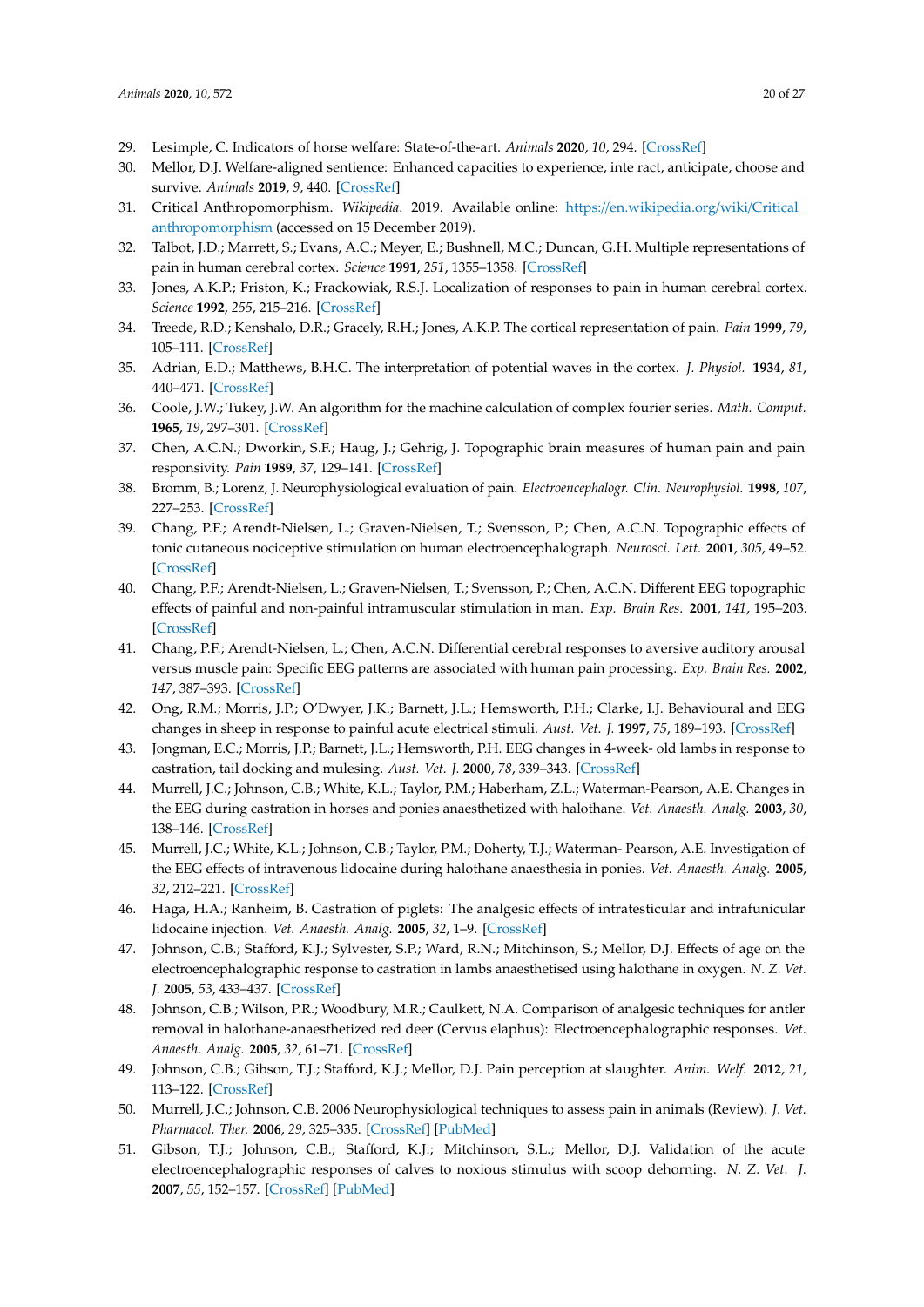- <span id="page-20-0"></span>29. Lesimple, C. Indicators of horse welfare: State-of-the-art. *Animals* **2020**, *10*, 294. [\[CrossRef\]](http://dx.doi.org/10.3390/ani10020294)
- <span id="page-20-1"></span>30. Mellor, D.J. Welfare-aligned sentience: Enhanced capacities to experience, inte ract, anticipate, choose and survive. *Animals* **2019**, *9*, 440. [\[CrossRef\]](http://dx.doi.org/10.3390/ani9070440)
- <span id="page-20-2"></span>31. Critical Anthropomorphism. *Wikipedia*. 2019. Available online: https://[en.wikipedia.org](https://en.wikipedia.org/wiki/Critical_anthropomorphism)/wiki/Critical\_ [anthropomorphism](https://en.wikipedia.org/wiki/Critical_anthropomorphism) (accessed on 15 December 2019).
- <span id="page-20-3"></span>32. Talbot, J.D.; Marrett, S.; Evans, A.C.; Meyer, E.; Bushnell, M.C.; Duncan, G.H. Multiple representations of pain in human cerebral cortex. *Science* **1991**, *251*, 1355–1358. [\[CrossRef\]](http://dx.doi.org/10.1126/science.2003220)
- 33. Jones, A.K.P.; Friston, K.; Frackowiak, R.S.J. Localization of responses to pain in human cerebral cortex. *Science* **1992**, *255*, 215–216. [\[CrossRef\]](http://dx.doi.org/10.1126/science.1553549)
- <span id="page-20-4"></span>34. Treede, R.D.; Kenshalo, D.R.; Gracely, R.H.; Jones, A.K.P. The cortical representation of pain. *Pain* **1999**, *79*, 105–111. [\[CrossRef\]](http://dx.doi.org/10.1016/S0304-3959(98)00184-5)
- <span id="page-20-5"></span>35. Adrian, E.D.; Matthews, B.H.C. The interpretation of potential waves in the cortex. *J. Physiol.* **1934**, *81*, 440–471. [\[CrossRef\]](http://dx.doi.org/10.1113/jphysiol.1934.sp003147)
- <span id="page-20-6"></span>36. Coole, J.W.; Tukey, J.W. An algorithm for the machine calculation of complex fourier series. *Math. Comput.* **1965**, *19*, 297–301. [\[CrossRef\]](http://dx.doi.org/10.1090/S0025-5718-1965-0178586-1)
- <span id="page-20-7"></span>37. Chen, A.C.N.; Dworkin, S.F.; Haug, J.; Gehrig, J. Topographic brain measures of human pain and pain responsivity. *Pain* **1989**, *37*, 129–141. [\[CrossRef\]](http://dx.doi.org/10.1016/0304-3959(89)90125-5)
- 38. Bromm, B.; Lorenz, J. Neurophysiological evaluation of pain. *Electroencephalogr. Clin. Neurophysiol.* **1998**, *107*, 227–253. [\[CrossRef\]](http://dx.doi.org/10.1016/S0013-4694(98)00075-3)
- 39. Chang, P.F.; Arendt-Nielsen, L.; Graven-Nielsen, T.; Svensson, P.; Chen, A.C.N. Topographic effects of tonic cutaneous nociceptive stimulation on human electroencephalograph. *Neurosci. Lett.* **2001**, *305*, 49–52. [\[CrossRef\]](http://dx.doi.org/10.1016/S0304-3940(01)01802-X)
- 40. Chang, P.F.; Arendt-Nielsen, L.; Graven-Nielsen, T.; Svensson, P.; Chen, A.C.N. Different EEG topographic effects of painful and non-painful intramuscular stimulation in man. *Exp. Brain Res.* **2001**, *141*, 195–203. [\[CrossRef\]](http://dx.doi.org/10.1007/s002210100864)
- <span id="page-20-8"></span>41. Chang, P.F.; Arendt-Nielsen, L.; Chen, A.C.N. Differential cerebral responses to aversive auditory arousal versus muscle pain: Specific EEG patterns are associated with human pain processing. *Exp. Brain Res.* **2002**, *147*, 387–393. [\[CrossRef\]](http://dx.doi.org/10.1007/s00221-002-1272-9)
- <span id="page-20-9"></span>42. Ong, R.M.; Morris, J.P.; O'Dwyer, J.K.; Barnett, J.L.; Hemsworth, P.H.; Clarke, I.J. Behavioural and EEG changes in sheep in response to painful acute electrical stimuli. *Aust. Vet. J.* **1997**, *75*, 189–193. [\[CrossRef\]](http://dx.doi.org/10.1111/j.1751-0813.1997.tb10064.x)
- 43. Jongman, E.C.; Morris, J.P.; Barnett, J.L.; Hemsworth, P.H. EEG changes in 4-week- old lambs in response to castration, tail docking and mulesing. *Aust. Vet. J.* **2000**, *78*, 339–343. [\[CrossRef\]](http://dx.doi.org/10.1111/j.1751-0813.2000.tb11789.x)
- <span id="page-20-13"></span>44. Murrell, J.C.; Johnson, C.B.; White, K.L.; Taylor, P.M.; Haberham, Z.L.; Waterman-Pearson, A.E. Changes in the EEG during castration in horses and ponies anaesthetized with halothane. *Vet. Anaesth. Analg.* **2003**, *30*, 138–146. [\[CrossRef\]](http://dx.doi.org/10.1046/j.1467-2995.2003.00138.x)
- <span id="page-20-14"></span>45. Murrell, J.C.; White, K.L.; Johnson, C.B.; Taylor, P.M.; Doherty, T.J.; Waterman- Pearson, A.E. Investigation of the EEG effects of intravenous lidocaine during halothane anaesthesia in ponies. *Vet. Anaesth. Analg.* **2005**, *32*, 212–221. [\[CrossRef\]](http://dx.doi.org/10.1111/j.1467-2995.2005.00201.x)
- <span id="page-20-17"></span>46. Haga, H.A.; Ranheim, B. Castration of piglets: The analgesic effects of intratesticular and intrafunicular lidocaine injection. *Vet. Anaesth. Analg.* **2005**, *32*, 1–9. [\[CrossRef\]](http://dx.doi.org/10.1111/j.1467-2995.2004.00225.x)
- <span id="page-20-16"></span>47. Johnson, C.B.; Stafford, K.J.; Sylvester, S.P.; Ward, R.N.; Mitchinson, S.; Mellor, D.J. Effects of age on the electroencephalographic response to castration in lambs anaesthetised using halothane in oxygen. *N. Z. Vet. J.* **2005**, *53*, 433–437. [\[CrossRef\]](http://dx.doi.org/10.1080/00480169.2005.36589)
- <span id="page-20-10"></span>48. Johnson, C.B.; Wilson, P.R.; Woodbury, M.R.; Caulkett, N.A. Comparison of analgesic techniques for antler removal in halothane-anaesthetized red deer (Cervus elaphus): Electroencephalographic responses. *Vet. Anaesth. Analg.* **2005**, *32*, 61–71. [\[CrossRef\]](http://dx.doi.org/10.1111/j.1467-2995.2005.00228.x)
- <span id="page-20-11"></span>49. Johnson, C.B.; Gibson, T.J.; Stafford, K.J.; Mellor, D.J. Pain perception at slaughter. *Anim. Welf.* **2012**, *21*, 113–122. [\[CrossRef\]](http://dx.doi.org/10.7120/096272812X13353700593888)
- <span id="page-20-12"></span>50. Murrell, J.C.; Johnson, C.B. 2006 Neurophysiological techniques to assess pain in animals (Review). *J. Vet. Pharmacol. Ther.* **2006**, *29*, 325–335. [\[CrossRef\]](http://dx.doi.org/10.1111/j.1365-2885.2006.00758.x) [\[PubMed\]](http://www.ncbi.nlm.nih.gov/pubmed/16958776)
- <span id="page-20-15"></span>51. Gibson, T.J.; Johnson, C.B.; Stafford, K.J.; Mitchinson, S.L.; Mellor, D.J. Validation of the acute electroencephalographic responses of calves to noxious stimulus with scoop dehorning. *N. Z. Vet. J.* **2007**, *55*, 152–157. [\[CrossRef\]](http://dx.doi.org/10.1080/00480169.2007.36760) [\[PubMed\]](http://www.ncbi.nlm.nih.gov/pubmed/17676078)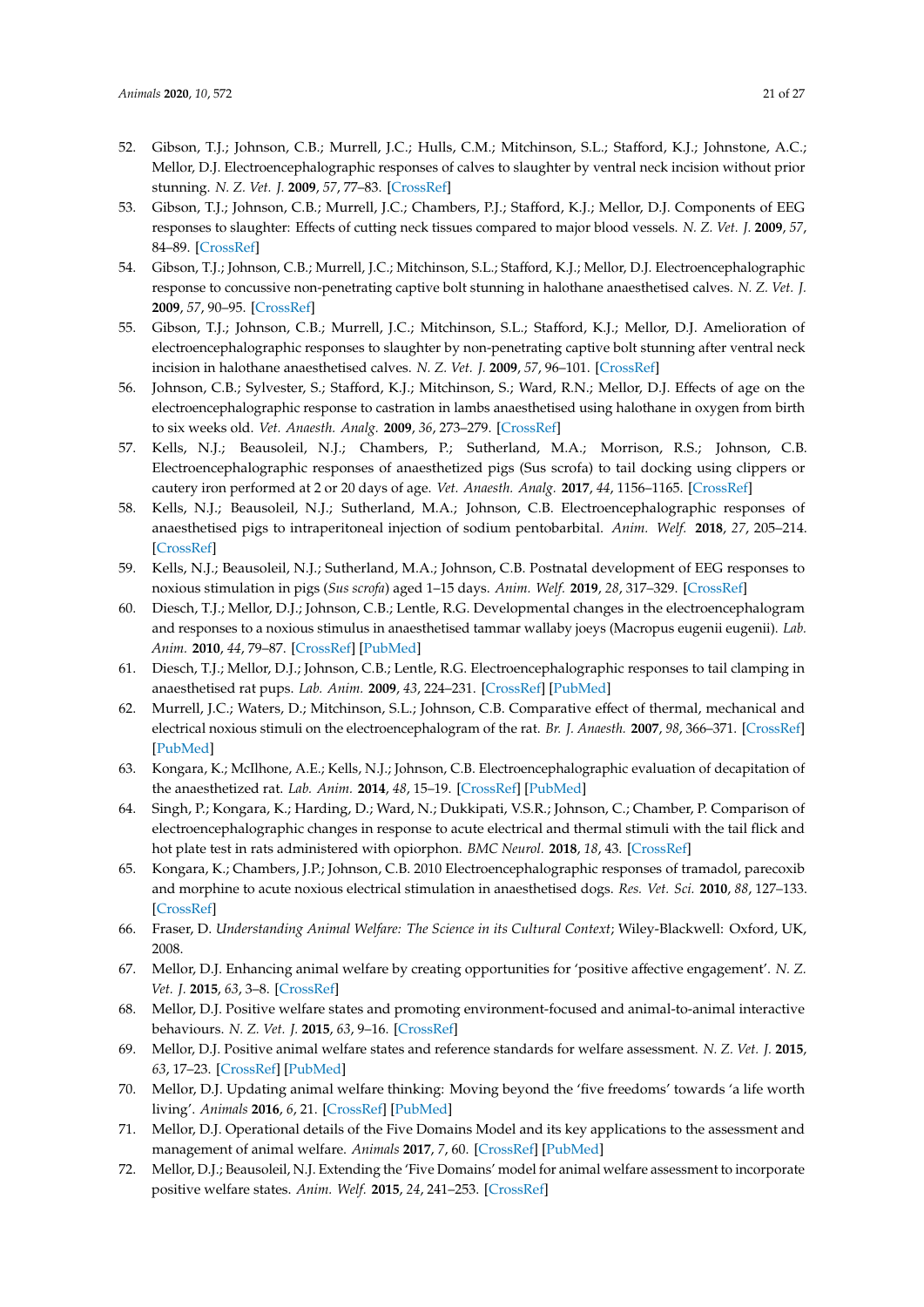- <span id="page-21-0"></span>52. Gibson, T.J.; Johnson, C.B.; Murrell, J.C.; Hulls, C.M.; Mitchinson, S.L.; Stafford, K.J.; Johnstone, A.C.; Mellor, D.J. Electroencephalographic responses of calves to slaughter by ventral neck incision without prior stunning. *N. Z. Vet. J.* **2009**, *57*, 77–83. [\[CrossRef\]](http://dx.doi.org/10.1080/00480169.2009.36882)
- 53. Gibson, T.J.; Johnson, C.B.; Murrell, J.C.; Chambers, P.J.; Stafford, K.J.; Mellor, D.J. Components of EEG responses to slaughter: Effects of cutting neck tissues compared to major blood vessels. *N. Z. Vet. J.* **2009**, *57*, 84–89. [\[CrossRef\]](http://dx.doi.org/10.1080/00480169.2009.36883)
- 54. Gibson, T.J.; Johnson, C.B.; Murrell, J.C.; Mitchinson, S.L.; Stafford, K.J.; Mellor, D.J. Electroencephalographic response to concussive non-penetrating captive bolt stunning in halothane anaesthetised calves. *N. Z. Vet. J.* **2009**, *57*, 90–95. [\[CrossRef\]](http://dx.doi.org/10.1080/00480169.2009.36884)
- <span id="page-21-1"></span>55. Gibson, T.J.; Johnson, C.B.; Murrell, J.C.; Mitchinson, S.L.; Stafford, K.J.; Mellor, D.J. Amelioration of electroencephalographic responses to slaughter by non-penetrating captive bolt stunning after ventral neck incision in halothane anaesthetised calves. *N. Z. Vet. J.* **2009**, *57*, 96–101. [\[CrossRef\]](http://dx.doi.org/10.1080/00480169.2009.36885)
- <span id="page-21-2"></span>56. Johnson, C.B.; Sylvester, S.; Stafford, K.J.; Mitchinson, S.; Ward, R.N.; Mellor, D.J. Effects of age on the electroencephalographic response to castration in lambs anaesthetised using halothane in oxygen from birth to six weeks old. *Vet. Anaesth. Analg.* **2009**, *36*, 273–279. [\[CrossRef\]](http://dx.doi.org/10.1111/j.1467-2995.2009.00448.x)
- <span id="page-21-3"></span>57. Kells, N.J.; Beausoleil, N.J.; Chambers, P.; Sutherland, M.A.; Morrison, R.S.; Johnson, C.B. Electroencephalographic responses of anaesthetized pigs (Sus scrofa) to tail docking using clippers or cautery iron performed at 2 or 20 days of age. *Vet. Anaesth. Analg.* **2017**, *44*, 1156–1165. [\[CrossRef\]](http://dx.doi.org/10.1016/j.vaa.2017.02.003)
- <span id="page-21-4"></span>58. Kells, N.J.; Beausoleil, N.J.; Sutherland, M.A.; Johnson, C.B. Electroencephalographic responses of anaesthetised pigs to intraperitoneal injection of sodium pentobarbital. *Anim. Welf.* **2018**, *27*, 205–214. [\[CrossRef\]](http://dx.doi.org/10.7120/09627286.27.3.205)
- <span id="page-21-5"></span>59. Kells, N.J.; Beausoleil, N.J.; Sutherland, M.A.; Johnson, C.B. Postnatal development of EEG responses to noxious stimulation in pigs (*Sus scrofa*) aged 1–15 days. *Anim. Welf.* **2019**, *28*, 317–329. [\[CrossRef\]](http://dx.doi.org/10.7120/09627286.28.3.317)
- <span id="page-21-6"></span>60. Diesch, T.J.; Mellor, D.J.; Johnson, C.B.; Lentle, R.G. Developmental changes in the electroencephalogram and responses to a noxious stimulus in anaesthetised tammar wallaby joeys (Macropus eugenii eugenii). *Lab. Anim.* **2010**, *44*, 79–87. [\[CrossRef\]](http://dx.doi.org/10.1258/la.2009.009045) [\[PubMed\]](http://www.ncbi.nlm.nih.gov/pubmed/19900986)
- <span id="page-21-7"></span>61. Diesch, T.J.; Mellor, D.J.; Johnson, C.B.; Lentle, R.G. Electroencephalographic responses to tail clamping in anaesthetised rat pups. *Lab. Anim.* **2009**, *43*, 224–231. [\[CrossRef\]](http://dx.doi.org/10.1258/la.2008.0080083) [\[PubMed\]](http://www.ncbi.nlm.nih.gov/pubmed/19237459)
- <span id="page-21-8"></span>62. Murrell, J.C.; Waters, D.; Mitchinson, S.L.; Johnson, C.B. Comparative effect of thermal, mechanical and electrical noxious stimuli on the electroencephalogram of the rat. *Br. J. Anaesth.* **2007**, *98*, 366–371. [\[CrossRef\]](http://dx.doi.org/10.1093/bja/ael377) [\[PubMed\]](http://www.ncbi.nlm.nih.gov/pubmed/17307780)
- <span id="page-21-9"></span>63. Kongara, K.; McIlhone, A.E.; Kells, N.J.; Johnson, C.B. Electroencephalographic evaluation of decapitation of the anaesthetized rat. *Lab. Anim.* **2014**, *48*, 15–19. [\[CrossRef\]](http://dx.doi.org/10.1177/0023677213502016) [\[PubMed\]](http://www.ncbi.nlm.nih.gov/pubmed/24367032)
- <span id="page-21-10"></span>64. Singh, P.; Kongara, K.; Harding, D.; Ward, N.; Dukkipati, V.S.R.; Johnson, C.; Chamber, P. Comparison of electroencephalographic changes in response to acute electrical and thermal stimuli with the tail flick and hot plate test in rats administered with opiorphon. *BMC Neurol.* **2018**, *18*, 43. [\[CrossRef\]](http://dx.doi.org/10.1186/s12883-018-1047-y)
- <span id="page-21-11"></span>65. Kongara, K.; Chambers, J.P.; Johnson, C.B. 2010 Electroencephalographic responses of tramadol, parecoxib and morphine to acute noxious electrical stimulation in anaesthetised dogs. *Res. Vet. Sci.* **2010**, *88*, 127–133. [\[CrossRef\]](http://dx.doi.org/10.1016/j.rvsc.2009.05.012)
- <span id="page-21-12"></span>66. Fraser, D. *Understanding Animal Welfare: The Science in its Cultural Context*; Wiley-Blackwell: Oxford, UK, 2008.
- <span id="page-21-13"></span>67. Mellor, D.J. Enhancing animal welfare by creating opportunities for 'positive affective engagement'. *N. Z. Vet. J.* **2015**, *63*, 3–8. [\[CrossRef\]](http://dx.doi.org/10.1080/00480169.2014.926799)
- 68. Mellor, D.J. Positive welfare states and promoting environment-focused and animal-to-animal interactive behaviours. *N. Z. Vet. J.* **2015**, *63*, 9–16. [\[CrossRef\]](http://dx.doi.org/10.1080/00480169.2014.926800)
- 69. Mellor, D.J. Positive animal welfare states and reference standards for welfare assessment. *N. Z. Vet. J.* **2015**, *63*, 17–23. [\[CrossRef\]](http://dx.doi.org/10.1080/00480169.2014.926802) [\[PubMed\]](http://www.ncbi.nlm.nih.gov/pubmed/24875152)
- <span id="page-21-15"></span>70. Mellor, D.J. Updating animal welfare thinking: Moving beyond the 'five freedoms' towards 'a life worth living'. *Animals* **2016**, *6*, 21. [\[CrossRef\]](http://dx.doi.org/10.3390/ani6030021) [\[PubMed\]](http://www.ncbi.nlm.nih.gov/pubmed/27102171)
- <span id="page-21-14"></span>71. Mellor, D.J. Operational details of the Five Domains Model and its key applications to the assessment and management of animal welfare. *Animals* **2017**, *7*, 60. [\[CrossRef\]](http://dx.doi.org/10.3390/ani7080060) [\[PubMed\]](http://www.ncbi.nlm.nih.gov/pubmed/28792485)
- 72. Mellor, D.J.; Beausoleil, N.J. Extending the 'Five Domains' model for animal welfare assessment to incorporate positive welfare states. *Anim. Welf.* **2015**, *24*, 241–253. [\[CrossRef\]](http://dx.doi.org/10.7120/09627286.24.3.241)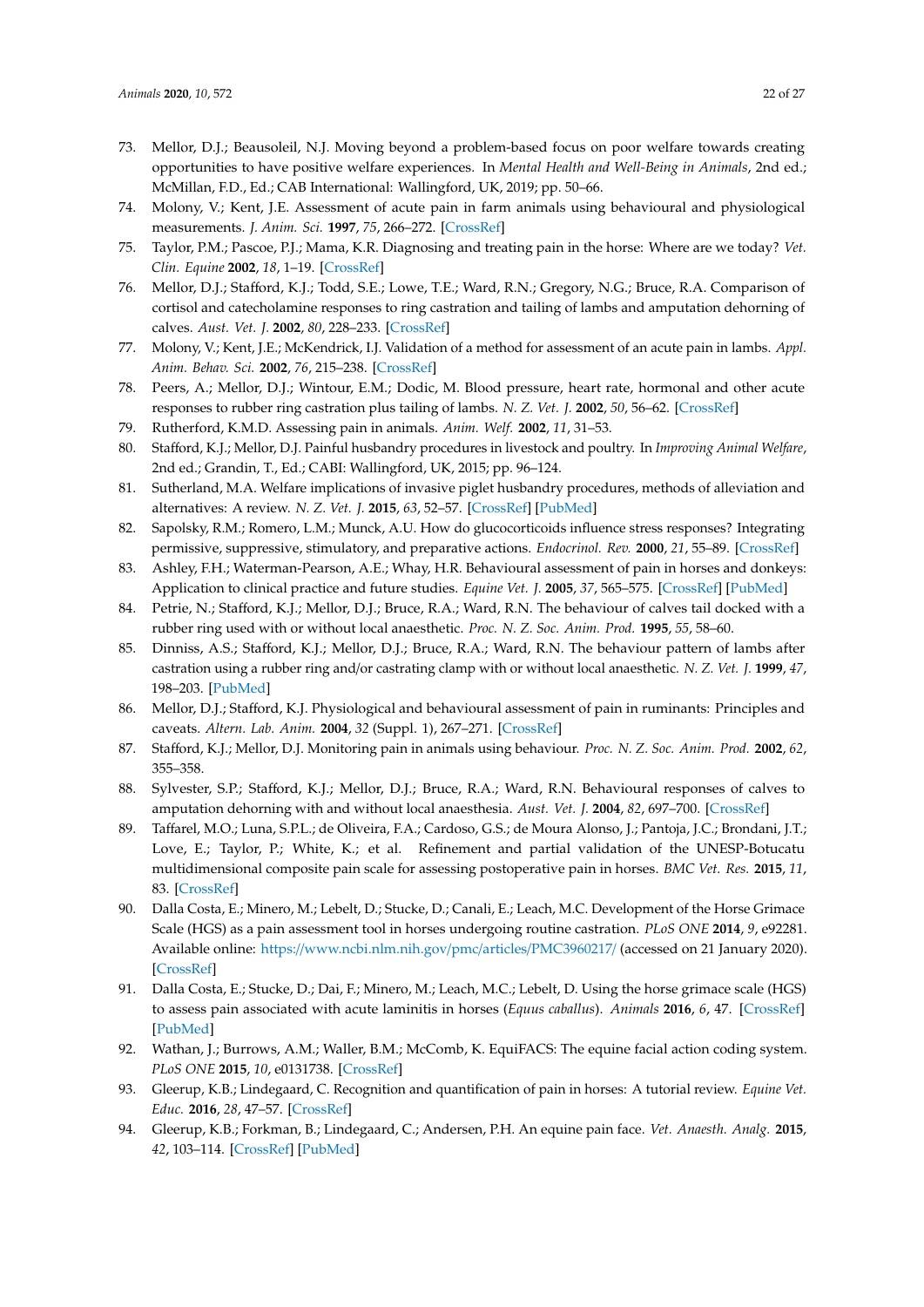- <span id="page-22-0"></span>73. Mellor, D.J.; Beausoleil, N.J. Moving beyond a problem-based focus on poor welfare towards creating opportunities to have positive welfare experiences. In *Mental Health and Well-Being in Animals*, 2nd ed.; McMillan, F.D., Ed.; CAB International: Wallingford, UK, 2019; pp. 50–66.
- <span id="page-22-1"></span>74. Molony, V.; Kent, J.E. Assessment of acute pain in farm animals using behavioural and physiological measurements. *J. Anim. Sci.* **1997**, *75*, 266–272. [\[CrossRef\]](http://dx.doi.org/10.2527/1997.751266x)
- 75. Taylor, P.M.; Pascoe, P.J.; Mama, K.R. Diagnosing and treating pain in the horse: Where are we today? *Vet. Clin. Equine* **2002**, *18*, 1–19. [\[CrossRef\]](http://dx.doi.org/10.1016/S0749-0739(02)00009-3)
- <span id="page-22-5"></span>76. Mellor, D.J.; Stafford, K.J.; Todd, S.E.; Lowe, T.E.; Ward, R.N.; Gregory, N.G.; Bruce, R.A. Comparison of cortisol and catecholamine responses to ring castration and tailing of lambs and amputation dehorning of calves. *Aust. Vet. J.* **2002**, *80*, 228–233. [\[CrossRef\]](http://dx.doi.org/10.1111/j.1751-0813.2002.tb10820.x)
- <span id="page-22-6"></span>77. Molony, V.; Kent, J.E.; McKendrick, I.J. Validation of a method for assessment of an acute pain in lambs. *Appl. Anim. Behav. Sci.* **2002**, *76*, 215–238. [\[CrossRef\]](http://dx.doi.org/10.1016/S0168-1591(02)00014-X)
- 78. Peers, A.; Mellor, D.J.; Wintour, E.M.; Dodic, M. Blood pressure, heart rate, hormonal and other acute responses to rubber ring castration plus tailing of lambs. *N. Z. Vet. J.* **2002**, *50*, 56–62. [\[CrossRef\]](http://dx.doi.org/10.1080/00480169.2002.36251)
- 79. Rutherford, K.M.D. Assessing pain in animals. *Anim. Welf.* **2002**, *11*, 31–53.
- <span id="page-22-7"></span>80. Stafford, K.J.; Mellor, D.J. Painful husbandry procedures in livestock and poultry. In *Improving Animal Welfare*, 2nd ed.; Grandin, T., Ed.; CABI: Wallingford, UK, 2015; pp. 96–124.
- <span id="page-22-2"></span>81. Sutherland, M.A. Welfare implications of invasive piglet husbandry procedures, methods of alleviation and alternatives: A review. *N. Z. Vet. J.* **2015**, *63*, 52–57. [\[CrossRef\]](http://dx.doi.org/10.1080/00480169.2014.961990) [\[PubMed\]](http://www.ncbi.nlm.nih.gov/pubmed/25204203)
- <span id="page-22-3"></span>82. Sapolsky, R.M.; Romero, L.M.; Munck, A.U. How do glucocorticoids influence stress responses? Integrating permissive, suppressive, stimulatory, and preparative actions. *Endocrinol. Rev.* **2000**, *21*, 55–89. [\[CrossRef\]](http://dx.doi.org/10.1210/edrv.21.1.0389)
- <span id="page-22-4"></span>83. Ashley, F.H.; Waterman-Pearson, A.E.; Whay, H.R. Behavioural assessment of pain in horses and donkeys: Application to clinical practice and future studies. *Equine Vet. J.* **2005**, *37*, 565–575. [\[CrossRef\]](http://dx.doi.org/10.2746/042516405775314826) [\[PubMed\]](http://www.ncbi.nlm.nih.gov/pubmed/16295937)
- 84. Petrie, N.; Stafford, K.J.; Mellor, D.J.; Bruce, R.A.; Ward, R.N. The behaviour of calves tail docked with a rubber ring used with or without local anaesthetic. *Proc. N. Z. Soc. Anim. Prod.* **1995**, *55*, 58–60.
- 85. Dinniss, A.S.; Stafford, K.J.; Mellor, D.J.; Bruce, R.A.; Ward, R.N. The behaviour pattern of lambs after castration using a rubber ring and/or castrating clamp with or without local anaesthetic. *N. Z. Vet. J.* **1999**, *47*, 198–203. [\[PubMed\]](http://www.ncbi.nlm.nih.gov/pubmed/16032103)
- 86. Mellor, D.J.; Stafford, K.J. Physiological and behavioural assessment of pain in ruminants: Principles and caveats. *Altern. Lab. Anim.* **2004**, *32* (Suppl. 1), 267–271. [\[CrossRef\]](http://dx.doi.org/10.1177/026119290403201s45)
- 87. Stafford, K.J.; Mellor, D.J. Monitoring pain in animals using behaviour. *Proc. N. Z. Soc. Anim. Prod.* **2002**, *62*, 355–358.
- 88. Sylvester, S.P.; Stafford, K.J.; Mellor, D.J.; Bruce, R.A.; Ward, R.N. Behavioural responses of calves to amputation dehorning with and without local anaesthesia. *Aust. Vet. J.* **2004**, *82*, 697–700. [\[CrossRef\]](http://dx.doi.org/10.1111/j.1751-0813.2004.tb12162.x)
- <span id="page-22-8"></span>89. Taffarel, M.O.; Luna, S.P.L.; de Oliveira, F.A.; Cardoso, G.S.; de Moura Alonso, J.; Pantoja, J.C.; Brondani, J.T.; Love, E.; Taylor, P.; White, K.; et al. Refinement and partial validation of the UNESP-Botucatu multidimensional composite pain scale for assessing postoperative pain in horses. *BMC Vet. Res.* **2015**, *11*, 83. [\[CrossRef\]](http://dx.doi.org/10.1186/s12917-015-0395-8)
- <span id="page-22-9"></span>90. Dalla Costa, E.; Minero, M.; Lebelt, D.; Stucke, D.; Canali, E.; Leach, M.C. Development of the Horse Grimace Scale (HGS) as a pain assessment tool in horses undergoing routine castration. *PLoS ONE* **2014**, *9*, e92281. Available online: https://[www.ncbi.nlm.nih.gov](https://www.ncbi.nlm.nih.gov/pmc/articles/PMC3960217/)/pmc/articles/PMC3960217/ (accessed on 21 January 2020). [\[CrossRef\]](http://dx.doi.org/10.1371/journal.pone.0092281)
- 91. Dalla Costa, E.; Stucke, D.; Dai, F.; Minero, M.; Leach, M.C.; Lebelt, D. Using the horse grimace scale (HGS) to assess pain associated with acute laminitis in horses (*Equus caballus*). *Animals* **2016**, *6*, 47. [\[CrossRef\]](http://dx.doi.org/10.3390/ani6080047) [\[PubMed\]](http://www.ncbi.nlm.nih.gov/pubmed/27527224)
- 92. Wathan, J.; Burrows, A.M.; Waller, B.M.; McComb, K. EquiFACS: The equine facial action coding system. *PLoS ONE* **2015**, *10*, e0131738. [\[CrossRef\]](http://dx.doi.org/10.1371/journal.pone.0131738)
- 93. Gleerup, K.B.; Lindegaard, C. Recognition and quantification of pain in horses: A tutorial review. *Equine Vet. Educ.* **2016**, *28*, 47–57. [\[CrossRef\]](http://dx.doi.org/10.1111/eve.12383)
- <span id="page-22-10"></span>94. Gleerup, K.B.; Forkman, B.; Lindegaard, C.; Andersen, P.H. An equine pain face. *Vet. Anaesth. Analg.* **2015**, *42*, 103–114. [\[CrossRef\]](http://dx.doi.org/10.1111/vaa.12212) [\[PubMed\]](http://www.ncbi.nlm.nih.gov/pubmed/25082060)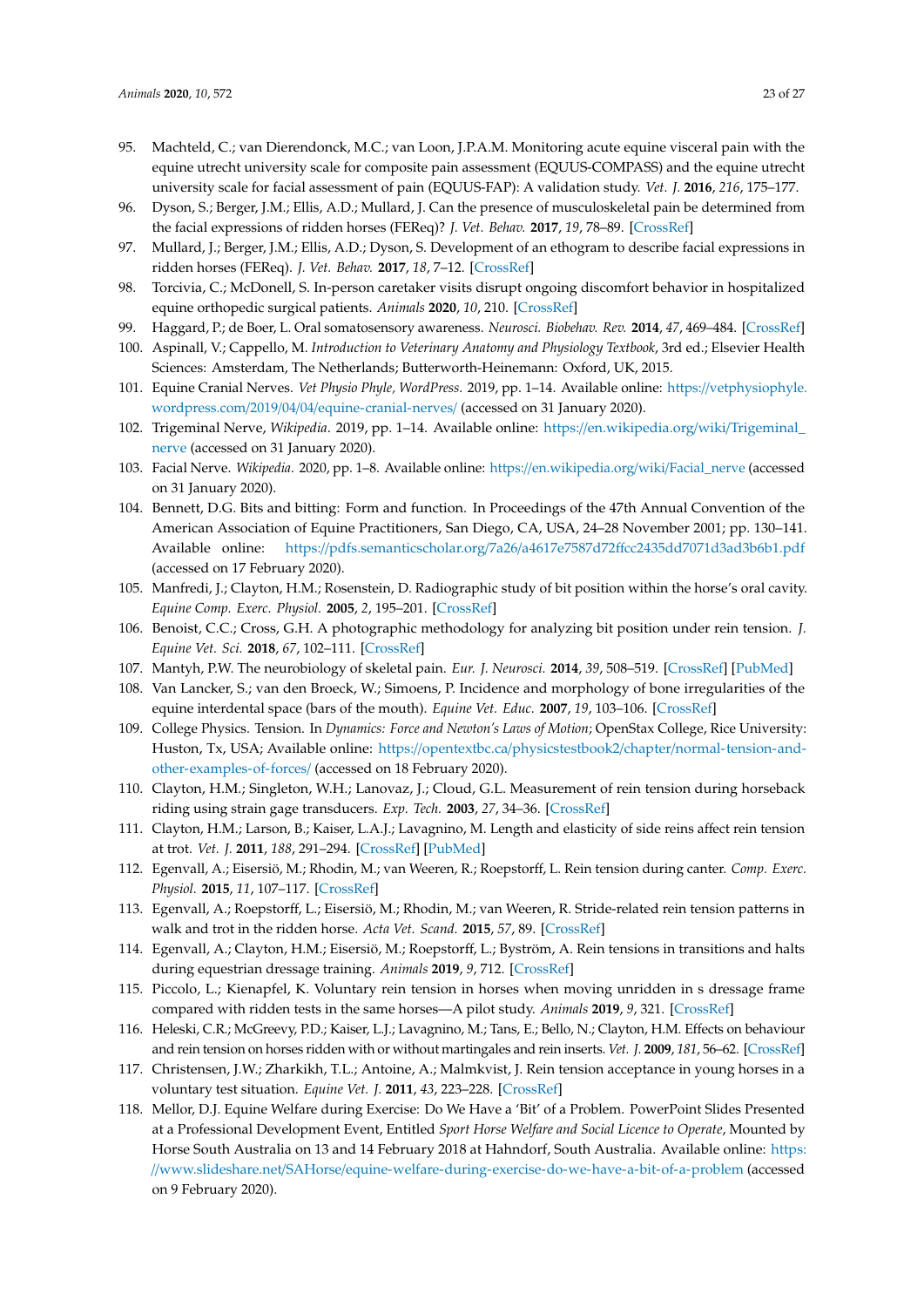- 95. Machteld, C.; van Dierendonck, M.C.; van Loon, J.P.A.M. Monitoring acute equine visceral pain with the equine utrecht university scale for composite pain assessment (EQUUS-COMPASS) and the equine utrecht university scale for facial assessment of pain (EQUUS-FAP): A validation study. *Vet. J.* **2016**, *216*, 175–177.
- <span id="page-23-18"></span>96. Dyson, S.; Berger, J.M.; Ellis, A.D.; Mullard, J. Can the presence of musculoskeletal pain be determined from the facial expressions of ridden horses (FEReq)? *J. Vet. Behav.* **2017**, *19*, 78–89. [\[CrossRef\]](http://dx.doi.org/10.1016/j.jveb.2017.03.005)
- <span id="page-23-0"></span>97. Mullard, J.; Berger, J.M.; Ellis, A.D.; Dyson, S. Development of an ethogram to describe facial expressions in ridden horses (FEReq). *J. Vet. Behav.* **2017**, *18*, 7–12. [\[CrossRef\]](http://dx.doi.org/10.1016/j.jveb.2016.11.005)
- <span id="page-23-1"></span>98. Torcivia, C.; McDonell, S. In-person caretaker visits disrupt ongoing discomfort behavior in hospitalized equine orthopedic surgical patients. *Animals* **2020**, *10*, 210. [\[CrossRef\]](http://dx.doi.org/10.3390/ani10020210)
- <span id="page-23-2"></span>99. Haggard, P.; de Boer, L. Oral somatosensory awareness. *Neurosci. Biobehav. Rev.* **2014**, *47*, 469–484. [\[CrossRef\]](http://dx.doi.org/10.1016/j.neubiorev.2014.09.015)
- <span id="page-23-3"></span>100. Aspinall, V.; Cappello, M. *Introduction to Veterinary Anatomy and Physiology Textbook*, 3rd ed.; Elsevier Health Sciences: Amsterdam, The Netherlands; Butterworth-Heinemann: Oxford, UK, 2015.
- <span id="page-23-5"></span>101. Equine Cranial Nerves. *Vet Physio Phyle, WordPress*. 2019, pp. 1–14. Available online: https://[vetphysiophyle.](https://vetphysiophyle.wordpress.com/2019/04/04/equine-cranial-nerves/) wordpress.com/2019/04/04/[equine-cranial-nerves](https://vetphysiophyle.wordpress.com/2019/04/04/equine-cranial-nerves/)/ (accessed on 31 January 2020).
- <span id="page-23-4"></span>102. Trigeminal Nerve, *Wikipedia*. 2019, pp. 1–14. Available online: https://[en.wikipedia.org](https://en.wikipedia.org/wiki/Trigeminal_nerve)/wiki/Trigeminal\_ [nerve](https://en.wikipedia.org/wiki/Trigeminal_nerve) (accessed on 31 January 2020).
- <span id="page-23-6"></span>103. Facial Nerve. *Wikipedia*. 2020, pp. 1–8. Available online: https://[en.wikipedia.org](https://en.wikipedia.org/wiki/Facial_nerve)/wiki/Facial\_nerve (accessed on 31 January 2020).
- <span id="page-23-7"></span>104. Bennett, D.G. Bits and bitting: Form and function. In Proceedings of the 47th Annual Convention of the American Association of Equine Practitioners, San Diego, CA, USA, 24–28 November 2001; pp. 130–141. Available online: https://pdfs.semanticscholar.org/7a26/a4617e7587d72ff[cc2435dd7071d3ad3b6b1.pdf](https://pdfs.semanticscholar.org/7a26/a4617e7587d72ffcc2435dd7071d3ad3b6b1.pdf) (accessed on 17 February 2020).
- 105. Manfredi, J.; Clayton, H.M.; Rosenstein, D. Radiographic study of bit position within the horse's oral cavity. *Equine Comp. Exerc. Physiol.* **2005**, *2*, 195–201. [\[CrossRef\]](http://dx.doi.org/10.1079/ECP200564)
- <span id="page-23-8"></span>106. Benoist, C.C.; Cross, G.H. A photographic methodology for analyzing bit position under rein tension. *J. Equine Vet. Sci.* **2018**, *67*, 102–111. [\[CrossRef\]](http://dx.doi.org/10.1016/j.jevs.2018.03.017)
- <span id="page-23-9"></span>107. Mantyh, P.W. The neurobiology of skeletal pain. *Eur. J. Neurosci.* **2014**, *39*, 508–519. [\[CrossRef\]](http://dx.doi.org/10.1111/ejn.12462) [\[PubMed\]](http://www.ncbi.nlm.nih.gov/pubmed/24494689)
- <span id="page-23-10"></span>108. Van Lancker, S.; van den Broeck, W.; Simoens, P. Incidence and morphology of bone irregularities of the equine interdental space (bars of the mouth). *Equine Vet. Educ.* **2007**, *19*, 103–106. [\[CrossRef\]](http://dx.doi.org/10.2746/095777307X179882)
- <span id="page-23-11"></span>109. College Physics. Tension. In *Dynamics: Force and Newton's Laws of Motion*; OpenStax College, Rice University: Huston, Tx, USA; Available online: https://opentextbc.ca/physicstestbook2/chapter/[normal-tension-and](https://opentextbc.ca/physicstestbook2/chapter/normal-tension-and-other-examples-of-forces/)[other-examples-of-forces](https://opentextbc.ca/physicstestbook2/chapter/normal-tension-and-other-examples-of-forces/)/ (accessed on 18 February 2020).
- <span id="page-23-12"></span>110. Clayton, H.M.; Singleton, W.H.; Lanovaz, J.; Cloud, G.L. Measurement of rein tension during horseback riding using strain gage transducers. *Exp. Tech.* **2003**, *27*, 34–36. [\[CrossRef\]](http://dx.doi.org/10.1111/j.1747-1567.2003.tb00112.x)
- 111. Clayton, H.M.; Larson, B.; Kaiser, L.A.J.; Lavagnino, M. Length and elasticity of side reins affect rein tension at trot. *Vet. J.* **2011**, *188*, 291–294. [\[CrossRef\]](http://dx.doi.org/10.1016/j.tvjl.2010.05.027) [\[PubMed\]](http://www.ncbi.nlm.nih.gov/pubmed/20638876)
- 112. Egenvall, A.; Eisersiö, M.; Rhodin, M.; van Weeren, R.; Roepstorff, L. Rein tension during canter. *Comp. Exerc. Physiol.* **2015**, *11*, 107–117. [\[CrossRef\]](http://dx.doi.org/10.3920/CEP150005)
- 113. Egenvall, A.; Roepstorff, L.; Eisersiö, M.; Rhodin, M.; van Weeren, R. Stride-related rein tension patterns in walk and trot in the ridden horse. *Acta Vet. Scand.* **2015**, *57*, 89. [\[CrossRef\]](http://dx.doi.org/10.1186/s13028-015-0182-3)
- <span id="page-23-15"></span>114. Egenvall, A.; Clayton, H.M.; Eisersiö, M.; Roepstorff, L.; Byström, A. Rein tensions in transitions and halts during equestrian dressage training. *Animals* **2019**, *9*, 712. [\[CrossRef\]](http://dx.doi.org/10.3390/ani9100712)
- <span id="page-23-13"></span>115. Piccolo, L.; Kienapfel, K. Voluntary rein tension in horses when moving unridden in s dressage frame compared with ridden tests in the same horses—A pilot study. *Animals* **2019**, *9*, 321. [\[CrossRef\]](http://dx.doi.org/10.3390/ani9060321)
- <span id="page-23-14"></span>116. Heleski, C.R.; McGreevy, P.D.; Kaiser, L.J.; Lavagnino, M.; Tans, E.; Bello, N.; Clayton, H.M. Effects on behaviour and rein tension on horses ridden with or without martingales and rein inserts. *Vet. J.* **2009**, *181*, 56–62. [\[CrossRef\]](http://dx.doi.org/10.1016/j.tvjl.2009.03.011)
- <span id="page-23-16"></span>117. Christensen, J.W.; Zharkikh, T.L.; Antoine, A.; Malmkvist, J. Rein tension acceptance in young horses in a voluntary test situation. *Equine Vet. J.* **2011**, *43*, 223–228. [\[CrossRef\]](http://dx.doi.org/10.1111/j.2042-3306.2010.00151.x)
- <span id="page-23-17"></span>118. Mellor, D.J. Equine Welfare during Exercise: Do We Have a 'Bit' of a Problem. PowerPoint Slides Presented at a Professional Development Event, Entitled *Sport Horse Welfare and Social Licence to Operate*, Mounted by Horse South Australia on 13 and 14 February 2018 at Hahndorf, South Australia. Available online: [https:](https://www.slideshare.net/SAHorse/equine-welfare-during-exercise-do-we-have-a-bit-of-a-problem) //www.slideshare.net/SAHorse/[equine-welfare-during-exercise-do-we-have-a-bit-of-a-problem](https://www.slideshare.net/SAHorse/equine-welfare-during-exercise-do-we-have-a-bit-of-a-problem) (accessed on 9 February 2020).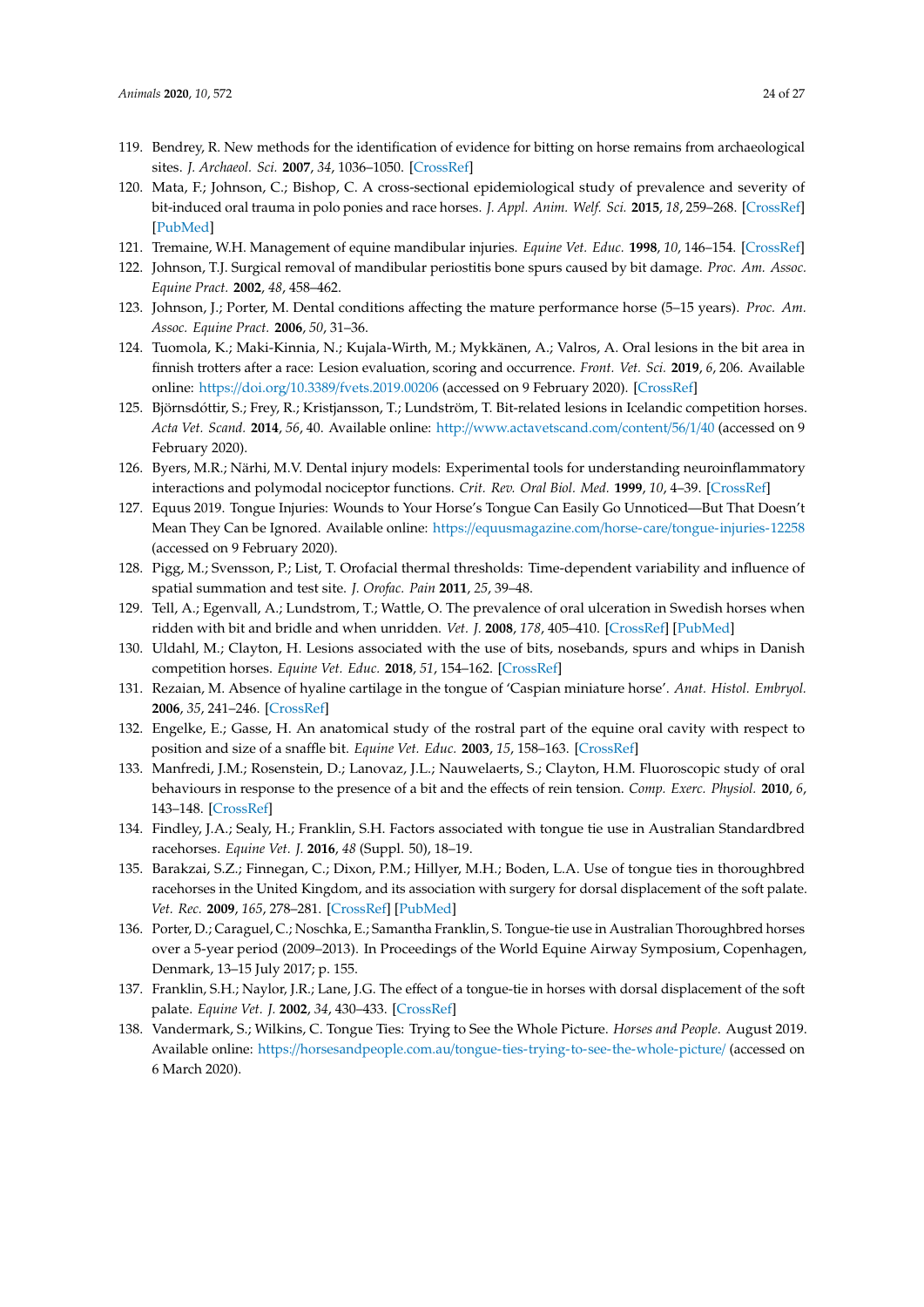- <span id="page-24-0"></span>119. Bendrey, R. New methods for the identification of evidence for bitting on horse remains from archaeological sites. *J. Archaeol. Sci.* **2007**, *34*, 1036–1050. [\[CrossRef\]](http://dx.doi.org/10.1016/j.jas.2006.09.010)
- <span id="page-24-1"></span>120. Mata, F.; Johnson, C.; Bishop, C. A cross-sectional epidemiological study of prevalence and severity of bit-induced oral trauma in polo ponies and race horses. *J. Appl. Anim. Welf. Sci.* **2015**, *18*, 259–268. [\[CrossRef\]](http://dx.doi.org/10.1080/10888705.2015.1004407) [\[PubMed\]](http://www.ncbi.nlm.nih.gov/pubmed/25679445)
- <span id="page-24-2"></span>121. Tremaine, W.H. Management of equine mandibular injuries. *Equine Vet. Educ.* **1998**, *10*, 146–154. [\[CrossRef\]](http://dx.doi.org/10.1111/j.2042-3292.1998.tb00869.x)
- 122. Johnson, T.J. Surgical removal of mandibular periostitis bone spurs caused by bit damage. *Proc. Am. Assoc. Equine Pract.* **2002**, *48*, 458–462.
- <span id="page-24-3"></span>123. Johnson, J.; Porter, M. Dental conditions affecting the mature performance horse (5–15 years). *Proc. Am. Assoc. Equine Pract.* **2006**, *50*, 31–36.
- <span id="page-24-4"></span>124. Tuomola, K.; Maki-Kinnia, N.; Kujala-Wirth, M.; Mykkänen, A.; Valros, A. Oral lesions in the bit area in finnish trotters after a race: Lesion evaluation, scoring and occurrence. *Front. Vet. Sci.* **2019**, *6*, 206. Available online: https://doi.org/10.3389/[fvets.2019.00206](https://doi.org/10.3389/fvets.2019.00206) (accessed on 9 February 2020). [\[CrossRef\]](http://dx.doi.org/10.3389/fvets.2019.00206)
- <span id="page-24-5"></span>125. Björnsdóttir, S.; Frey, R.; Kristjansson, T.; Lundström, T. Bit-related lesions in Icelandic competition horses. *Acta Vet. Scand.* **2014**, *56*, 40. Available online: http://[www.actavetscand.com](http://www.actavetscand.com/content/56/1/40)/content/56/1/40 (accessed on 9 February 2020).
- <span id="page-24-6"></span>126. Byers, M.R.; Närhi, M.V. Dental injury models: Experimental tools for understanding neuroinflammatory interactions and polymodal nociceptor functions. *Crit. Rev. Oral Biol. Med.* **1999**, *10*, 4–39. [\[CrossRef\]](http://dx.doi.org/10.1177/10454411990100010101)
- <span id="page-24-7"></span>127. Equus 2019. Tongue Injuries: Wounds to Your Horse's Tongue Can Easily Go Unnoticed—But That Doesn't Mean They Can be Ignored. Available online: https://equusmagazine.com/horse-care/[tongue-injuries-12258](https://equusmagazine.com/horse-care/tongue-injuries-12258) (accessed on 9 February 2020).
- <span id="page-24-8"></span>128. Pigg, M.; Svensson, P.; List, T. Orofacial thermal thresholds: Time-dependent variability and influence of spatial summation and test site. *J. Orofac. Pain* **2011**, *25*, 39–48.
- <span id="page-24-9"></span>129. Tell, A.; Egenvall, A.; Lundstrom, T.; Wattle, O. The prevalence of oral ulceration in Swedish horses when ridden with bit and bridle and when unridden. *Vet. J.* **2008**, *178*, 405–410. [\[CrossRef\]](http://dx.doi.org/10.1016/j.tvjl.2008.09.020) [\[PubMed\]](http://www.ncbi.nlm.nih.gov/pubmed/19027332)
- <span id="page-24-10"></span>130. Uldahl, M.; Clayton, H. Lesions associated with the use of bits, nosebands, spurs and whips in Danish competition horses. *Equine Vet. Educ.* **2018**, *51*, 154–162. [\[CrossRef\]](http://dx.doi.org/10.1111/evj.12827)
- <span id="page-24-11"></span>131. Rezaian, M. Absence of hyaline cartilage in the tongue of 'Caspian miniature horse'. *Anat. Histol. Embryol.* **2006**, *35*, 241–246. [\[CrossRef\]](http://dx.doi.org/10.1111/j.1439-0264.2005.00673.x)
- <span id="page-24-12"></span>132. Engelke, E.; Gasse, H. An anatomical study of the rostral part of the equine oral cavity with respect to position and size of a snaffle bit. *Equine Vet. Educ.* **2003**, *15*, 158–163. [\[CrossRef\]](http://dx.doi.org/10.1111/j.2042-3292.2003.tb00235.x)
- <span id="page-24-13"></span>133. Manfredi, J.M.; Rosenstein, D.; Lanovaz, J.L.; Nauwelaerts, S.; Clayton, H.M. Fluoroscopic study of oral behaviours in response to the presence of a bit and the effects of rein tension. *Comp. Exerc. Physiol.* **2010**, *6*, 143–148. [\[CrossRef\]](http://dx.doi.org/10.1017/S1755254010000036)
- <span id="page-24-14"></span>134. Findley, J.A.; Sealy, H.; Franklin, S.H. Factors associated with tongue tie use in Australian Standardbred racehorses. *Equine Vet. J.* **2016**, *48* (Suppl. 50), 18–19.
- <span id="page-24-16"></span>135. Barakzai, S.Z.; Finnegan, C.; Dixon, P.M.; Hillyer, M.H.; Boden, L.A. Use of tongue ties in thoroughbred racehorses in the United Kingdom, and its association with surgery for dorsal displacement of the soft palate. *Vet. Rec.* **2009**, *165*, 278–281. [\[CrossRef\]](http://dx.doi.org/10.1136/vr.165.10.278) [\[PubMed\]](http://www.ncbi.nlm.nih.gov/pubmed/19734559)
- <span id="page-24-15"></span>136. Porter, D.; Caraguel, C.; Noschka, E.; Samantha Franklin, S. Tongue-tie use in Australian Thoroughbred horses over a 5-year period (2009–2013). In Proceedings of the World Equine Airway Symposium, Copenhagen, Denmark, 13–15 July 2017; p. 155.
- 137. Franklin, S.H.; Naylor, J.R.; Lane, J.G. The effect of a tongue-tie in horses with dorsal displacement of the soft palate. *Equine Vet. J.* **2002**, *34*, 430–433. [\[CrossRef\]](http://dx.doi.org/10.1111/j.2042-3306.2002.tb05461.x)
- <span id="page-24-17"></span>138. Vandermark, S.; Wilkins, C. Tongue Ties: Trying to See the Whole Picture. *Horses and People*. August 2019. Available online: https://horsesandpeople.com.au/[tongue-ties-trying-to-see-the-whole-picture](https://horsesandpeople.com.au/tongue-ties-trying-to-see-the-whole-picture/)/ (accessed on 6 March 2020).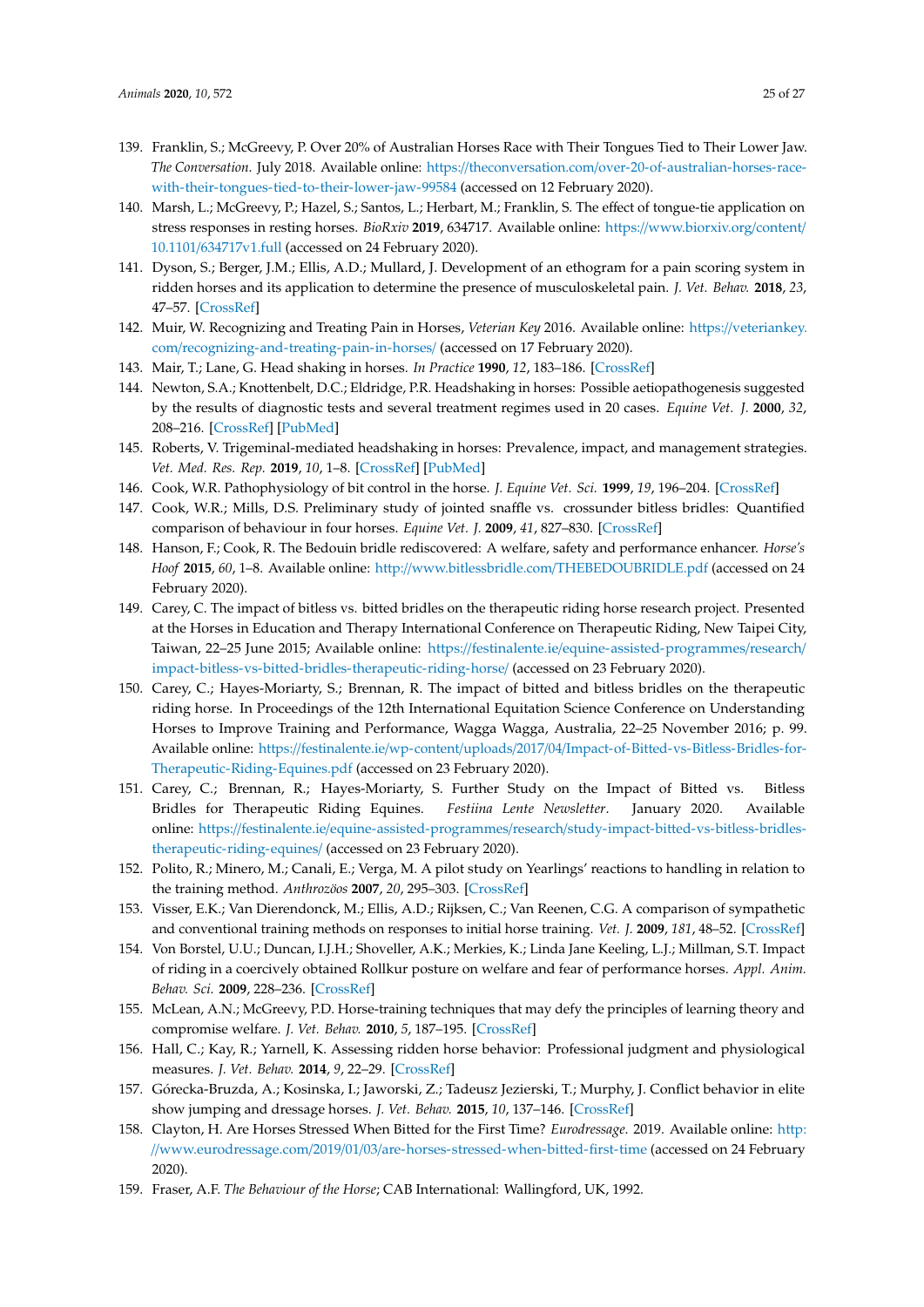- <span id="page-25-0"></span>139. Franklin, S.; McGreevy, P. Over 20% of Australian Horses Race with Their Tongues Tied to Their Lower Jaw. *The Conversation*. July 2018. Available online: https://theconversation.com/[over-20-of-australian-horses-race](https://theconversation.com/over-20-of-australian-horses-race-with-their-tongues-tied-to-their-lower-jaw-99584)[with-their-tongues-tied-to-their-lower-jaw-99584](https://theconversation.com/over-20-of-australian-horses-race-with-their-tongues-tied-to-their-lower-jaw-99584) (accessed on 12 February 2020).
- <span id="page-25-1"></span>140. Marsh, L.; McGreevy, P.; Hazel, S.; Santos, L.; Herbart, M.; Franklin, S. The effect of tongue-tie application on stress responses in resting horses. *BioRxiv* **2019**, 634717. Available online: https://[www.biorxiv.org](https://www.biorxiv.org/content/10.1101/634717v1.full)/content/ 10.1101/[634717v1.full](https://www.biorxiv.org/content/10.1101/634717v1.full) (accessed on 24 February 2020).
- <span id="page-25-2"></span>141. Dyson, S.; Berger, J.M.; Ellis, A.D.; Mullard, J. Development of an ethogram for a pain scoring system in ridden horses and its application to determine the presence of musculoskeletal pain. *J. Vet. Behav.* **2018**, *23*, 47–57. [\[CrossRef\]](http://dx.doi.org/10.1016/j.jveb.2017.10.008)
- <span id="page-25-3"></span>142. Muir, W. Recognizing and Treating Pain in Horses, *Veterian Key* 2016. Available online: https://[veteriankey.](https://veteriankey.com/recognizing-and-treating-pain-in-horses/) com/[recognizing-and-treating-pain-in-horses](https://veteriankey.com/recognizing-and-treating-pain-in-horses/)/ (accessed on 17 February 2020).
- <span id="page-25-4"></span>143. Mair, T.; Lane, G. Head shaking in horses. *In Practice* **1990**, *12*, 183–186. [\[CrossRef\]](http://dx.doi.org/10.1136/inpract.12.5.183)
- <span id="page-25-5"></span>144. Newton, S.A.; Knottenbelt, D.C.; Eldridge, P.R. Headshaking in horses: Possible aetiopathogenesis suggested by the results of diagnostic tests and several treatment regimes used in 20 cases. *Equine Vet. J.* **2000**, *32*, 208–216. [\[CrossRef\]](http://dx.doi.org/10.2746/042516400776563617) [\[PubMed\]](http://www.ncbi.nlm.nih.gov/pubmed/10836475)
- <span id="page-25-6"></span>145. Roberts, V. Trigeminal-mediated headshaking in horses: Prevalence, impact, and management strategies. *Vet. Med. Res. Rep.* **2019**, *10*, 1–8. [\[CrossRef\]](http://dx.doi.org/10.2147/VMRR.S163805) [\[PubMed\]](http://www.ncbi.nlm.nih.gov/pubmed/30666296)
- <span id="page-25-9"></span><span id="page-25-7"></span>146. Cook, W.R. Pathophysiology of bit control in the horse. *J. Equine Vet. Sci.* **1999**, *19*, 196–204. [\[CrossRef\]](http://dx.doi.org/10.1016/S0737-0806(99)80067-7)
- 147. Cook, W.R.; Mills, D.S. Preliminary study of jointed snaffle vs. crossunder bitless bridles: Quantified comparison of behaviour in four horses. *Equine Vet. J.* **2009**, *41*, 827–830. [\[CrossRef\]](http://dx.doi.org/10.2746/042516409X472150)
- <span id="page-25-12"></span>148. Hanson, F.; Cook, R. The Bedouin bridle rediscovered: A welfare, safety and performance enhancer. *Horse's Hoof* **2015**, *60*, 1–8. Available online: http://www.bitlessbridle.com/[THEBEDOUBRIDLE.pdf](http://www.bitlessbridle.com/THEBEDOUBRIDLE.pdf) (accessed on 24 February 2020).
- 149. Carey, C. The impact of bitless vs. bitted bridles on the therapeutic riding horse research project. Presented at the Horses in Education and Therapy International Conference on Therapeutic Riding, New Taipei City, Taiwan, 22–25 June 2015; Available online: https://festinalente.ie/[equine-assisted-programmes](https://festinalente.ie/equine-assisted-programmes/research/impact-bitless-vs-bitted-bridles-therapeutic-riding-horse/)/research/ [impact-bitless-vs-bitted-bridles-therapeutic-riding-horse](https://festinalente.ie/equine-assisted-programmes/research/impact-bitless-vs-bitted-bridles-therapeutic-riding-horse/)/ (accessed on 23 February 2020).
- 150. Carey, C.; Hayes-Moriarty, S.; Brennan, R. The impact of bitted and bitless bridles on the therapeutic riding horse. In Proceedings of the 12th International Equitation Science Conference on Understanding Horses to Improve Training and Performance, Wagga Wagga, Australia, 22–25 November 2016; p. 99. Available online: https://festinalente.ie/wp-content/uploads/2017/04/[Impact-of-Bitted-vs-Bitless-Bridles-for-](https://festinalente.ie/wp-content/uploads/2017/04/Impact-of-Bitted-vs-Bitless-Bridles-for-Therapeutic-Riding-Equines.pdf)[Therapeutic-Riding-Equines.pdf](https://festinalente.ie/wp-content/uploads/2017/04/Impact-of-Bitted-vs-Bitless-Bridles-for-Therapeutic-Riding-Equines.pdf) (accessed on 23 February 2020).
- <span id="page-25-10"></span>151. Carey, C.; Brennan, R.; Hayes-Moriarty, S. Further Study on the Impact of Bitted vs. Bitless Bridles for Therapeutic Riding Equines. *Festiina Lente Newsletter*. January 2020. Available online: https://festinalente.ie/equine-assisted-programmes/research/[study-impact-bitted-vs-bitless-bridles](https://festinalente.ie/equine-assisted-programmes/research/study-impact-bitted-vs-bitless-bridles-therapeutic-riding-equines/)[therapeutic-riding-equines](https://festinalente.ie/equine-assisted-programmes/research/study-impact-bitted-vs-bitless-bridles-therapeutic-riding-equines/)/ (accessed on 23 February 2020).
- <span id="page-25-13"></span>152. Polito, R.; Minero, M.; Canali, E.; Verga, M. A pilot study on Yearlings' reactions to handling in relation to the training method. *Anthrozöos* **2007**, *20*, 295–303. [\[CrossRef\]](http://dx.doi.org/10.2752/089279307X224827)
- 153. Visser, E.K.; Van Dierendonck, M.; Ellis, A.D.; Rijksen, C.; Van Reenen, C.G. A comparison of sympathetic and conventional training methods on responses to initial horse training. *Vet. J.* **2009**, *181*, 48–52. [\[CrossRef\]](http://dx.doi.org/10.1016/j.tvjl.2009.03.009)
- <span id="page-25-14"></span>154. Von Borstel, U.U.; Duncan, I.J.H.; Shoveller, A.K.; Merkies, K.; Linda Jane Keeling, L.J.; Millman, S.T. Impact of riding in a coercively obtained Rollkur posture on welfare and fear of performance horses. *Appl. Anim. Behav. Sci.* **2009**, 228–236. [\[CrossRef\]](http://dx.doi.org/10.1016/j.applanim.2008.10.001)
- 155. McLean, A.N.; McGreevy, P.D. Horse-training techniques that may defy the principles of learning theory and compromise welfare. *J. Vet. Behav.* **2010**, *5*, 187–195. [\[CrossRef\]](http://dx.doi.org/10.1016/j.jveb.2010.04.002)
- 156. Hall, C.; Kay, R.; Yarnell, K. Assessing ridden horse behavior: Professional judgment and physiological measures. *J. Vet. Behav.* **2014**, *9*, 22–29. [\[CrossRef\]](http://dx.doi.org/10.1016/j.jveb.2013.09.005)
- <span id="page-25-15"></span>157. Górecka-Bruzda, A.; Kosinska, I.; Jaworski, Z.; Tadeusz Jezierski, T.; Murphy, J. Conflict behavior in elite show jumping and dressage horses. *J. Vet. Behav.* **2015**, *10*, 137–146. [\[CrossRef\]](http://dx.doi.org/10.1016/j.jveb.2014.10.004)
- <span id="page-25-8"></span>158. Clayton, H. Are Horses Stressed When Bitted for the First Time? *Eurodressage*. 2019. Available online: [http:](http://www.eurodressage.com/2019/01/03/are-horses-stressed-when-bitted-first-time) //www.eurodressage.com/2019/01/03/[are-horses-stressed-when-bitted-first-time](http://www.eurodressage.com/2019/01/03/are-horses-stressed-when-bitted-first-time) (accessed on 24 February 2020).
- <span id="page-25-11"></span>159. Fraser, A.F. *The Behaviour of the Horse*; CAB International: Wallingford, UK, 1992.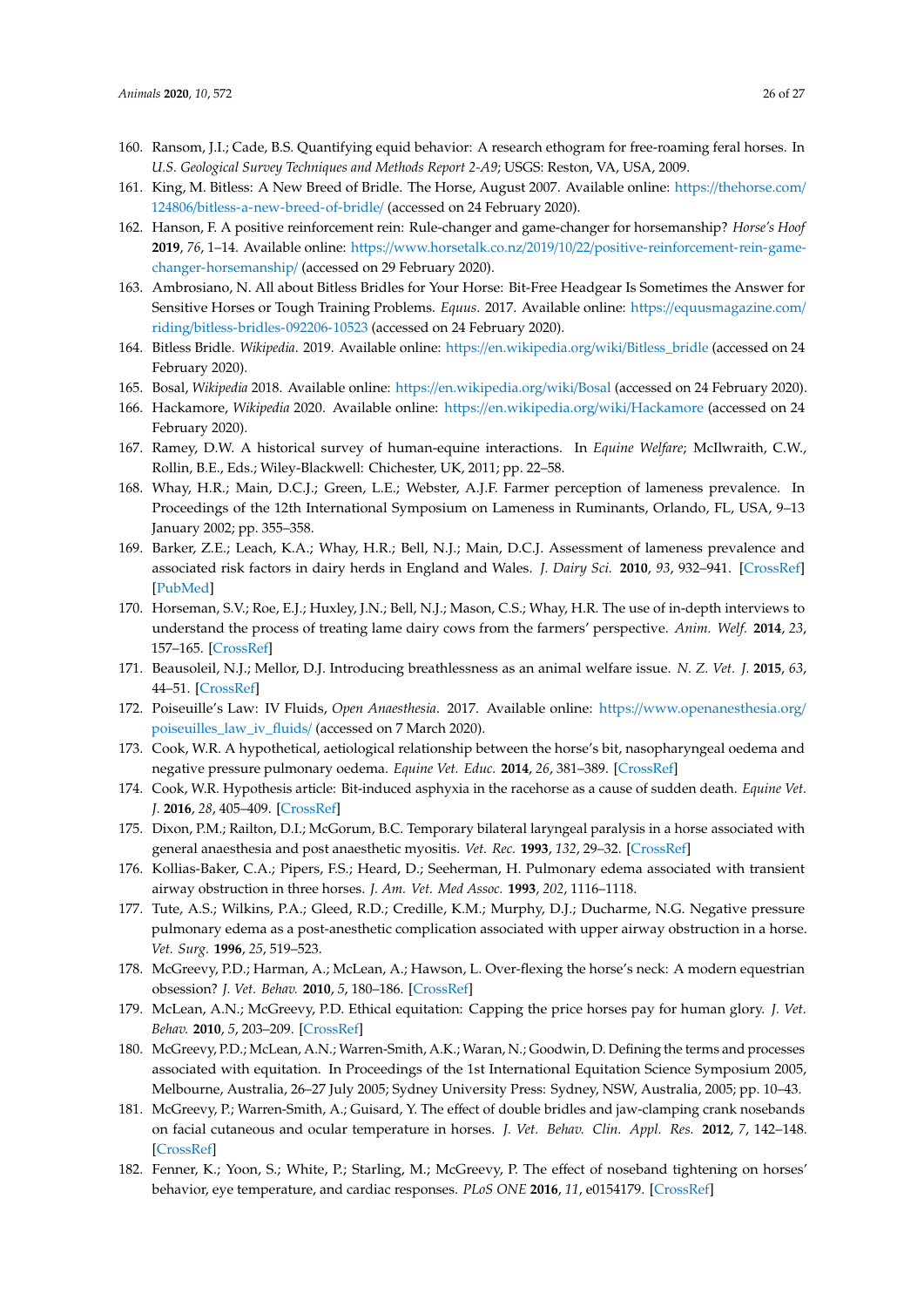- <span id="page-26-0"></span>160. Ransom, J.I.; Cade, B.S. Quantifying equid behavior: A research ethogram for free-roaming feral horses. In *U.S. Geological Survey Techniques and Methods Report 2-A9*; USGS: Reston, VA, USA, 2009.
- <span id="page-26-1"></span>161. King, M. Bitless: A New Breed of Bridle. The Horse, August 2007. Available online: https://[thehorse.com](https://thehorse.com/124806/bitless-a-new-breed-of-bridle/)/ 124806/[bitless-a-new-breed-of-bridle](https://thehorse.com/124806/bitless-a-new-breed-of-bridle/)/ (accessed on 24 February 2020).
- <span id="page-26-2"></span>162. Hanson, F. A positive reinforcement rein: Rule-changer and game-changer for horsemanship? *Horse's Hoof* **2019**, *76*, 1–14. Available online: https://www.horsetalk.co.nz/2019/10/22/[positive-reinforcement-rein-game](https://www.horsetalk.co.nz/2019/10/22/positive-reinforcement-rein-game-changer-horsemanship/)[changer-horsemanship](https://www.horsetalk.co.nz/2019/10/22/positive-reinforcement-rein-game-changer-horsemanship/)/ (accessed on 29 February 2020).
- <span id="page-26-3"></span>163. Ambrosiano, N. All about Bitless Bridles for Your Horse: Bit-Free Headgear Is Sometimes the Answer for Sensitive Horses or Tough Training Problems. *Equus*. 2017. Available online: https://[equusmagazine.com](https://equusmagazine.com/riding/bitless-bridles-092206-10523)/ riding/[bitless-bridles-092206-10523](https://equusmagazine.com/riding/bitless-bridles-092206-10523) (accessed on 24 February 2020).
- <span id="page-26-4"></span>164. Bitless Bridle. *Wikipedia*. 2019. Available online: https://[en.wikipedia.org](https://en.wikipedia.org/wiki/Bitless_bridle)/wiki/Bitless\_bridle (accessed on 24 February 2020).
- <span id="page-26-5"></span>165. Bosal, *Wikipedia* 2018. Available online: https://[en.wikipedia.org](https://en.wikipedia.org/wiki/Bosal)/wiki/Bosal (accessed on 24 February 2020).
- <span id="page-26-6"></span>166. Hackamore, *Wikipedia* 2020. Available online: https://[en.wikipedia.org](https://en.wikipedia.org/wiki/Hackamore)/wiki/Hackamore (accessed on 24 February 2020).
- <span id="page-26-7"></span>167. Ramey, D.W. A historical survey of human-equine interactions. In *Equine Welfare*; McIlwraith, C.W., Rollin, B.E., Eds.; Wiley-Blackwell: Chichester, UK, 2011; pp. 22–58.
- <span id="page-26-8"></span>168. Whay, H.R.; Main, D.C.J.; Green, L.E.; Webster, A.J.F. Farmer perception of lameness prevalence. In Proceedings of the 12th International Symposium on Lameness in Ruminants, Orlando, FL, USA, 9–13 January 2002; pp. 355–358.
- 169. Barker, Z.E.; Leach, K.A.; Whay, H.R.; Bell, N.J.; Main, D.C.J. Assessment of lameness prevalence and associated risk factors in dairy herds in England and Wales. *J. Dairy Sci.* **2010**, *93*, 932–941. [\[CrossRef\]](http://dx.doi.org/10.3168/jds.2009-2309) [\[PubMed\]](http://www.ncbi.nlm.nih.gov/pubmed/20172213)
- <span id="page-26-9"></span>170. Horseman, S.V.; Roe, E.J.; Huxley, J.N.; Bell, N.J.; Mason, C.S.; Whay, H.R. The use of in-depth interviews to understand the process of treating lame dairy cows from the farmers' perspective. *Anim. Welf.* **2014**, *23*, 157–165. [\[CrossRef\]](http://dx.doi.org/10.7120/09627286.23.2.157)
- <span id="page-26-10"></span>171. Beausoleil, N.J.; Mellor, D.J. Introducing breathlessness as an animal welfare issue. *N. Z. Vet. J.* **2015**, *63*, 44–51. [\[CrossRef\]](http://dx.doi.org/10.1080/00480169.2014.940410)
- <span id="page-26-11"></span>172. Poiseuille's Law: IV Fluids, *Open Anaesthesia*. 2017. Available online: https://[www.openanesthesia.org](https://www.openanesthesia.org/poiseuilles_law_iv_fluids/)/ [poiseuilles\\_law\\_iv\\_fluids](https://www.openanesthesia.org/poiseuilles_law_iv_fluids/)/ (accessed on 7 March 2020).
- <span id="page-26-12"></span>173. Cook, W.R. A hypothetical, aetiological relationship between the horse's bit, nasopharyngeal oedema and negative pressure pulmonary oedema. *Equine Vet. Educ.* **2014**, *26*, 381–389. [\[CrossRef\]](http://dx.doi.org/10.1111/eve.12196)
- <span id="page-26-13"></span>174. Cook, W.R. Hypothesis article: Bit-induced asphyxia in the racehorse as a cause of sudden death. *Equine Vet. J.* **2016**, *28*, 405–409. [\[CrossRef\]](http://dx.doi.org/10.1111/eve.12455)
- <span id="page-26-14"></span>175. Dixon, P.M.; Railton, D.I.; McGorum, B.C. Temporary bilateral laryngeal paralysis in a horse associated with general anaesthesia and post anaesthetic myositis. *Vet. Rec.* **1993**, *132*, 29–32. [\[CrossRef\]](http://dx.doi.org/10.1136/vr.132.2.29)
- 176. Kollias-Baker, C.A.; Pipers, F.S.; Heard, D.; Seeherman, H. Pulmonary edema associated with transient airway obstruction in three horses. *J. Am. Vet. Med Assoc.* **1993**, *202*, 1116–1118.
- <span id="page-26-15"></span>177. Tute, A.S.; Wilkins, P.A.; Gleed, R.D.; Credille, K.M.; Murphy, D.J.; Ducharme, N.G. Negative pressure pulmonary edema as a post-anesthetic complication associated with upper airway obstruction in a horse. *Vet. Surg.* **1996**, *25*, 519–523.
- <span id="page-26-16"></span>178. McGreevy, P.D.; Harman, A.; McLean, A.; Hawson, L. Over-flexing the horse's neck: A modern equestrian obsession? *J. Vet. Behav.* **2010**, *5*, 180–186. [\[CrossRef\]](http://dx.doi.org/10.1016/j.jveb.2010.03.004)
- <span id="page-26-17"></span>179. McLean, A.N.; McGreevy, P.D. Ethical equitation: Capping the price horses pay for human glory. *J. Vet. Behav.* **2010**, *5*, 203–209. [\[CrossRef\]](http://dx.doi.org/10.1016/j.jveb.2010.04.003)
- <span id="page-26-18"></span>180. McGreevy, P.D.; McLean, A.N.; Warren-Smith, A.K.; Waran, N.; Goodwin, D. Defining the terms and processes associated with equitation. In Proceedings of the 1st International Equitation Science Symposium 2005, Melbourne, Australia, 26–27 July 2005; Sydney University Press: Sydney, NSW, Australia, 2005; pp. 10–43.
- <span id="page-26-19"></span>181. McGreevy, P.; Warren-Smith, A.; Guisard, Y. The effect of double bridles and jaw-clamping crank nosebands on facial cutaneous and ocular temperature in horses. *J. Vet. Behav. Clin. Appl. Res.* **2012**, *7*, 142–148. [\[CrossRef\]](http://dx.doi.org/10.1016/j.jveb.2011.08.001)
- 182. Fenner, K.; Yoon, S.; White, P.; Starling, M.; McGreevy, P. The effect of noseband tightening on horses' behavior, eye temperature, and cardiac responses. *PLoS ONE* **2016**, *11*, e0154179. [\[CrossRef\]](http://dx.doi.org/10.1371/journal.pone.0154179)